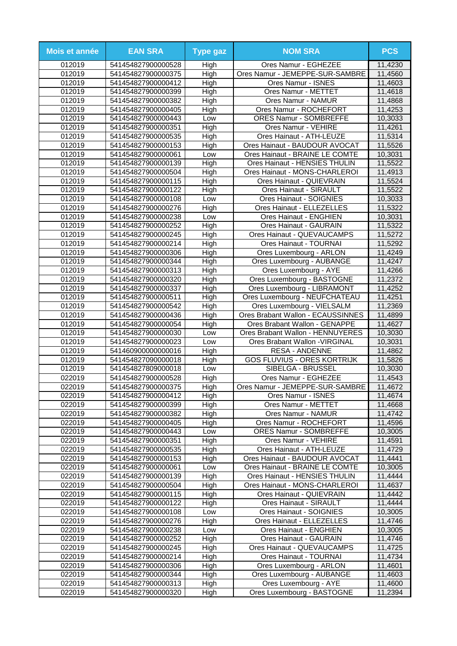| Mois et année    | <b>EAN SRA</b>                           | <b>Type gaz</b> | <b>NOM SRA</b>                                     | <b>PCS</b>         |
|------------------|------------------------------------------|-----------------|----------------------------------------------------|--------------------|
| 012019           | 541454827900000528                       | High            | Ores Namur - EGHEZEE                               | 11,4230            |
| 012019           | 541454827900000375                       | High            | Ores Namur - JEMEPPE-SUR-SAMBRE                    | 11,4560            |
| 012019           | 541454827900000412                       | High            | Ores Namur - ISNES                                 | 11,4603            |
| 012019           | 541454827900000399                       | High            | Ores Namur - METTET                                | 11,4618            |
| 012019           | 541454827900000382                       | High            | Ores Namur - NAMUR                                 | 11,4868            |
| 012019           | 541454827900000405                       | High            | Ores Namur - ROCHEFORT                             | 11,4253            |
| 012019           | 541454827900000443                       | Low             | <b>ORES Namur - SOMBREFFE</b>                      | 10,3033            |
| 012019           | 541454827900000351                       | High            | Ores Namur - VEHIRE                                | 11,4261            |
| 012019           | 541454827900000535                       | High            | Ores Hainaut - ATH-LEUZE                           | 11,5314            |
| 012019           | 541454827900000153                       | High            | Ores Hainaut - BAUDOUR AVOCAT                      | 11,5526            |
| 012019           | 541454827900000061                       | Low             | Ores Hainaut - BRAINE LE COMTE                     | 10,3031            |
| 012019<br>012019 | 541454827900000139                       | High            | Ores Hainaut - HENSIES THULIN                      | 11,5522            |
| 012019           | 541454827900000504                       | High            | Ores Hainaut - MONS-CHARLEROI                      | 11,4913<br>11,5524 |
| 012019           | 541454827900000115<br>541454827900000122 | High<br>High    | Ores Hainaut - QUIEVRAIN<br>Ores Hainaut - SIRAULT | 11,5522            |
| 012019           | 541454827900000108                       | Low             | Ores Hainaut - SOIGNIES                            | 10,3033            |
| 012019           | 541454827900000276                       | High            | Ores Hainaut - ELLEZELLES                          | 11,5322            |
| 012019           | 541454827900000238                       | Low             | <b>Ores Hainaut - ENGHIEN</b>                      | 10,3031            |
| 012019           | 541454827900000252                       | High            | <b>Ores Hainaut - GAURAIN</b>                      | 11,5322            |
| 012019           | 541454827900000245                       | High            | Ores Hainaut - QUEVAUCAMPS                         | 11,5272            |
| 012019           | 541454827900000214                       | High            | Ores Hainaut - TOURNAI                             | 11,5292            |
| 012019           | 541454827900000306                       | High            | Ores Luxembourg - ARLON                            | 11,4249            |
| 012019           | 541454827900000344                       | High            | Ores Luxembourg - AUBANGE                          | 11,4247            |
| 012019           | 541454827900000313                       | High            | Ores Luxembourg - AYE                              | 11,4266            |
| 012019           | 541454827900000320                       | High            | Ores Luxembourg - BASTOGNE                         | 11,2372            |
| 012019           | 541454827900000337                       | High            | Ores Luxembourg - LIBRAMONT                        | 11,4252            |
| 012019           | 541454827900000511                       | High            | Ores Luxembourg - NEUFCHATEAU                      | 11,4251            |
| 012019           | 541454827900000542                       | High            | Ores Luxembourg - VIELSALM                         | 11,2369            |
| 012019           | 541454827900000436                       | High            | Ores Brabant Wallon - ECAUSSINNES                  | 11,4899            |
| 012019           | 541454827900000054                       | High            | Ores Brabant Wallon - GENAPPE                      | 11,4627            |
| 012019           | 541454827900000030                       | Low             | Ores Brabant Wallon - HENNUYERES                   | 10,3030            |
| 012019           | 541454827900000023                       | Low             | Ores Brabant Wallon - VIRGINAL                     | 10,3031            |
| 012019           | 541460900000000016                       | High            | <b>RESA - ANDENNE</b>                              | 11,4862            |
| 012019           | 541454827090000018                       | High            | <b>GOS FLUVIUS - ORES KORTRIJK</b>                 | 11,5826            |
| 012019           | 541454827809000018                       | Low             | <b>SIBELGA - BRUSSEL</b>                           | 10,3030            |
| 022019           | 541454827900000528                       | High            | Ores Namur - EGHEZEE                               | 11,4543            |
| 022019           | 541454827900000375                       | High            | Ores Namur - JEMEPPE-SUR-SAMBRE                    | 11,4672            |
| 022019           | 541454827900000412                       | High            | Ores Namur - ISNES                                 | 11,4674            |
| 022019           | 541454827900000399                       | High            | Ores Namur - METTET                                | 11,4668            |
| 022019           | 541454827900000382                       | High            | Ores Namur - NAMUR                                 | 11,4742            |
| 022019           | 541454827900000405                       | High            | Ores Namur - ROCHEFORT                             | 11,4596            |
| 022019           | 541454827900000443                       | Low             | ORES Namur - SOMBREFFE                             | 10,3005            |
| 022019<br>022019 | 541454827900000351<br>541454827900000535 | High<br>High    | Ores Namur - VEHIRE<br>Ores Hainaut - ATH-LEUZE    | 11,4591<br>11,4729 |
| 022019           | 541454827900000153                       | High            | Ores Hainaut - BAUDOUR AVOCAT                      | 11,4441            |
| 022019           | 541454827900000061                       | Low             | Ores Hainaut - BRAINE LE COMTE                     | 10,3005            |
| 022019           | 541454827900000139                       | High            | Ores Hainaut - HENSIES THULIN                      | 11,4444            |
| 022019           | 541454827900000504                       | High            | Ores Hainaut - MONS-CHARLEROI                      | 11,4637            |
| 022019           | 541454827900000115                       | High            | Ores Hainaut - QUIEVRAIN                           | 11,4442            |
| 022019           | 541454827900000122                       | High            | Ores Hainaut - SIRAULT                             | 11,4444            |
| 022019           | 541454827900000108                       | Low             | Ores Hainaut - SOIGNIES                            | 10,3005            |
| 022019           | 541454827900000276                       | High            | Ores Hainaut - ELLEZELLES                          | 11,4746            |
| 022019           | 541454827900000238                       | Low             | Ores Hainaut - ENGHIEN                             | 10,3005            |
| 022019           | 541454827900000252                       | High            | Ores Hainaut - GAURAIN                             | 11,4746            |
| 022019           | 541454827900000245                       | High            | Ores Hainaut - QUEVAUCAMPS                         | 11,4725            |
| 022019           | 541454827900000214                       | High            | Ores Hainaut - TOURNAI                             | 11,4734            |
| 022019           | 541454827900000306                       | High            | Ores Luxembourg - ARLON                            | 11,4601            |
| 022019           | 541454827900000344                       | High            | Ores Luxembourg - AUBANGE                          | 11,4603            |
| 022019           | 541454827900000313                       | High            | Ores Luxembourg - AYE                              | 11,4600            |
| 022019           | 541454827900000320                       | High            | Ores Luxembourg - BASTOGNE                         | 11,2394            |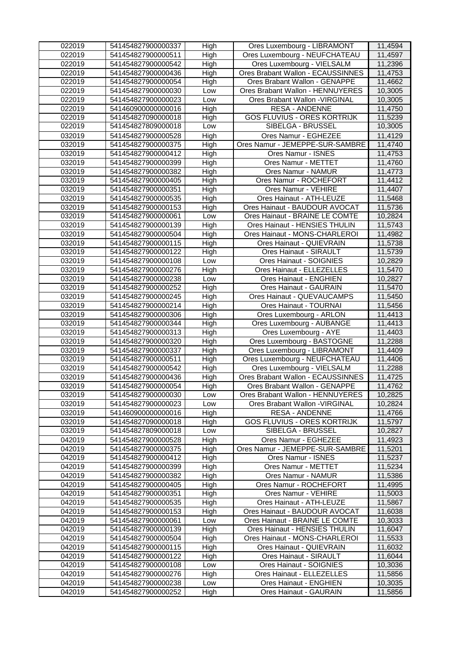| 022019 | 541454827900000337 | High | Ores Luxembourg - LIBRAMONT        | 11,4594 |
|--------|--------------------|------|------------------------------------|---------|
| 022019 | 541454827900000511 | High | Ores Luxembourg - NEUFCHATEAU      | 11,4597 |
| 022019 | 541454827900000542 | High | Ores Luxembourg - VIELSALM         | 11,2396 |
| 022019 | 541454827900000436 | High | Ores Brabant Wallon - ECAUSSINNES  | 11,4753 |
| 022019 | 541454827900000054 | High | Ores Brabant Wallon - GENAPPE      | 11,4662 |
| 022019 | 541454827900000030 | Low  | Ores Brabant Wallon - HENNUYERES   | 10,3005 |
| 022019 | 541454827900000023 | Low  | Ores Brabant Wallon - VIRGINAL     | 10,3005 |
| 022019 | 541460900000000016 | High | <b>RESA - ANDENNE</b>              | 11,4750 |
| 022019 | 541454827090000018 | High | <b>GOS FLUVIUS - ORES KORTRIJK</b> | 11,5239 |
| 022019 | 541454827809000018 | Low  | SIBELGA - BRUSSEL                  | 10,3005 |
| 032019 | 541454827900000528 | High | Ores Namur - EGHEZEE               | 11,4129 |
| 032019 | 541454827900000375 | High | Ores Namur - JEMEPPE-SUR-SAMBRE    | 11,4740 |
| 032019 | 541454827900000412 | High | Ores Namur - ISNES                 | 11,4753 |
| 032019 | 541454827900000399 | High | Ores Namur - METTET                | 11,4760 |
| 032019 | 541454827900000382 | High | Ores Namur - NAMUR                 | 11,4773 |
| 032019 | 541454827900000405 | High | Ores Namur - ROCHEFORT             | 11,4412 |
| 032019 | 541454827900000351 | High | Ores Namur - VEHIRE                | 11,4407 |
| 032019 | 541454827900000535 | High | Ores Hainaut - ATH-LEUZE           | 11,5468 |
| 032019 | 541454827900000153 | High | Ores Hainaut - BAUDOUR AVOCAT      | 11,5736 |
| 032019 | 541454827900000061 | Low  | Ores Hainaut - BRAINE LE COMTE     | 10,2824 |
| 032019 | 541454827900000139 | High | Ores Hainaut - HENSIES THULIN      | 11,5743 |
| 032019 | 541454827900000504 | High | Ores Hainaut - MONS-CHARLEROI      | 11,4982 |
| 032019 | 541454827900000115 | High | Ores Hainaut - QUIEVRAIN           | 11,5738 |
| 032019 | 541454827900000122 | High | Ores Hainaut - SIRAULT             | 11,5739 |
| 032019 | 541454827900000108 | Low  | Ores Hainaut - SOIGNIES            | 10,2829 |
| 032019 | 541454827900000276 | High | Ores Hainaut - ELLEZELLES          | 11,5470 |
| 032019 | 541454827900000238 | Low  | Ores Hainaut - ENGHIEN             | 10,2827 |
| 032019 | 541454827900000252 | High | Ores Hainaut - GAURAIN             | 11,5470 |
| 032019 | 541454827900000245 | High | Ores Hainaut - QUEVAUCAMPS         | 11,5450 |
| 032019 | 541454827900000214 | High | Ores Hainaut - TOURNAI             | 11,5456 |
| 032019 | 541454827900000306 | High | Ores Luxembourg - ARLON            | 11,4413 |
| 032019 | 541454827900000344 | High | Ores Luxembourg - AUBANGE          | 11,4413 |
| 032019 | 541454827900000313 | High | Ores Luxembourg - AYE              | 11,4403 |
| 032019 | 541454827900000320 | High | Ores Luxembourg - BASTOGNE         | 11,2288 |
| 032019 | 541454827900000337 | High | Ores Luxembourg - LIBRAMONT        | 11,4409 |
| 032019 | 541454827900000511 | High | Ores Luxembourg - NEUFCHATEAU      | 11,4406 |
| 032019 | 541454827900000542 | High | Ores Luxembourg - VIELSALM         | 11,2288 |
| 032019 | 541454827900000436 | High | Ores Brabant Wallon - ECAUSSINNES  | 11,4725 |
| 032019 | 541454827900000054 | High | Ores Brabant Wallon - GENAPPE      | 11,4762 |
| 032019 | 541454827900000030 | Low  | Ores Brabant Wallon - HENNUYERES   | 10,2825 |
| 032019 | 541454827900000023 | Low  | Ores Brabant Wallon - VIRGINAL     | 10,2824 |
| 032019 | 541460900000000016 | High | <b>RESA - ANDENNE</b>              | 11,4766 |
| 032019 | 541454827090000018 | High | <b>GOS FLUVIUS - ORES KORTRIJK</b> | 11,5797 |
| 032019 | 541454827809000018 | Low  | SIBELGA - BRUSSEL                  | 10,2827 |
| 042019 | 541454827900000528 | High | Ores Namur - EGHEZEE               | 11,4923 |
| 042019 | 541454827900000375 | High | Ores Namur - JEMEPPE-SUR-SAMBRE    | 11,5201 |
| 042019 | 541454827900000412 | High | Ores Namur - ISNES                 | 11,5237 |
| 042019 | 541454827900000399 | High | Ores Namur - METTET                | 11,5234 |
| 042019 | 541454827900000382 | High | Ores Namur - NAMUR                 | 11,5386 |
| 042019 | 541454827900000405 | High | Ores Namur - ROCHEFORT             | 11,4995 |
| 042019 | 541454827900000351 | High | Ores Namur - VEHIRE                | 11,5003 |
| 042019 | 541454827900000535 | High | Ores Hainaut - ATH-LEUZE           | 11,5867 |
| 042019 | 541454827900000153 | High | Ores Hainaut - BAUDOUR AVOCAT      | 11,6038 |
| 042019 | 541454827900000061 | Low  | Ores Hainaut - BRAINE LE COMTE     | 10,3033 |
| 042019 | 541454827900000139 | High | Ores Hainaut - HENSIES THULIN      | 11,6047 |
| 042019 | 541454827900000504 | High | Ores Hainaut - MONS-CHARLEROI      | 11,5533 |
| 042019 | 541454827900000115 | High | Ores Hainaut - QUIEVRAIN           | 11,6032 |
| 042019 | 541454827900000122 | High | Ores Hainaut - SIRAULT             | 11,6044 |
| 042019 | 541454827900000108 | Low  | Ores Hainaut - SOIGNIES            | 10,3036 |
| 042019 | 541454827900000276 | High | Ores Hainaut - ELLEZELLES          | 11,5856 |
| 042019 | 541454827900000238 | Low  | Ores Hainaut - ENGHIEN             | 10,3035 |
| 042019 | 541454827900000252 | High | Ores Hainaut - GAURAIN             | 11,5856 |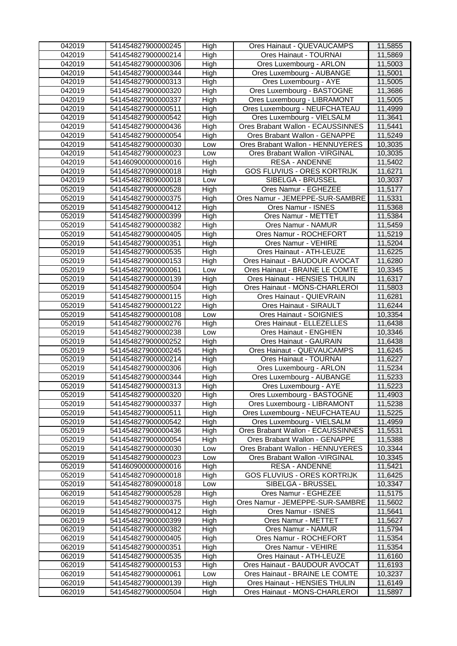| 042019 | 541454827900000245 | High | Ores Hainaut - QUEVAUCAMPS         | 11,5855 |
|--------|--------------------|------|------------------------------------|---------|
| 042019 | 541454827900000214 | High | Ores Hainaut - TOURNAI             | 11,5869 |
| 042019 | 541454827900000306 | High | Ores Luxembourg - ARLON            | 11,5003 |
| 042019 | 541454827900000344 | High | Ores Luxembourg - AUBANGE          | 11,5001 |
| 042019 | 541454827900000313 | High | Ores Luxembourg - AYE              | 11,5005 |
| 042019 | 541454827900000320 | High | Ores Luxembourg - BASTOGNE         | 11,3686 |
| 042019 | 541454827900000337 | High | Ores Luxembourg - LIBRAMONT        | 11,5005 |
| 042019 | 541454827900000511 | High | Ores Luxembourg - NEUFCHATEAU      | 11,4999 |
| 042019 | 541454827900000542 | High | Ores Luxembourg - VIELSALM         | 11,3641 |
| 042019 | 541454827900000436 | High | Ores Brabant Wallon - ECAUSSINNES  | 11,5441 |
| 042019 | 541454827900000054 | High | Ores Brabant Wallon - GENAPPE      | 11,5249 |
| 042019 | 541454827900000030 | Low  | Ores Brabant Wallon - HENNUYERES   | 10,3035 |
| 042019 | 541454827900000023 | Low  | Ores Brabant Wallon - VIRGINAL     | 10,3035 |
| 042019 | 541460900000000016 | High | <b>RESA - ANDENNE</b>              | 11,5402 |
| 042019 | 541454827090000018 | High | <b>GOS FLUVIUS - ORES KORTRIJK</b> | 11,6271 |
| 042019 | 541454827809000018 | Low  | <b>SIBELGA - BRUSSEL</b>           | 10,3037 |
| 052019 | 541454827900000528 | High | Ores Namur - EGHEZEE               | 11,5177 |
| 052019 | 541454827900000375 | High | Ores Namur - JEMEPPE-SUR-SAMBRE    | 11,5331 |
| 052019 | 541454827900000412 | High | Ores Namur - ISNES                 | 11,5368 |
| 052019 | 541454827900000399 | High | Ores Namur - METTET                | 11,5384 |
| 052019 | 541454827900000382 | High | Ores Namur - NAMUR                 | 11,5459 |
| 052019 | 541454827900000405 | High | Ores Namur - ROCHEFORT             | 11,5219 |
| 052019 | 541454827900000351 | High | Ores Namur - VEHIRE                | 11,5204 |
| 052019 | 541454827900000535 | High | Ores Hainaut - ATH-LEUZE           | 11,6225 |
| 052019 | 541454827900000153 | High | Ores Hainaut - BAUDOUR AVOCAT      | 11,6280 |
| 052019 | 541454827900000061 | Low  | Ores Hainaut - BRAINE LE COMTE     | 10,3345 |
| 052019 | 541454827900000139 | High | Ores Hainaut - HENSIES THULIN      | 11,6317 |
| 052019 | 541454827900000504 | High | Ores Hainaut - MONS-CHARLEROI      | 11,5803 |
| 052019 | 541454827900000115 | High | Ores Hainaut - QUIEVRAIN           | 11,6281 |
| 052019 | 541454827900000122 | High | Ores Hainaut - SIRAULT             | 11,6244 |
| 052019 | 541454827900000108 | Low  | Ores Hainaut - SOIGNIES            | 10,3354 |
| 052019 | 541454827900000276 | High | Ores Hainaut - ELLEZELLES          | 11,6438 |
| 052019 | 541454827900000238 | Low  | Ores Hainaut - ENGHIEN             | 10,3346 |
| 052019 | 541454827900000252 | High | Ores Hainaut - GAURAIN             | 11,6438 |
| 052019 | 541454827900000245 | High | Ores Hainaut - QUEVAUCAMPS         | 11,6245 |
| 052019 | 541454827900000214 | High | Ores Hainaut - TOURNAI             | 11,6227 |
| 052019 | 541454827900000306 | High | Ores Luxembourg - ARLON            | 11,5234 |
| 052019 | 541454827900000344 | High | Ores Luxembourg - AUBANGE          | 11,5233 |
| 052019 | 541454827900000313 | High | Ores Luxembourg - AYE              | 11,5223 |
| 052019 | 541454827900000320 | High | Ores Luxembourg - BASTOGNE         | 11,4903 |
| 052019 | 541454827900000337 | High | Ores Luxembourg - LIBRAMONT        | 11,5238 |
| 052019 | 541454827900000511 | High | Ores Luxembourg - NEUFCHATEAU      | 11,5225 |
| 052019 | 541454827900000542 | High | Ores Luxembourg - VIELSALM         | 11,4959 |
| 052019 | 541454827900000436 | High | Ores Brabant Wallon - ECAUSSINNES  | 11,5531 |
| 052019 | 541454827900000054 | High | Ores Brabant Wallon - GENAPPE      | 11,5388 |
| 052019 | 541454827900000030 | Low  | Ores Brabant Wallon - HENNUYERES   | 10,3344 |
| 052019 | 541454827900000023 | Low  | Ores Brabant Wallon - VIRGINAL     | 10,3345 |
| 052019 | 541460900000000016 | High | <b>RESA - ANDENNE</b>              | 11,5421 |
| 052019 | 541454827090000018 | High | <b>GOS FLUVIUS - ORES KORTRIJK</b> | 11,6425 |
| 052019 | 541454827809000018 | Low  | SIBELGA - BRUSSEL                  | 10,3347 |
| 062019 | 541454827900000528 | High | Ores Namur - EGHEZEE               | 11,5175 |
| 062019 | 541454827900000375 | High | Ores Namur - JEMEPPE-SUR-SAMBRE    | 11,5602 |
| 062019 | 541454827900000412 | High | Ores Namur - ISNES                 | 11,5641 |
| 062019 | 541454827900000399 | High | Ores Namur - METTET                | 11,5627 |
| 062019 | 541454827900000382 | High | Ores Namur - NAMUR                 | 11,5794 |
| 062019 | 541454827900000405 | High | Ores Namur - ROCHEFORT             | 11,5354 |
| 062019 | 541454827900000351 | High | Ores Namur - VEHIRE                | 11,5354 |
| 062019 | 541454827900000535 | High | Ores Hainaut - ATH-LEUZE           | 11,6160 |
| 062019 | 541454827900000153 | High | Ores Hainaut - BAUDOUR AVOCAT      | 11,6193 |
| 062019 | 541454827900000061 | Low  | Ores Hainaut - BRAINE LE COMTE     | 10,3237 |
| 062019 | 541454827900000139 | High | Ores Hainaut - HENSIES THULIN      | 11,6149 |
| 062019 | 541454827900000504 | High | Ores Hainaut - MONS-CHARLEROI      | 11,5897 |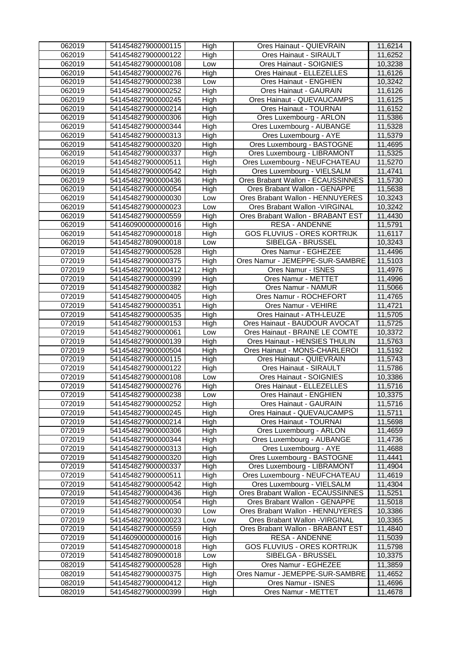| 062019<br>541454827900000122<br>High<br>Ores Hainaut - SIRAULT<br>11,6252<br>062019<br>Ores Hainaut - SOIGNIES<br>10,3238<br>541454827900000108<br>Low<br>062019<br>Ores Hainaut - ELLEZELLES<br>11,6126<br>541454827900000276<br>High<br>062019<br>10,3242<br>541454827900000238<br>Low<br>Ores Hainaut - ENGHIEN<br>062019<br>High<br>Ores Hainaut - GAURAIN<br>541454827900000252<br>11,6126<br>062019<br>541454827900000245<br>High<br>Ores Hainaut - QUEVAUCAMPS<br>11,6125<br>062019<br>541454827900000214<br>High<br>Ores Hainaut - TOURNAI<br>11,6152<br>062019<br>541454827900000306<br>High<br>Ores Luxembourg - ARLON<br>11,5386<br>062019<br>541454827900000344<br>High<br>Ores Luxembourg - AUBANGE<br>11,5328<br>062019<br>541454827900000313<br>Ores Luxembourg - AYE<br>11,5379<br>High<br>062019<br>Ores Luxembourg - BASTOGNE<br>541454827900000320<br>High<br>11,4695<br>Ores Luxembourg - LIBRAMONT<br>062019<br>High<br>11,5325<br>541454827900000337<br>Ores Luxembourg - NEUFCHATEAU<br>062019<br>11,5270<br>541454827900000511<br>High<br>Ores Luxembourg - VIELSALM<br>062019<br>11,4741<br>541454827900000542<br>High<br>062019<br>11,5730<br>541454827900000436<br>High<br>Ores Brabant Wallon - ECAUSSINNES<br>062019<br>Ores Brabant Wallon - GENAPPE<br>11,5638<br>541454827900000054<br>High<br>062019<br>541454827900000030<br>Ores Brabant Wallon - HENNUYERES<br>10,3243<br>Low<br>062019<br>Ores Brabant Wallon - VIRGINAL<br>10,3242<br>541454827900000023<br>Low<br>062019<br>High<br>Ores Brabant Wallon - BRABANT EST<br>11,4430<br>541454827900000559<br>062019<br><b>RESA - ANDENNE</b><br>11,5791<br>541460900000000016<br>High<br>062019<br><b>GOS FLUVIUS - ORES KORTRIJK</b><br>11,6117<br>541454827090000018<br>High<br>062019<br>SIBELGA - BRUSSEL<br>10,3243<br>541454827809000018<br>Low<br>Ores Namur - EGHEZEE<br>072019<br>541454827900000528<br>High<br>11,4496<br>Ores Namur - JEMEPPE-SUR-SAMBRE<br>072019<br>541454827900000375<br>High<br>11,5103<br>072019<br>High<br>11,4976<br>541454827900000412<br>Ores Namur - ISNES<br>072019<br>High<br>Ores Namur - METTET<br>11,4996<br>541454827900000399<br>Ores Namur - NAMUR<br>072019<br>11,5066<br>541454827900000382<br>High<br>072019<br>High<br>Ores Namur - ROCHEFORT<br>11,4765<br>541454827900000405<br>072019<br>High<br>Ores Namur - VEHIRE<br>11,4721<br>541454827900000351<br>072019<br>High<br>Ores Hainaut - ATH-LEUZE<br>11,5705<br>541454827900000535<br>072019<br>Ores Hainaut - BAUDOUR AVOCAT<br>11,5725<br>541454827900000153<br>High<br>072019<br>Ores Hainaut - BRAINE LE COMTE<br>10,3372<br>541454827900000061<br>Low<br>Ores Hainaut - HENSIES THULIN<br>072019<br>High<br>11,5763<br>541454827900000139<br>072019<br>Ores Hainaut - MONS-CHARLEROI<br>11,5192<br>541454827900000504<br>High<br>072019<br>Ores Hainaut - QUIEVRAIN<br>11,5743<br>541454827900000115<br>High<br>072019<br>541454827900000122<br>High<br>Ores Hainaut - SIRAULT<br>11,5786<br>Ores Hainaut - SOIGNIES<br>072019<br>541454827900000108<br>10,3386<br>Low<br>072019<br>541454827900000276<br>High<br>Ores Hainaut - ELLEZELLES<br>11,5716<br>072019<br>Ores Hainaut - ENGHIEN<br>10,3375<br>541454827900000238<br>Low<br>072019<br>Ores Hainaut - GAURAIN<br>541454827900000252<br>High<br>11,5716<br>Ores Hainaut - QUEVAUCAMPS<br>072019<br>High<br>11,5711<br>541454827900000245<br>Ores Hainaut - TOURNAI<br>072019<br>High<br>11,5698<br>541454827900000214<br>072019<br>High<br>Ores Luxembourg - ARLON<br>541454827900000306<br>11,4659<br>Ores Luxembourg - AUBANGE<br>072019<br>High<br>11,4736<br>541454827900000344<br>072019<br>Ores Luxembourg - AYE<br>High<br>11,4688<br>541454827900000313<br>072019<br>High<br>Ores Luxembourg - BASTOGNE<br>11,4441<br>541454827900000320<br>Ores Luxembourg - LIBRAMONT<br>072019<br>High<br>11,4904<br>541454827900000337<br>Ores Luxembourg - NEUFCHATEAU<br>072019<br>541454827900000511<br>High<br>11,4619<br>Ores Luxembourg - VIELSALM<br>High<br>072019<br>541454827900000542<br>11,4304<br>Ores Brabant Wallon - ECAUSSINNES<br>072019<br>11,5251<br>541454827900000436<br>High<br>Ores Brabant Wallon - GENAPPE<br>072019<br>541454827900000054<br>11,5018<br>High<br>072019<br>541454827900000030<br>Ores Brabant Wallon - HENNUYERES<br>10,3386<br>Low<br>072019<br>Ores Brabant Wallon - VIRGINAL<br>541454827900000023<br>10,3365<br>Low<br>072019<br>High<br>Ores Brabant Wallon - BRABANT EST<br>11,4840<br>541454827900000559<br>072019<br><b>RESA - ANDENNE</b><br>541460900000000016<br>High<br>11,5039<br><b>GOS FLUVIUS - ORES KORTRIJK</b><br>072019<br>541454827090000018<br>11,5798<br>High<br><b>SIBELGA - BRUSSEL</b><br>072019<br>541454827809000018<br>10,3375<br>Low<br>Ores Namur - EGHEZEE<br>082019<br>541454827900000528<br>11,3859<br>High<br>082019<br>Ores Namur - JEMEPPE-SUR-SAMBRE<br>11,4652<br>541454827900000375<br>High<br>082019<br>High<br>Ores Namur - ISNES<br>541454827900000412<br>11,4696<br>082019<br>Ores Namur - METTET<br>541454827900000399<br>High<br>11,4678 | 062019 | 541454827900000115 | High | Ores Hainaut - QUIEVRAIN | 11,6214 |
|-------------------------------------------------------------------------------------------------------------------------------------------------------------------------------------------------------------------------------------------------------------------------------------------------------------------------------------------------------------------------------------------------------------------------------------------------------------------------------------------------------------------------------------------------------------------------------------------------------------------------------------------------------------------------------------------------------------------------------------------------------------------------------------------------------------------------------------------------------------------------------------------------------------------------------------------------------------------------------------------------------------------------------------------------------------------------------------------------------------------------------------------------------------------------------------------------------------------------------------------------------------------------------------------------------------------------------------------------------------------------------------------------------------------------------------------------------------------------------------------------------------------------------------------------------------------------------------------------------------------------------------------------------------------------------------------------------------------------------------------------------------------------------------------------------------------------------------------------------------------------------------------------------------------------------------------------------------------------------------------------------------------------------------------------------------------------------------------------------------------------------------------------------------------------------------------------------------------------------------------------------------------------------------------------------------------------------------------------------------------------------------------------------------------------------------------------------------------------------------------------------------------------------------------------------------------------------------------------------------------------------------------------------------------------------------------------------------------------------------------------------------------------------------------------------------------------------------------------------------------------------------------------------------------------------------------------------------------------------------------------------------------------------------------------------------------------------------------------------------------------------------------------------------------------------------------------------------------------------------------------------------------------------------------------------------------------------------------------------------------------------------------------------------------------------------------------------------------------------------------------------------------------------------------------------------------------------------------------------------------------------------------------------------------------------------------------------------------------------------------------------------------------------------------------------------------------------------------------------------------------------------------------------------------------------------------------------------------------------------------------------------------------------------------------------------------------------------------------------------------------------------------------------------------------------------------------------------------------------------------------------------------------------------------------------------------------------------------------------------------------------------------------------------------------------------------------------------------------------------------------------------------------------------------------------------------------------------------------------------------------------------------------------------------------------------------------------------------------------------------------------------------------------------------------------------------------------------------------------------------------------------------------------------------------------------------------------------------------------------------------------------------------------------------------------------------------------------|--------|--------------------|------|--------------------------|---------|
|                                                                                                                                                                                                                                                                                                                                                                                                                                                                                                                                                                                                                                                                                                                                                                                                                                                                                                                                                                                                                                                                                                                                                                                                                                                                                                                                                                                                                                                                                                                                                                                                                                                                                                                                                                                                                                                                                                                                                                                                                                                                                                                                                                                                                                                                                                                                                                                                                                                                                                                                                                                                                                                                                                                                                                                                                                                                                                                                                                                                                                                                                                                                                                                                                                                                                                                                                                                                                                                                                                                                                                                                                                                                                                                                                                                                                                                                                                                                                                                                                                                                                                                                                                                                                                                                                                                                                                                                                                                                                                                                                                                                                                                                                                                                                                                                                                                                                                                                                                                                                                                                                     |        |                    |      |                          |         |
|                                                                                                                                                                                                                                                                                                                                                                                                                                                                                                                                                                                                                                                                                                                                                                                                                                                                                                                                                                                                                                                                                                                                                                                                                                                                                                                                                                                                                                                                                                                                                                                                                                                                                                                                                                                                                                                                                                                                                                                                                                                                                                                                                                                                                                                                                                                                                                                                                                                                                                                                                                                                                                                                                                                                                                                                                                                                                                                                                                                                                                                                                                                                                                                                                                                                                                                                                                                                                                                                                                                                                                                                                                                                                                                                                                                                                                                                                                                                                                                                                                                                                                                                                                                                                                                                                                                                                                                                                                                                                                                                                                                                                                                                                                                                                                                                                                                                                                                                                                                                                                                                                     |        |                    |      |                          |         |
|                                                                                                                                                                                                                                                                                                                                                                                                                                                                                                                                                                                                                                                                                                                                                                                                                                                                                                                                                                                                                                                                                                                                                                                                                                                                                                                                                                                                                                                                                                                                                                                                                                                                                                                                                                                                                                                                                                                                                                                                                                                                                                                                                                                                                                                                                                                                                                                                                                                                                                                                                                                                                                                                                                                                                                                                                                                                                                                                                                                                                                                                                                                                                                                                                                                                                                                                                                                                                                                                                                                                                                                                                                                                                                                                                                                                                                                                                                                                                                                                                                                                                                                                                                                                                                                                                                                                                                                                                                                                                                                                                                                                                                                                                                                                                                                                                                                                                                                                                                                                                                                                                     |        |                    |      |                          |         |
|                                                                                                                                                                                                                                                                                                                                                                                                                                                                                                                                                                                                                                                                                                                                                                                                                                                                                                                                                                                                                                                                                                                                                                                                                                                                                                                                                                                                                                                                                                                                                                                                                                                                                                                                                                                                                                                                                                                                                                                                                                                                                                                                                                                                                                                                                                                                                                                                                                                                                                                                                                                                                                                                                                                                                                                                                                                                                                                                                                                                                                                                                                                                                                                                                                                                                                                                                                                                                                                                                                                                                                                                                                                                                                                                                                                                                                                                                                                                                                                                                                                                                                                                                                                                                                                                                                                                                                                                                                                                                                                                                                                                                                                                                                                                                                                                                                                                                                                                                                                                                                                                                     |        |                    |      |                          |         |
|                                                                                                                                                                                                                                                                                                                                                                                                                                                                                                                                                                                                                                                                                                                                                                                                                                                                                                                                                                                                                                                                                                                                                                                                                                                                                                                                                                                                                                                                                                                                                                                                                                                                                                                                                                                                                                                                                                                                                                                                                                                                                                                                                                                                                                                                                                                                                                                                                                                                                                                                                                                                                                                                                                                                                                                                                                                                                                                                                                                                                                                                                                                                                                                                                                                                                                                                                                                                                                                                                                                                                                                                                                                                                                                                                                                                                                                                                                                                                                                                                                                                                                                                                                                                                                                                                                                                                                                                                                                                                                                                                                                                                                                                                                                                                                                                                                                                                                                                                                                                                                                                                     |        |                    |      |                          |         |
|                                                                                                                                                                                                                                                                                                                                                                                                                                                                                                                                                                                                                                                                                                                                                                                                                                                                                                                                                                                                                                                                                                                                                                                                                                                                                                                                                                                                                                                                                                                                                                                                                                                                                                                                                                                                                                                                                                                                                                                                                                                                                                                                                                                                                                                                                                                                                                                                                                                                                                                                                                                                                                                                                                                                                                                                                                                                                                                                                                                                                                                                                                                                                                                                                                                                                                                                                                                                                                                                                                                                                                                                                                                                                                                                                                                                                                                                                                                                                                                                                                                                                                                                                                                                                                                                                                                                                                                                                                                                                                                                                                                                                                                                                                                                                                                                                                                                                                                                                                                                                                                                                     |        |                    |      |                          |         |
|                                                                                                                                                                                                                                                                                                                                                                                                                                                                                                                                                                                                                                                                                                                                                                                                                                                                                                                                                                                                                                                                                                                                                                                                                                                                                                                                                                                                                                                                                                                                                                                                                                                                                                                                                                                                                                                                                                                                                                                                                                                                                                                                                                                                                                                                                                                                                                                                                                                                                                                                                                                                                                                                                                                                                                                                                                                                                                                                                                                                                                                                                                                                                                                                                                                                                                                                                                                                                                                                                                                                                                                                                                                                                                                                                                                                                                                                                                                                                                                                                                                                                                                                                                                                                                                                                                                                                                                                                                                                                                                                                                                                                                                                                                                                                                                                                                                                                                                                                                                                                                                                                     |        |                    |      |                          |         |
|                                                                                                                                                                                                                                                                                                                                                                                                                                                                                                                                                                                                                                                                                                                                                                                                                                                                                                                                                                                                                                                                                                                                                                                                                                                                                                                                                                                                                                                                                                                                                                                                                                                                                                                                                                                                                                                                                                                                                                                                                                                                                                                                                                                                                                                                                                                                                                                                                                                                                                                                                                                                                                                                                                                                                                                                                                                                                                                                                                                                                                                                                                                                                                                                                                                                                                                                                                                                                                                                                                                                                                                                                                                                                                                                                                                                                                                                                                                                                                                                                                                                                                                                                                                                                                                                                                                                                                                                                                                                                                                                                                                                                                                                                                                                                                                                                                                                                                                                                                                                                                                                                     |        |                    |      |                          |         |
|                                                                                                                                                                                                                                                                                                                                                                                                                                                                                                                                                                                                                                                                                                                                                                                                                                                                                                                                                                                                                                                                                                                                                                                                                                                                                                                                                                                                                                                                                                                                                                                                                                                                                                                                                                                                                                                                                                                                                                                                                                                                                                                                                                                                                                                                                                                                                                                                                                                                                                                                                                                                                                                                                                                                                                                                                                                                                                                                                                                                                                                                                                                                                                                                                                                                                                                                                                                                                                                                                                                                                                                                                                                                                                                                                                                                                                                                                                                                                                                                                                                                                                                                                                                                                                                                                                                                                                                                                                                                                                                                                                                                                                                                                                                                                                                                                                                                                                                                                                                                                                                                                     |        |                    |      |                          |         |
|                                                                                                                                                                                                                                                                                                                                                                                                                                                                                                                                                                                                                                                                                                                                                                                                                                                                                                                                                                                                                                                                                                                                                                                                                                                                                                                                                                                                                                                                                                                                                                                                                                                                                                                                                                                                                                                                                                                                                                                                                                                                                                                                                                                                                                                                                                                                                                                                                                                                                                                                                                                                                                                                                                                                                                                                                                                                                                                                                                                                                                                                                                                                                                                                                                                                                                                                                                                                                                                                                                                                                                                                                                                                                                                                                                                                                                                                                                                                                                                                                                                                                                                                                                                                                                                                                                                                                                                                                                                                                                                                                                                                                                                                                                                                                                                                                                                                                                                                                                                                                                                                                     |        |                    |      |                          |         |
|                                                                                                                                                                                                                                                                                                                                                                                                                                                                                                                                                                                                                                                                                                                                                                                                                                                                                                                                                                                                                                                                                                                                                                                                                                                                                                                                                                                                                                                                                                                                                                                                                                                                                                                                                                                                                                                                                                                                                                                                                                                                                                                                                                                                                                                                                                                                                                                                                                                                                                                                                                                                                                                                                                                                                                                                                                                                                                                                                                                                                                                                                                                                                                                                                                                                                                                                                                                                                                                                                                                                                                                                                                                                                                                                                                                                                                                                                                                                                                                                                                                                                                                                                                                                                                                                                                                                                                                                                                                                                                                                                                                                                                                                                                                                                                                                                                                                                                                                                                                                                                                                                     |        |                    |      |                          |         |
|                                                                                                                                                                                                                                                                                                                                                                                                                                                                                                                                                                                                                                                                                                                                                                                                                                                                                                                                                                                                                                                                                                                                                                                                                                                                                                                                                                                                                                                                                                                                                                                                                                                                                                                                                                                                                                                                                                                                                                                                                                                                                                                                                                                                                                                                                                                                                                                                                                                                                                                                                                                                                                                                                                                                                                                                                                                                                                                                                                                                                                                                                                                                                                                                                                                                                                                                                                                                                                                                                                                                                                                                                                                                                                                                                                                                                                                                                                                                                                                                                                                                                                                                                                                                                                                                                                                                                                                                                                                                                                                                                                                                                                                                                                                                                                                                                                                                                                                                                                                                                                                                                     |        |                    |      |                          |         |
|                                                                                                                                                                                                                                                                                                                                                                                                                                                                                                                                                                                                                                                                                                                                                                                                                                                                                                                                                                                                                                                                                                                                                                                                                                                                                                                                                                                                                                                                                                                                                                                                                                                                                                                                                                                                                                                                                                                                                                                                                                                                                                                                                                                                                                                                                                                                                                                                                                                                                                                                                                                                                                                                                                                                                                                                                                                                                                                                                                                                                                                                                                                                                                                                                                                                                                                                                                                                                                                                                                                                                                                                                                                                                                                                                                                                                                                                                                                                                                                                                                                                                                                                                                                                                                                                                                                                                                                                                                                                                                                                                                                                                                                                                                                                                                                                                                                                                                                                                                                                                                                                                     |        |                    |      |                          |         |
|                                                                                                                                                                                                                                                                                                                                                                                                                                                                                                                                                                                                                                                                                                                                                                                                                                                                                                                                                                                                                                                                                                                                                                                                                                                                                                                                                                                                                                                                                                                                                                                                                                                                                                                                                                                                                                                                                                                                                                                                                                                                                                                                                                                                                                                                                                                                                                                                                                                                                                                                                                                                                                                                                                                                                                                                                                                                                                                                                                                                                                                                                                                                                                                                                                                                                                                                                                                                                                                                                                                                                                                                                                                                                                                                                                                                                                                                                                                                                                                                                                                                                                                                                                                                                                                                                                                                                                                                                                                                                                                                                                                                                                                                                                                                                                                                                                                                                                                                                                                                                                                                                     |        |                    |      |                          |         |
|                                                                                                                                                                                                                                                                                                                                                                                                                                                                                                                                                                                                                                                                                                                                                                                                                                                                                                                                                                                                                                                                                                                                                                                                                                                                                                                                                                                                                                                                                                                                                                                                                                                                                                                                                                                                                                                                                                                                                                                                                                                                                                                                                                                                                                                                                                                                                                                                                                                                                                                                                                                                                                                                                                                                                                                                                                                                                                                                                                                                                                                                                                                                                                                                                                                                                                                                                                                                                                                                                                                                                                                                                                                                                                                                                                                                                                                                                                                                                                                                                                                                                                                                                                                                                                                                                                                                                                                                                                                                                                                                                                                                                                                                                                                                                                                                                                                                                                                                                                                                                                                                                     |        |                    |      |                          |         |
|                                                                                                                                                                                                                                                                                                                                                                                                                                                                                                                                                                                                                                                                                                                                                                                                                                                                                                                                                                                                                                                                                                                                                                                                                                                                                                                                                                                                                                                                                                                                                                                                                                                                                                                                                                                                                                                                                                                                                                                                                                                                                                                                                                                                                                                                                                                                                                                                                                                                                                                                                                                                                                                                                                                                                                                                                                                                                                                                                                                                                                                                                                                                                                                                                                                                                                                                                                                                                                                                                                                                                                                                                                                                                                                                                                                                                                                                                                                                                                                                                                                                                                                                                                                                                                                                                                                                                                                                                                                                                                                                                                                                                                                                                                                                                                                                                                                                                                                                                                                                                                                                                     |        |                    |      |                          |         |
|                                                                                                                                                                                                                                                                                                                                                                                                                                                                                                                                                                                                                                                                                                                                                                                                                                                                                                                                                                                                                                                                                                                                                                                                                                                                                                                                                                                                                                                                                                                                                                                                                                                                                                                                                                                                                                                                                                                                                                                                                                                                                                                                                                                                                                                                                                                                                                                                                                                                                                                                                                                                                                                                                                                                                                                                                                                                                                                                                                                                                                                                                                                                                                                                                                                                                                                                                                                                                                                                                                                                                                                                                                                                                                                                                                                                                                                                                                                                                                                                                                                                                                                                                                                                                                                                                                                                                                                                                                                                                                                                                                                                                                                                                                                                                                                                                                                                                                                                                                                                                                                                                     |        |                    |      |                          |         |
|                                                                                                                                                                                                                                                                                                                                                                                                                                                                                                                                                                                                                                                                                                                                                                                                                                                                                                                                                                                                                                                                                                                                                                                                                                                                                                                                                                                                                                                                                                                                                                                                                                                                                                                                                                                                                                                                                                                                                                                                                                                                                                                                                                                                                                                                                                                                                                                                                                                                                                                                                                                                                                                                                                                                                                                                                                                                                                                                                                                                                                                                                                                                                                                                                                                                                                                                                                                                                                                                                                                                                                                                                                                                                                                                                                                                                                                                                                                                                                                                                                                                                                                                                                                                                                                                                                                                                                                                                                                                                                                                                                                                                                                                                                                                                                                                                                                                                                                                                                                                                                                                                     |        |                    |      |                          |         |
|                                                                                                                                                                                                                                                                                                                                                                                                                                                                                                                                                                                                                                                                                                                                                                                                                                                                                                                                                                                                                                                                                                                                                                                                                                                                                                                                                                                                                                                                                                                                                                                                                                                                                                                                                                                                                                                                                                                                                                                                                                                                                                                                                                                                                                                                                                                                                                                                                                                                                                                                                                                                                                                                                                                                                                                                                                                                                                                                                                                                                                                                                                                                                                                                                                                                                                                                                                                                                                                                                                                                                                                                                                                                                                                                                                                                                                                                                                                                                                                                                                                                                                                                                                                                                                                                                                                                                                                                                                                                                                                                                                                                                                                                                                                                                                                                                                                                                                                                                                                                                                                                                     |        |                    |      |                          |         |
|                                                                                                                                                                                                                                                                                                                                                                                                                                                                                                                                                                                                                                                                                                                                                                                                                                                                                                                                                                                                                                                                                                                                                                                                                                                                                                                                                                                                                                                                                                                                                                                                                                                                                                                                                                                                                                                                                                                                                                                                                                                                                                                                                                                                                                                                                                                                                                                                                                                                                                                                                                                                                                                                                                                                                                                                                                                                                                                                                                                                                                                                                                                                                                                                                                                                                                                                                                                                                                                                                                                                                                                                                                                                                                                                                                                                                                                                                                                                                                                                                                                                                                                                                                                                                                                                                                                                                                                                                                                                                                                                                                                                                                                                                                                                                                                                                                                                                                                                                                                                                                                                                     |        |                    |      |                          |         |
|                                                                                                                                                                                                                                                                                                                                                                                                                                                                                                                                                                                                                                                                                                                                                                                                                                                                                                                                                                                                                                                                                                                                                                                                                                                                                                                                                                                                                                                                                                                                                                                                                                                                                                                                                                                                                                                                                                                                                                                                                                                                                                                                                                                                                                                                                                                                                                                                                                                                                                                                                                                                                                                                                                                                                                                                                                                                                                                                                                                                                                                                                                                                                                                                                                                                                                                                                                                                                                                                                                                                                                                                                                                                                                                                                                                                                                                                                                                                                                                                                                                                                                                                                                                                                                                                                                                                                                                                                                                                                                                                                                                                                                                                                                                                                                                                                                                                                                                                                                                                                                                                                     |        |                    |      |                          |         |
|                                                                                                                                                                                                                                                                                                                                                                                                                                                                                                                                                                                                                                                                                                                                                                                                                                                                                                                                                                                                                                                                                                                                                                                                                                                                                                                                                                                                                                                                                                                                                                                                                                                                                                                                                                                                                                                                                                                                                                                                                                                                                                                                                                                                                                                                                                                                                                                                                                                                                                                                                                                                                                                                                                                                                                                                                                                                                                                                                                                                                                                                                                                                                                                                                                                                                                                                                                                                                                                                                                                                                                                                                                                                                                                                                                                                                                                                                                                                                                                                                                                                                                                                                                                                                                                                                                                                                                                                                                                                                                                                                                                                                                                                                                                                                                                                                                                                                                                                                                                                                                                                                     |        |                    |      |                          |         |
|                                                                                                                                                                                                                                                                                                                                                                                                                                                                                                                                                                                                                                                                                                                                                                                                                                                                                                                                                                                                                                                                                                                                                                                                                                                                                                                                                                                                                                                                                                                                                                                                                                                                                                                                                                                                                                                                                                                                                                                                                                                                                                                                                                                                                                                                                                                                                                                                                                                                                                                                                                                                                                                                                                                                                                                                                                                                                                                                                                                                                                                                                                                                                                                                                                                                                                                                                                                                                                                                                                                                                                                                                                                                                                                                                                                                                                                                                                                                                                                                                                                                                                                                                                                                                                                                                                                                                                                                                                                                                                                                                                                                                                                                                                                                                                                                                                                                                                                                                                                                                                                                                     |        |                    |      |                          |         |
|                                                                                                                                                                                                                                                                                                                                                                                                                                                                                                                                                                                                                                                                                                                                                                                                                                                                                                                                                                                                                                                                                                                                                                                                                                                                                                                                                                                                                                                                                                                                                                                                                                                                                                                                                                                                                                                                                                                                                                                                                                                                                                                                                                                                                                                                                                                                                                                                                                                                                                                                                                                                                                                                                                                                                                                                                                                                                                                                                                                                                                                                                                                                                                                                                                                                                                                                                                                                                                                                                                                                                                                                                                                                                                                                                                                                                                                                                                                                                                                                                                                                                                                                                                                                                                                                                                                                                                                                                                                                                                                                                                                                                                                                                                                                                                                                                                                                                                                                                                                                                                                                                     |        |                    |      |                          |         |
|                                                                                                                                                                                                                                                                                                                                                                                                                                                                                                                                                                                                                                                                                                                                                                                                                                                                                                                                                                                                                                                                                                                                                                                                                                                                                                                                                                                                                                                                                                                                                                                                                                                                                                                                                                                                                                                                                                                                                                                                                                                                                                                                                                                                                                                                                                                                                                                                                                                                                                                                                                                                                                                                                                                                                                                                                                                                                                                                                                                                                                                                                                                                                                                                                                                                                                                                                                                                                                                                                                                                                                                                                                                                                                                                                                                                                                                                                                                                                                                                                                                                                                                                                                                                                                                                                                                                                                                                                                                                                                                                                                                                                                                                                                                                                                                                                                                                                                                                                                                                                                                                                     |        |                    |      |                          |         |
|                                                                                                                                                                                                                                                                                                                                                                                                                                                                                                                                                                                                                                                                                                                                                                                                                                                                                                                                                                                                                                                                                                                                                                                                                                                                                                                                                                                                                                                                                                                                                                                                                                                                                                                                                                                                                                                                                                                                                                                                                                                                                                                                                                                                                                                                                                                                                                                                                                                                                                                                                                                                                                                                                                                                                                                                                                                                                                                                                                                                                                                                                                                                                                                                                                                                                                                                                                                                                                                                                                                                                                                                                                                                                                                                                                                                                                                                                                                                                                                                                                                                                                                                                                                                                                                                                                                                                                                                                                                                                                                                                                                                                                                                                                                                                                                                                                                                                                                                                                                                                                                                                     |        |                    |      |                          |         |
|                                                                                                                                                                                                                                                                                                                                                                                                                                                                                                                                                                                                                                                                                                                                                                                                                                                                                                                                                                                                                                                                                                                                                                                                                                                                                                                                                                                                                                                                                                                                                                                                                                                                                                                                                                                                                                                                                                                                                                                                                                                                                                                                                                                                                                                                                                                                                                                                                                                                                                                                                                                                                                                                                                                                                                                                                                                                                                                                                                                                                                                                                                                                                                                                                                                                                                                                                                                                                                                                                                                                                                                                                                                                                                                                                                                                                                                                                                                                                                                                                                                                                                                                                                                                                                                                                                                                                                                                                                                                                                                                                                                                                                                                                                                                                                                                                                                                                                                                                                                                                                                                                     |        |                    |      |                          |         |
|                                                                                                                                                                                                                                                                                                                                                                                                                                                                                                                                                                                                                                                                                                                                                                                                                                                                                                                                                                                                                                                                                                                                                                                                                                                                                                                                                                                                                                                                                                                                                                                                                                                                                                                                                                                                                                                                                                                                                                                                                                                                                                                                                                                                                                                                                                                                                                                                                                                                                                                                                                                                                                                                                                                                                                                                                                                                                                                                                                                                                                                                                                                                                                                                                                                                                                                                                                                                                                                                                                                                                                                                                                                                                                                                                                                                                                                                                                                                                                                                                                                                                                                                                                                                                                                                                                                                                                                                                                                                                                                                                                                                                                                                                                                                                                                                                                                                                                                                                                                                                                                                                     |        |                    |      |                          |         |
|                                                                                                                                                                                                                                                                                                                                                                                                                                                                                                                                                                                                                                                                                                                                                                                                                                                                                                                                                                                                                                                                                                                                                                                                                                                                                                                                                                                                                                                                                                                                                                                                                                                                                                                                                                                                                                                                                                                                                                                                                                                                                                                                                                                                                                                                                                                                                                                                                                                                                                                                                                                                                                                                                                                                                                                                                                                                                                                                                                                                                                                                                                                                                                                                                                                                                                                                                                                                                                                                                                                                                                                                                                                                                                                                                                                                                                                                                                                                                                                                                                                                                                                                                                                                                                                                                                                                                                                                                                                                                                                                                                                                                                                                                                                                                                                                                                                                                                                                                                                                                                                                                     |        |                    |      |                          |         |
|                                                                                                                                                                                                                                                                                                                                                                                                                                                                                                                                                                                                                                                                                                                                                                                                                                                                                                                                                                                                                                                                                                                                                                                                                                                                                                                                                                                                                                                                                                                                                                                                                                                                                                                                                                                                                                                                                                                                                                                                                                                                                                                                                                                                                                                                                                                                                                                                                                                                                                                                                                                                                                                                                                                                                                                                                                                                                                                                                                                                                                                                                                                                                                                                                                                                                                                                                                                                                                                                                                                                                                                                                                                                                                                                                                                                                                                                                                                                                                                                                                                                                                                                                                                                                                                                                                                                                                                                                                                                                                                                                                                                                                                                                                                                                                                                                                                                                                                                                                                                                                                                                     |        |                    |      |                          |         |
|                                                                                                                                                                                                                                                                                                                                                                                                                                                                                                                                                                                                                                                                                                                                                                                                                                                                                                                                                                                                                                                                                                                                                                                                                                                                                                                                                                                                                                                                                                                                                                                                                                                                                                                                                                                                                                                                                                                                                                                                                                                                                                                                                                                                                                                                                                                                                                                                                                                                                                                                                                                                                                                                                                                                                                                                                                                                                                                                                                                                                                                                                                                                                                                                                                                                                                                                                                                                                                                                                                                                                                                                                                                                                                                                                                                                                                                                                                                                                                                                                                                                                                                                                                                                                                                                                                                                                                                                                                                                                                                                                                                                                                                                                                                                                                                                                                                                                                                                                                                                                                                                                     |        |                    |      |                          |         |
|                                                                                                                                                                                                                                                                                                                                                                                                                                                                                                                                                                                                                                                                                                                                                                                                                                                                                                                                                                                                                                                                                                                                                                                                                                                                                                                                                                                                                                                                                                                                                                                                                                                                                                                                                                                                                                                                                                                                                                                                                                                                                                                                                                                                                                                                                                                                                                                                                                                                                                                                                                                                                                                                                                                                                                                                                                                                                                                                                                                                                                                                                                                                                                                                                                                                                                                                                                                                                                                                                                                                                                                                                                                                                                                                                                                                                                                                                                                                                                                                                                                                                                                                                                                                                                                                                                                                                                                                                                                                                                                                                                                                                                                                                                                                                                                                                                                                                                                                                                                                                                                                                     |        |                    |      |                          |         |
|                                                                                                                                                                                                                                                                                                                                                                                                                                                                                                                                                                                                                                                                                                                                                                                                                                                                                                                                                                                                                                                                                                                                                                                                                                                                                                                                                                                                                                                                                                                                                                                                                                                                                                                                                                                                                                                                                                                                                                                                                                                                                                                                                                                                                                                                                                                                                                                                                                                                                                                                                                                                                                                                                                                                                                                                                                                                                                                                                                                                                                                                                                                                                                                                                                                                                                                                                                                                                                                                                                                                                                                                                                                                                                                                                                                                                                                                                                                                                                                                                                                                                                                                                                                                                                                                                                                                                                                                                                                                                                                                                                                                                                                                                                                                                                                                                                                                                                                                                                                                                                                                                     |        |                    |      |                          |         |
|                                                                                                                                                                                                                                                                                                                                                                                                                                                                                                                                                                                                                                                                                                                                                                                                                                                                                                                                                                                                                                                                                                                                                                                                                                                                                                                                                                                                                                                                                                                                                                                                                                                                                                                                                                                                                                                                                                                                                                                                                                                                                                                                                                                                                                                                                                                                                                                                                                                                                                                                                                                                                                                                                                                                                                                                                                                                                                                                                                                                                                                                                                                                                                                                                                                                                                                                                                                                                                                                                                                                                                                                                                                                                                                                                                                                                                                                                                                                                                                                                                                                                                                                                                                                                                                                                                                                                                                                                                                                                                                                                                                                                                                                                                                                                                                                                                                                                                                                                                                                                                                                                     |        |                    |      |                          |         |
|                                                                                                                                                                                                                                                                                                                                                                                                                                                                                                                                                                                                                                                                                                                                                                                                                                                                                                                                                                                                                                                                                                                                                                                                                                                                                                                                                                                                                                                                                                                                                                                                                                                                                                                                                                                                                                                                                                                                                                                                                                                                                                                                                                                                                                                                                                                                                                                                                                                                                                                                                                                                                                                                                                                                                                                                                                                                                                                                                                                                                                                                                                                                                                                                                                                                                                                                                                                                                                                                                                                                                                                                                                                                                                                                                                                                                                                                                                                                                                                                                                                                                                                                                                                                                                                                                                                                                                                                                                                                                                                                                                                                                                                                                                                                                                                                                                                                                                                                                                                                                                                                                     |        |                    |      |                          |         |
|                                                                                                                                                                                                                                                                                                                                                                                                                                                                                                                                                                                                                                                                                                                                                                                                                                                                                                                                                                                                                                                                                                                                                                                                                                                                                                                                                                                                                                                                                                                                                                                                                                                                                                                                                                                                                                                                                                                                                                                                                                                                                                                                                                                                                                                                                                                                                                                                                                                                                                                                                                                                                                                                                                                                                                                                                                                                                                                                                                                                                                                                                                                                                                                                                                                                                                                                                                                                                                                                                                                                                                                                                                                                                                                                                                                                                                                                                                                                                                                                                                                                                                                                                                                                                                                                                                                                                                                                                                                                                                                                                                                                                                                                                                                                                                                                                                                                                                                                                                                                                                                                                     |        |                    |      |                          |         |
|                                                                                                                                                                                                                                                                                                                                                                                                                                                                                                                                                                                                                                                                                                                                                                                                                                                                                                                                                                                                                                                                                                                                                                                                                                                                                                                                                                                                                                                                                                                                                                                                                                                                                                                                                                                                                                                                                                                                                                                                                                                                                                                                                                                                                                                                                                                                                                                                                                                                                                                                                                                                                                                                                                                                                                                                                                                                                                                                                                                                                                                                                                                                                                                                                                                                                                                                                                                                                                                                                                                                                                                                                                                                                                                                                                                                                                                                                                                                                                                                                                                                                                                                                                                                                                                                                                                                                                                                                                                                                                                                                                                                                                                                                                                                                                                                                                                                                                                                                                                                                                                                                     |        |                    |      |                          |         |
|                                                                                                                                                                                                                                                                                                                                                                                                                                                                                                                                                                                                                                                                                                                                                                                                                                                                                                                                                                                                                                                                                                                                                                                                                                                                                                                                                                                                                                                                                                                                                                                                                                                                                                                                                                                                                                                                                                                                                                                                                                                                                                                                                                                                                                                                                                                                                                                                                                                                                                                                                                                                                                                                                                                                                                                                                                                                                                                                                                                                                                                                                                                                                                                                                                                                                                                                                                                                                                                                                                                                                                                                                                                                                                                                                                                                                                                                                                                                                                                                                                                                                                                                                                                                                                                                                                                                                                                                                                                                                                                                                                                                                                                                                                                                                                                                                                                                                                                                                                                                                                                                                     |        |                    |      |                          |         |
|                                                                                                                                                                                                                                                                                                                                                                                                                                                                                                                                                                                                                                                                                                                                                                                                                                                                                                                                                                                                                                                                                                                                                                                                                                                                                                                                                                                                                                                                                                                                                                                                                                                                                                                                                                                                                                                                                                                                                                                                                                                                                                                                                                                                                                                                                                                                                                                                                                                                                                                                                                                                                                                                                                                                                                                                                                                                                                                                                                                                                                                                                                                                                                                                                                                                                                                                                                                                                                                                                                                                                                                                                                                                                                                                                                                                                                                                                                                                                                                                                                                                                                                                                                                                                                                                                                                                                                                                                                                                                                                                                                                                                                                                                                                                                                                                                                                                                                                                                                                                                                                                                     |        |                    |      |                          |         |
|                                                                                                                                                                                                                                                                                                                                                                                                                                                                                                                                                                                                                                                                                                                                                                                                                                                                                                                                                                                                                                                                                                                                                                                                                                                                                                                                                                                                                                                                                                                                                                                                                                                                                                                                                                                                                                                                                                                                                                                                                                                                                                                                                                                                                                                                                                                                                                                                                                                                                                                                                                                                                                                                                                                                                                                                                                                                                                                                                                                                                                                                                                                                                                                                                                                                                                                                                                                                                                                                                                                                                                                                                                                                                                                                                                                                                                                                                                                                                                                                                                                                                                                                                                                                                                                                                                                                                                                                                                                                                                                                                                                                                                                                                                                                                                                                                                                                                                                                                                                                                                                                                     |        |                    |      |                          |         |
|                                                                                                                                                                                                                                                                                                                                                                                                                                                                                                                                                                                                                                                                                                                                                                                                                                                                                                                                                                                                                                                                                                                                                                                                                                                                                                                                                                                                                                                                                                                                                                                                                                                                                                                                                                                                                                                                                                                                                                                                                                                                                                                                                                                                                                                                                                                                                                                                                                                                                                                                                                                                                                                                                                                                                                                                                                                                                                                                                                                                                                                                                                                                                                                                                                                                                                                                                                                                                                                                                                                                                                                                                                                                                                                                                                                                                                                                                                                                                                                                                                                                                                                                                                                                                                                                                                                                                                                                                                                                                                                                                                                                                                                                                                                                                                                                                                                                                                                                                                                                                                                                                     |        |                    |      |                          |         |
|                                                                                                                                                                                                                                                                                                                                                                                                                                                                                                                                                                                                                                                                                                                                                                                                                                                                                                                                                                                                                                                                                                                                                                                                                                                                                                                                                                                                                                                                                                                                                                                                                                                                                                                                                                                                                                                                                                                                                                                                                                                                                                                                                                                                                                                                                                                                                                                                                                                                                                                                                                                                                                                                                                                                                                                                                                                                                                                                                                                                                                                                                                                                                                                                                                                                                                                                                                                                                                                                                                                                                                                                                                                                                                                                                                                                                                                                                                                                                                                                                                                                                                                                                                                                                                                                                                                                                                                                                                                                                                                                                                                                                                                                                                                                                                                                                                                                                                                                                                                                                                                                                     |        |                    |      |                          |         |
|                                                                                                                                                                                                                                                                                                                                                                                                                                                                                                                                                                                                                                                                                                                                                                                                                                                                                                                                                                                                                                                                                                                                                                                                                                                                                                                                                                                                                                                                                                                                                                                                                                                                                                                                                                                                                                                                                                                                                                                                                                                                                                                                                                                                                                                                                                                                                                                                                                                                                                                                                                                                                                                                                                                                                                                                                                                                                                                                                                                                                                                                                                                                                                                                                                                                                                                                                                                                                                                                                                                                                                                                                                                                                                                                                                                                                                                                                                                                                                                                                                                                                                                                                                                                                                                                                                                                                                                                                                                                                                                                                                                                                                                                                                                                                                                                                                                                                                                                                                                                                                                                                     |        |                    |      |                          |         |
|                                                                                                                                                                                                                                                                                                                                                                                                                                                                                                                                                                                                                                                                                                                                                                                                                                                                                                                                                                                                                                                                                                                                                                                                                                                                                                                                                                                                                                                                                                                                                                                                                                                                                                                                                                                                                                                                                                                                                                                                                                                                                                                                                                                                                                                                                                                                                                                                                                                                                                                                                                                                                                                                                                                                                                                                                                                                                                                                                                                                                                                                                                                                                                                                                                                                                                                                                                                                                                                                                                                                                                                                                                                                                                                                                                                                                                                                                                                                                                                                                                                                                                                                                                                                                                                                                                                                                                                                                                                                                                                                                                                                                                                                                                                                                                                                                                                                                                                                                                                                                                                                                     |        |                    |      |                          |         |
|                                                                                                                                                                                                                                                                                                                                                                                                                                                                                                                                                                                                                                                                                                                                                                                                                                                                                                                                                                                                                                                                                                                                                                                                                                                                                                                                                                                                                                                                                                                                                                                                                                                                                                                                                                                                                                                                                                                                                                                                                                                                                                                                                                                                                                                                                                                                                                                                                                                                                                                                                                                                                                                                                                                                                                                                                                                                                                                                                                                                                                                                                                                                                                                                                                                                                                                                                                                                                                                                                                                                                                                                                                                                                                                                                                                                                                                                                                                                                                                                                                                                                                                                                                                                                                                                                                                                                                                                                                                                                                                                                                                                                                                                                                                                                                                                                                                                                                                                                                                                                                                                                     |        |                    |      |                          |         |
|                                                                                                                                                                                                                                                                                                                                                                                                                                                                                                                                                                                                                                                                                                                                                                                                                                                                                                                                                                                                                                                                                                                                                                                                                                                                                                                                                                                                                                                                                                                                                                                                                                                                                                                                                                                                                                                                                                                                                                                                                                                                                                                                                                                                                                                                                                                                                                                                                                                                                                                                                                                                                                                                                                                                                                                                                                                                                                                                                                                                                                                                                                                                                                                                                                                                                                                                                                                                                                                                                                                                                                                                                                                                                                                                                                                                                                                                                                                                                                                                                                                                                                                                                                                                                                                                                                                                                                                                                                                                                                                                                                                                                                                                                                                                                                                                                                                                                                                                                                                                                                                                                     |        |                    |      |                          |         |
|                                                                                                                                                                                                                                                                                                                                                                                                                                                                                                                                                                                                                                                                                                                                                                                                                                                                                                                                                                                                                                                                                                                                                                                                                                                                                                                                                                                                                                                                                                                                                                                                                                                                                                                                                                                                                                                                                                                                                                                                                                                                                                                                                                                                                                                                                                                                                                                                                                                                                                                                                                                                                                                                                                                                                                                                                                                                                                                                                                                                                                                                                                                                                                                                                                                                                                                                                                                                                                                                                                                                                                                                                                                                                                                                                                                                                                                                                                                                                                                                                                                                                                                                                                                                                                                                                                                                                                                                                                                                                                                                                                                                                                                                                                                                                                                                                                                                                                                                                                                                                                                                                     |        |                    |      |                          |         |
|                                                                                                                                                                                                                                                                                                                                                                                                                                                                                                                                                                                                                                                                                                                                                                                                                                                                                                                                                                                                                                                                                                                                                                                                                                                                                                                                                                                                                                                                                                                                                                                                                                                                                                                                                                                                                                                                                                                                                                                                                                                                                                                                                                                                                                                                                                                                                                                                                                                                                                                                                                                                                                                                                                                                                                                                                                                                                                                                                                                                                                                                                                                                                                                                                                                                                                                                                                                                                                                                                                                                                                                                                                                                                                                                                                                                                                                                                                                                                                                                                                                                                                                                                                                                                                                                                                                                                                                                                                                                                                                                                                                                                                                                                                                                                                                                                                                                                                                                                                                                                                                                                     |        |                    |      |                          |         |
|                                                                                                                                                                                                                                                                                                                                                                                                                                                                                                                                                                                                                                                                                                                                                                                                                                                                                                                                                                                                                                                                                                                                                                                                                                                                                                                                                                                                                                                                                                                                                                                                                                                                                                                                                                                                                                                                                                                                                                                                                                                                                                                                                                                                                                                                                                                                                                                                                                                                                                                                                                                                                                                                                                                                                                                                                                                                                                                                                                                                                                                                                                                                                                                                                                                                                                                                                                                                                                                                                                                                                                                                                                                                                                                                                                                                                                                                                                                                                                                                                                                                                                                                                                                                                                                                                                                                                                                                                                                                                                                                                                                                                                                                                                                                                                                                                                                                                                                                                                                                                                                                                     |        |                    |      |                          |         |
|                                                                                                                                                                                                                                                                                                                                                                                                                                                                                                                                                                                                                                                                                                                                                                                                                                                                                                                                                                                                                                                                                                                                                                                                                                                                                                                                                                                                                                                                                                                                                                                                                                                                                                                                                                                                                                                                                                                                                                                                                                                                                                                                                                                                                                                                                                                                                                                                                                                                                                                                                                                                                                                                                                                                                                                                                                                                                                                                                                                                                                                                                                                                                                                                                                                                                                                                                                                                                                                                                                                                                                                                                                                                                                                                                                                                                                                                                                                                                                                                                                                                                                                                                                                                                                                                                                                                                                                                                                                                                                                                                                                                                                                                                                                                                                                                                                                                                                                                                                                                                                                                                     |        |                    |      |                          |         |
|                                                                                                                                                                                                                                                                                                                                                                                                                                                                                                                                                                                                                                                                                                                                                                                                                                                                                                                                                                                                                                                                                                                                                                                                                                                                                                                                                                                                                                                                                                                                                                                                                                                                                                                                                                                                                                                                                                                                                                                                                                                                                                                                                                                                                                                                                                                                                                                                                                                                                                                                                                                                                                                                                                                                                                                                                                                                                                                                                                                                                                                                                                                                                                                                                                                                                                                                                                                                                                                                                                                                                                                                                                                                                                                                                                                                                                                                                                                                                                                                                                                                                                                                                                                                                                                                                                                                                                                                                                                                                                                                                                                                                                                                                                                                                                                                                                                                                                                                                                                                                                                                                     |        |                    |      |                          |         |
|                                                                                                                                                                                                                                                                                                                                                                                                                                                                                                                                                                                                                                                                                                                                                                                                                                                                                                                                                                                                                                                                                                                                                                                                                                                                                                                                                                                                                                                                                                                                                                                                                                                                                                                                                                                                                                                                                                                                                                                                                                                                                                                                                                                                                                                                                                                                                                                                                                                                                                                                                                                                                                                                                                                                                                                                                                                                                                                                                                                                                                                                                                                                                                                                                                                                                                                                                                                                                                                                                                                                                                                                                                                                                                                                                                                                                                                                                                                                                                                                                                                                                                                                                                                                                                                                                                                                                                                                                                                                                                                                                                                                                                                                                                                                                                                                                                                                                                                                                                                                                                                                                     |        |                    |      |                          |         |
|                                                                                                                                                                                                                                                                                                                                                                                                                                                                                                                                                                                                                                                                                                                                                                                                                                                                                                                                                                                                                                                                                                                                                                                                                                                                                                                                                                                                                                                                                                                                                                                                                                                                                                                                                                                                                                                                                                                                                                                                                                                                                                                                                                                                                                                                                                                                                                                                                                                                                                                                                                                                                                                                                                                                                                                                                                                                                                                                                                                                                                                                                                                                                                                                                                                                                                                                                                                                                                                                                                                                                                                                                                                                                                                                                                                                                                                                                                                                                                                                                                                                                                                                                                                                                                                                                                                                                                                                                                                                                                                                                                                                                                                                                                                                                                                                                                                                                                                                                                                                                                                                                     |        |                    |      |                          |         |
|                                                                                                                                                                                                                                                                                                                                                                                                                                                                                                                                                                                                                                                                                                                                                                                                                                                                                                                                                                                                                                                                                                                                                                                                                                                                                                                                                                                                                                                                                                                                                                                                                                                                                                                                                                                                                                                                                                                                                                                                                                                                                                                                                                                                                                                                                                                                                                                                                                                                                                                                                                                                                                                                                                                                                                                                                                                                                                                                                                                                                                                                                                                                                                                                                                                                                                                                                                                                                                                                                                                                                                                                                                                                                                                                                                                                                                                                                                                                                                                                                                                                                                                                                                                                                                                                                                                                                                                                                                                                                                                                                                                                                                                                                                                                                                                                                                                                                                                                                                                                                                                                                     |        |                    |      |                          |         |
|                                                                                                                                                                                                                                                                                                                                                                                                                                                                                                                                                                                                                                                                                                                                                                                                                                                                                                                                                                                                                                                                                                                                                                                                                                                                                                                                                                                                                                                                                                                                                                                                                                                                                                                                                                                                                                                                                                                                                                                                                                                                                                                                                                                                                                                                                                                                                                                                                                                                                                                                                                                                                                                                                                                                                                                                                                                                                                                                                                                                                                                                                                                                                                                                                                                                                                                                                                                                                                                                                                                                                                                                                                                                                                                                                                                                                                                                                                                                                                                                                                                                                                                                                                                                                                                                                                                                                                                                                                                                                                                                                                                                                                                                                                                                                                                                                                                                                                                                                                                                                                                                                     |        |                    |      |                          |         |
|                                                                                                                                                                                                                                                                                                                                                                                                                                                                                                                                                                                                                                                                                                                                                                                                                                                                                                                                                                                                                                                                                                                                                                                                                                                                                                                                                                                                                                                                                                                                                                                                                                                                                                                                                                                                                                                                                                                                                                                                                                                                                                                                                                                                                                                                                                                                                                                                                                                                                                                                                                                                                                                                                                                                                                                                                                                                                                                                                                                                                                                                                                                                                                                                                                                                                                                                                                                                                                                                                                                                                                                                                                                                                                                                                                                                                                                                                                                                                                                                                                                                                                                                                                                                                                                                                                                                                                                                                                                                                                                                                                                                                                                                                                                                                                                                                                                                                                                                                                                                                                                                                     |        |                    |      |                          |         |
|                                                                                                                                                                                                                                                                                                                                                                                                                                                                                                                                                                                                                                                                                                                                                                                                                                                                                                                                                                                                                                                                                                                                                                                                                                                                                                                                                                                                                                                                                                                                                                                                                                                                                                                                                                                                                                                                                                                                                                                                                                                                                                                                                                                                                                                                                                                                                                                                                                                                                                                                                                                                                                                                                                                                                                                                                                                                                                                                                                                                                                                                                                                                                                                                                                                                                                                                                                                                                                                                                                                                                                                                                                                                                                                                                                                                                                                                                                                                                                                                                                                                                                                                                                                                                                                                                                                                                                                                                                                                                                                                                                                                                                                                                                                                                                                                                                                                                                                                                                                                                                                                                     |        |                    |      |                          |         |
|                                                                                                                                                                                                                                                                                                                                                                                                                                                                                                                                                                                                                                                                                                                                                                                                                                                                                                                                                                                                                                                                                                                                                                                                                                                                                                                                                                                                                                                                                                                                                                                                                                                                                                                                                                                                                                                                                                                                                                                                                                                                                                                                                                                                                                                                                                                                                                                                                                                                                                                                                                                                                                                                                                                                                                                                                                                                                                                                                                                                                                                                                                                                                                                                                                                                                                                                                                                                                                                                                                                                                                                                                                                                                                                                                                                                                                                                                                                                                                                                                                                                                                                                                                                                                                                                                                                                                                                                                                                                                                                                                                                                                                                                                                                                                                                                                                                                                                                                                                                                                                                                                     |        |                    |      |                          |         |
|                                                                                                                                                                                                                                                                                                                                                                                                                                                                                                                                                                                                                                                                                                                                                                                                                                                                                                                                                                                                                                                                                                                                                                                                                                                                                                                                                                                                                                                                                                                                                                                                                                                                                                                                                                                                                                                                                                                                                                                                                                                                                                                                                                                                                                                                                                                                                                                                                                                                                                                                                                                                                                                                                                                                                                                                                                                                                                                                                                                                                                                                                                                                                                                                                                                                                                                                                                                                                                                                                                                                                                                                                                                                                                                                                                                                                                                                                                                                                                                                                                                                                                                                                                                                                                                                                                                                                                                                                                                                                                                                                                                                                                                                                                                                                                                                                                                                                                                                                                                                                                                                                     |        |                    |      |                          |         |
|                                                                                                                                                                                                                                                                                                                                                                                                                                                                                                                                                                                                                                                                                                                                                                                                                                                                                                                                                                                                                                                                                                                                                                                                                                                                                                                                                                                                                                                                                                                                                                                                                                                                                                                                                                                                                                                                                                                                                                                                                                                                                                                                                                                                                                                                                                                                                                                                                                                                                                                                                                                                                                                                                                                                                                                                                                                                                                                                                                                                                                                                                                                                                                                                                                                                                                                                                                                                                                                                                                                                                                                                                                                                                                                                                                                                                                                                                                                                                                                                                                                                                                                                                                                                                                                                                                                                                                                                                                                                                                                                                                                                                                                                                                                                                                                                                                                                                                                                                                                                                                                                                     |        |                    |      |                          |         |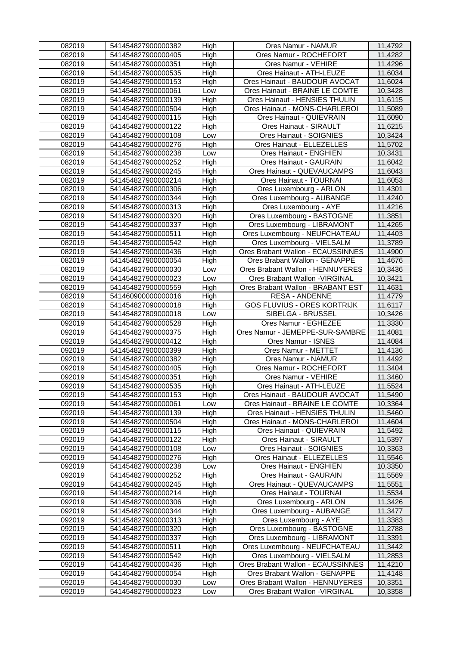| 082019           | 541454827900000382                       | High       | Ores Namur - NAMUR                                                 | 11,4792            |
|------------------|------------------------------------------|------------|--------------------------------------------------------------------|--------------------|
| 082019           | 541454827900000405                       | High       | Ores Namur - ROCHEFORT                                             | 11,4282            |
| 082019           | 541454827900000351                       | High       | Ores Namur - VEHIRE                                                | 11,4296            |
| 082019           | 541454827900000535                       | High       | Ores Hainaut - ATH-LEUZE                                           | 11,6034            |
| 082019           | 541454827900000153                       | High       | Ores Hainaut - BAUDOUR AVOCAT                                      | 11,6024            |
| 082019           | 541454827900000061                       | Low        | Ores Hainaut - BRAINE LE COMTE                                     | 10,3428            |
| 082019           | 541454827900000139                       | High       | Ores Hainaut - HENSIES THULIN                                      | 11,6115            |
| 082019           | 541454827900000504                       | High       | Ores Hainaut - MONS-CHARLEROI                                      | 11,5089            |
| 082019           | 541454827900000115                       | High       | Ores Hainaut - QUIEVRAIN                                           | 11,6090            |
| 082019           | 541454827900000122                       | High       | Ores Hainaut - SIRAULT                                             | 11,6215            |
| 082019           | 541454827900000108                       | Low        | Ores Hainaut - SOIGNIES                                            | 10,3424            |
| 082019           | 541454827900000276                       | High       | Ores Hainaut - ELLEZELLES                                          | 11,5702            |
| 082019           | 541454827900000238                       | Low        | Ores Hainaut - ENGHIEN                                             | 10,3431            |
| 082019           | 541454827900000252                       | High       | <b>Ores Hainaut - GAURAIN</b>                                      | 11,6042            |
| 082019           | 541454827900000245                       | High       | Ores Hainaut - QUEVAUCAMPS                                         | 11,6043            |
| 082019           | 541454827900000214                       | High       | Ores Hainaut - TOURNAI                                             | 11,6053            |
| 082019           | 541454827900000306                       | High       | Ores Luxembourg - ARLON                                            | 11,4301            |
| 082019           | 541454827900000344                       | High       | Ores Luxembourg - AUBANGE                                          | 11,4240            |
| 082019           | 541454827900000313                       | High       | Ores Luxembourg - AYE                                              | 11,4216            |
| 082019           | 541454827900000320                       | High       | Ores Luxembourg - BASTOGNE                                         | 11,3851            |
| 082019           | 541454827900000337                       | High       | Ores Luxembourg - LIBRAMONT                                        | 11,4265            |
| 082019           | 541454827900000511                       | High       | Ores Luxembourg - NEUFCHATEAU                                      | 11,4403            |
| 082019           | 541454827900000542                       | High       | Ores Luxembourg - VIELSALM                                         | 11,3789            |
| 082019           | 541454827900000436                       | High       | Ores Brabant Wallon - ECAUSSINNES                                  | 11,4900            |
| 082019           | 541454827900000054                       |            | Ores Brabant Wallon - GENAPPE                                      | 11,4676            |
| 082019           |                                          | High       | Ores Brabant Wallon - HENNUYERES                                   |                    |
|                  | 541454827900000030                       | Low        |                                                                    | 10,3436            |
| 082019           | 541454827900000023                       | Low        | Ores Brabant Wallon - VIRGINAL                                     | 10,3421            |
| 082019           | 541454827900000559                       | High       | Ores Brabant Wallon - BRABANT EST                                  | 11,4631            |
| 082019           | 541460900000000016                       | High       | <b>RESA - ANDENNE</b>                                              | 11,4779            |
| 082019           | 541454827090000018                       | High       | <b>GOS FLUVIUS - ORES KORTRIJK</b>                                 | 11,6117            |
| 082019           | 541454827809000018                       | Low        | SIBELGA - BRUSSEL                                                  | 10,3426            |
| 092019           | 541454827900000528                       | High       | Ores Namur - EGHEZEE                                               | 11,3330            |
|                  |                                          |            |                                                                    |                    |
| 092019           | 541454827900000375                       | High       | Ores Namur - JEMEPPE-SUR-SAMBRE                                    | 11,4081            |
| 092019           | 541454827900000412                       | High       | Ores Namur - ISNES                                                 | 11,4084            |
| 092019           | 541454827900000399                       | High       | Ores Namur - METTET                                                | 11,4136            |
| 092019           | 541454827900000382                       | High       | Ores Namur - NAMUR                                                 | 11,4492            |
| 092019           | 541454827900000405                       | High       | Ores Namur - ROCHEFORT                                             | 11,3404            |
| 092019           | 541454827900000351                       | High       | Ores Namur - VEHIRE                                                | 11,3460            |
| 092019           | 541454827900000535                       | High       | Ores Hainaut - ATH-LEUZE                                           | 11,5524            |
| 092019           | 541454827900000153                       | High       | Ores Hainaut - BAUDOUR AVOCAT                                      | 11,5490            |
| 092019           | 541454827900000061                       | Low        | Ores Hainaut - BRAINE LE COMTE                                     | 10,3364            |
| 092019           | 541454827900000139                       | High       | Ores Hainaut - HENSIES THULIN                                      | 11,5460            |
| 092019           | 541454827900000504                       | High       | Ores Hainaut - MONS-CHARLEROI                                      | 11,4604            |
| 092019           | 541454827900000115                       | High       | Ores Hainaut - QUIEVRAIN                                           | 11,5492            |
| 092019           | 541454827900000122                       | High       | Ores Hainaut - SIRAULT                                             | 11,5397            |
| 092019           | 541454827900000108                       | Low        | Ores Hainaut - SOIGNIES                                            | 10,3363            |
| 092019           | 541454827900000276                       | High       | Ores Hainaut - ELLEZELLES                                          | 11,5546            |
| 092019           | 541454827900000238                       | Low        | Ores Hainaut - ENGHIEN                                             | 10,3350            |
| 092019           | 541454827900000252                       | High       | Ores Hainaut - GAURAIN                                             | 11,5569            |
| 092019           | 541454827900000245                       | High       | Ores Hainaut - QUEVAUCAMPS                                         | 11,5551            |
| 092019           | 541454827900000214                       | High       | Ores Hainaut - TOURNAI                                             | 11,5534            |
| 092019           | 541454827900000306                       | High       | Ores Luxembourg - ARLON                                            | 11,3426            |
| 092019           | 541454827900000344                       | High       | Ores Luxembourg - AUBANGE                                          | 11,3477            |
| 092019           | 541454827900000313                       | High       | Ores Luxembourg - AYE                                              | 11,3383            |
| 092019           | 541454827900000320                       |            | Ores Luxembourg - BASTOGNE                                         | 11,2788            |
| 092019           | 541454827900000337                       | High       |                                                                    |                    |
|                  |                                          | High       | Ores Luxembourg - LIBRAMONT                                        | 11,3391            |
| 092019           | 541454827900000511                       | High       | Ores Luxembourg - NEUFCHATEAU                                      | 11,3442            |
| 092019           | 541454827900000542                       | High       | Ores Luxembourg - VIELSALM                                         | 11,2853            |
| 092019           | 541454827900000436                       | High       | Ores Brabant Wallon - ECAUSSINNES                                  | 11,4210            |
| 092019           | 541454827900000054                       | High       | Ores Brabant Wallon - GENAPPE                                      | 11,4148            |
| 092019<br>092019 | 541454827900000030<br>541454827900000023 | Low<br>Low | Ores Brabant Wallon - HENNUYERES<br>Ores Brabant Wallon - VIRGINAL | 10,3351<br>10,3358 |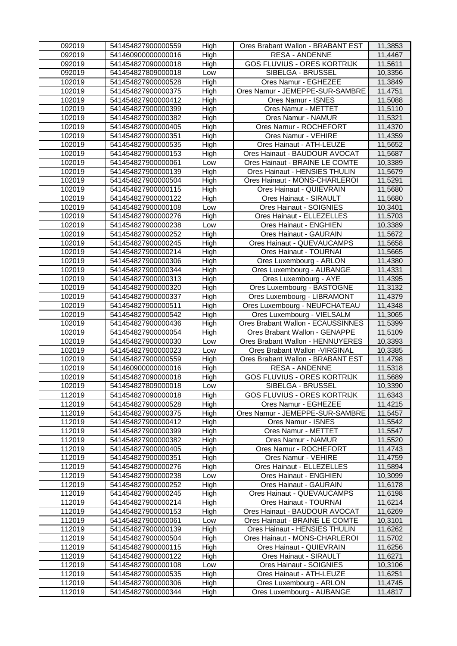| 092019 | 541454827900000559 | High | Ores Brabant Wallon - BRABANT EST  | 11,3853 |
|--------|--------------------|------|------------------------------------|---------|
| 092019 | 541460900000000016 | High | <b>RESA - ANDENNE</b>              | 11,4467 |
| 092019 | 541454827090000018 | High | <b>GOS FLUVIUS - ORES KORTRIJK</b> | 11,5611 |
| 092019 | 541454827809000018 | Low  | SIBELGA - BRUSSEL                  | 10,3356 |
| 102019 | 541454827900000528 | High | Ores Namur - EGHEZEE               | 11,3849 |
| 102019 | 541454827900000375 | High | Ores Namur - JEMEPPE-SUR-SAMBRE    | 11,4751 |
| 102019 | 541454827900000412 | High | Ores Namur - ISNES                 | 11,5088 |
| 102019 | 541454827900000399 | High | Ores Namur - METTET                | 11,5110 |
| 102019 | 541454827900000382 | High | Ores Namur - NAMUR                 | 11,5321 |
| 102019 | 541454827900000405 | High | Ores Namur - ROCHEFORT             | 11,4370 |
| 102019 | 541454827900000351 | High | Ores Namur - VEHIRE                | 11,4359 |
| 102019 | 541454827900000535 | High | Ores Hainaut - ATH-LEUZE           | 11,5652 |
| 102019 | 541454827900000153 | High | Ores Hainaut - BAUDOUR AVOCAT      | 11,5687 |
| 102019 | 541454827900000061 | Low  | Ores Hainaut - BRAINE LE COMTE     | 10,3389 |
| 102019 | 541454827900000139 | High | Ores Hainaut - HENSIES THULIN      | 11,5679 |
| 102019 | 541454827900000504 | High | Ores Hainaut - MONS-CHARLEROI      | 11,5291 |
| 102019 | 541454827900000115 | High | Ores Hainaut - QUIEVRAIN           | 11,5680 |
| 102019 | 541454827900000122 | High | Ores Hainaut - SIRAULT             | 11,5680 |
| 102019 | 541454827900000108 | Low  | Ores Hainaut - SOIGNIES            | 10,3401 |
| 102019 | 541454827900000276 | High | Ores Hainaut - ELLEZELLES          | 11,5703 |
| 102019 | 541454827900000238 | Low  | Ores Hainaut - ENGHIEN             | 10,3389 |
| 102019 | 541454827900000252 | High | Ores Hainaut - GAURAIN             | 11,5672 |
| 102019 | 541454827900000245 | High | Ores Hainaut - QUEVAUCAMPS         | 11,5658 |
| 102019 | 541454827900000214 | High | Ores Hainaut - TOURNAI             | 11,5665 |
| 102019 | 541454827900000306 | High | Ores Luxembourg - ARLON            | 11,4380 |
| 102019 | 541454827900000344 | High | Ores Luxembourg - AUBANGE          | 11,4331 |
| 102019 | 541454827900000313 | High | Ores Luxembourg - AYE              | 11,4395 |
| 102019 | 541454827900000320 | High | Ores Luxembourg - BASTOGNE         | 11,3132 |
| 102019 | 541454827900000337 | High | Ores Luxembourg - LIBRAMONT        | 11,4379 |
| 102019 | 541454827900000511 | High | Ores Luxembourg - NEUFCHATEAU      | 11,4348 |
| 102019 | 541454827900000542 | High | Ores Luxembourg - VIELSALM         | 11,3065 |
| 102019 | 541454827900000436 | High | Ores Brabant Wallon - ECAUSSINNES  | 11,5399 |
| 102019 | 541454827900000054 | High | Ores Brabant Wallon - GENAPPE      | 11,5109 |
| 102019 | 541454827900000030 | Low  | Ores Brabant Wallon - HENNUYERES   | 10,3393 |
| 102019 | 541454827900000023 | Low  | Ores Brabant Wallon - VIRGINAL     | 10,3385 |
| 102019 | 541454827900000559 | High | Ores Brabant Wallon - BRABANT EST  | 11,4798 |
| 102019 | 541460900000000016 | High | <b>RESA - ANDENNE</b>              | 11,5318 |
| 102019 | 541454827090000018 | High | <b>GOS FLUVIUS - ORES KORTRIJK</b> | 11,5689 |
| 102019 | 541454827809000018 | Low  | SIBELGA - BRUSSEL                  | 10,3390 |
| 112019 | 541454827090000018 | High | <b>GOS FLUVIUS - ORES KORTRIJK</b> | 11,6343 |
| 112019 | 541454827900000528 | High | Ores Namur - EGHEZEE               | 11,4215 |
| 112019 | 541454827900000375 | High | Ores Namur - JEMEPPE-SUR-SAMBRE    | 11,5457 |
| 112019 | 541454827900000412 | High | Ores Namur - ISNES                 | 11,5542 |
| 112019 | 541454827900000399 | High | Ores Namur - METTET                | 11,5547 |
| 112019 | 541454827900000382 | High | Ores Namur - NAMUR                 | 11,5520 |
| 112019 | 541454827900000405 | High | Ores Namur - ROCHEFORT             | 11,4743 |
| 112019 | 541454827900000351 | High | Ores Namur - VEHIRE                | 11,4759 |
| 112019 | 541454827900000276 | High | Ores Hainaut - ELLEZELLES          | 11,5894 |
| 112019 | 541454827900000238 | Low  | Ores Hainaut - ENGHIEN             | 10,3099 |
| 112019 | 541454827900000252 | High | Ores Hainaut - GAURAIN             | 11,6178 |
| 112019 | 541454827900000245 | High | Ores Hainaut - QUEVAUCAMPS         | 11,6198 |
| 112019 | 541454827900000214 | High | Ores Hainaut - TOURNAI             | 11,6214 |
| 112019 | 541454827900000153 | High | Ores Hainaut - BAUDOUR AVOCAT      | 11,6269 |
| 112019 | 541454827900000061 | Low  | Ores Hainaut - BRAINE LE COMTE     | 10,3101 |
| 112019 | 541454827900000139 | High | Ores Hainaut - HENSIES THULIN      | 11,6262 |
| 112019 | 541454827900000504 | High | Ores Hainaut - MONS-CHARLEROI      | 11,5702 |
| 112019 | 541454827900000115 | High | Ores Hainaut - QUIEVRAIN           | 11,6256 |
| 112019 | 541454827900000122 | High | Ores Hainaut - SIRAULT             | 11,6271 |
| 112019 | 541454827900000108 | Low  | Ores Hainaut - SOIGNIES            | 10,3106 |
| 112019 | 541454827900000535 | High | Ores Hainaut - ATH-LEUZE           | 11,6251 |
| 112019 | 541454827900000306 | High | Ores Luxembourg - ARLON            | 11,4745 |
| 112019 | 541454827900000344 | High | Ores Luxembourg - AUBANGE          | 11,4817 |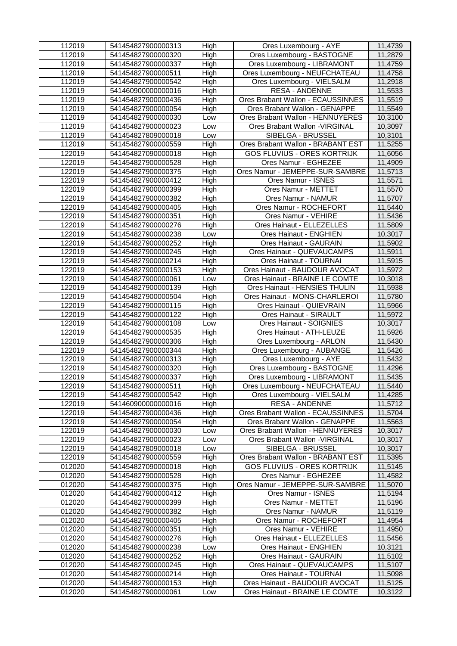| 112019 | 541454827900000313 | High       | Ores Luxembourg - AYE              | 11,4739 |
|--------|--------------------|------------|------------------------------------|---------|
| 112019 | 541454827900000320 | High       | Ores Luxembourg - BASTOGNE         | 11,2879 |
| 112019 | 541454827900000337 | High       | Ores Luxembourg - LIBRAMONT        | 11,4759 |
| 112019 | 541454827900000511 | High       | Ores Luxembourg - NEUFCHATEAU      | 11,4758 |
| 112019 | 541454827900000542 | High       | Ores Luxembourg - VIELSALM         | 11,2918 |
| 112019 | 541460900000000016 | High       | <b>RESA - ANDENNE</b>              | 11,5533 |
| 112019 | 541454827900000436 | High       | Ores Brabant Wallon - ECAUSSINNES  | 11,5519 |
| 112019 | 541454827900000054 | High       | Ores Brabant Wallon - GENAPPE      | 11,5549 |
| 112019 | 541454827900000030 | Low        | Ores Brabant Wallon - HENNUYERES   | 10,3100 |
| 112019 | 541454827900000023 | Low        | Ores Brabant Wallon - VIRGINAL     | 10,3097 |
| 112019 | 541454827809000018 | Low        | SIBELGA - BRUSSEL                  | 10,3101 |
| 112019 | 541454827900000559 | High       | Ores Brabant Wallon - BRABANT EST  | 11,5255 |
| 122019 | 541454827090000018 | High       | <b>GOS FLUVIUS - ORES KORTRIJK</b> | 11,6056 |
| 122019 | 541454827900000528 | High       | Ores Namur - EGHEZEE               | 11,4909 |
| 122019 | 541454827900000375 | High       | Ores Namur - JEMEPPE-SUR-SAMBRE    | 11,5713 |
| 122019 | 541454827900000412 | High       | Ores Namur - ISNES                 | 11,5571 |
| 122019 | 541454827900000399 | High       | Ores Namur - METTET                | 11,5570 |
| 122019 | 541454827900000382 | High       | Ores Namur - NAMUR                 | 11,5707 |
| 122019 | 541454827900000405 | High       | Ores Namur - ROCHEFORT             | 11,5440 |
| 122019 | 541454827900000351 | High       | Ores Namur - VEHIRE                | 11,5436 |
| 122019 | 541454827900000276 | High       | Ores Hainaut - ELLEZELLES          | 11,5809 |
| 122019 | 541454827900000238 | Low        | Ores Hainaut - ENGHIEN             | 10,3017 |
| 122019 | 541454827900000252 | High       | <b>Ores Hainaut - GAURAIN</b>      | 11,5902 |
| 122019 | 541454827900000245 | High       | Ores Hainaut - QUEVAUCAMPS         | 11,5911 |
| 122019 | 541454827900000214 | High       | Ores Hainaut - TOURNAI             | 11,5915 |
| 122019 | 541454827900000153 | High       | Ores Hainaut - BAUDOUR AVOCAT      | 11,5972 |
| 122019 | 541454827900000061 | Low        | Ores Hainaut - BRAINE LE COMTE     | 10,3018 |
| 122019 | 541454827900000139 | High       | Ores Hainaut - HENSIES THULIN      | 11,5938 |
| 122019 | 541454827900000504 | High       | Ores Hainaut - MONS-CHARLEROI      | 11,5780 |
| 122019 | 541454827900000115 | High       | Ores Hainaut - QUIEVRAIN           | 11,5966 |
| 122019 | 541454827900000122 | High       | Ores Hainaut - SIRAULT             | 11,5972 |
| 122019 | 541454827900000108 | Low        | Ores Hainaut - SOIGNIES            | 10,3017 |
| 122019 | 541454827900000535 | High       | Ores Hainaut - ATH-LEUZE           | 11,5926 |
| 122019 | 541454827900000306 | High       | Ores Luxembourg - ARLON            | 11,5430 |
| 122019 | 541454827900000344 | High       | Ores Luxembourg - AUBANGE          | 11,5426 |
| 122019 | 541454827900000313 | High       | Ores Luxembourg - AYE              | 11,5432 |
| 122019 | 541454827900000320 | High       | Ores Luxembourg - BASTOGNE         | 11,4296 |
| 122019 | 541454827900000337 | High       | Ores Luxembourg - LIBRAMONT        | 11,5435 |
| 122019 | 541454827900000511 | High       | Ores Luxembourg - NEUFCHATEAU      | 11,5440 |
| 122019 | 541454827900000542 | High       | Ores Luxembourg - VIELSALM         | 11,4285 |
| 122019 | 541460900000000016 | High       | <b>RESA - ANDENNE</b>              | 11,5712 |
| 122019 | 541454827900000436 | High       | Ores Brabant Wallon - ECAUSSINNES  | 11,5704 |
| 122019 | 541454827900000054 | High       | Ores Brabant Wallon - GENAPPE      | 11,5563 |
| 122019 | 541454827900000030 | Low        | Ores Brabant Wallon - HENNUYERES   | 10,3017 |
| 122019 | 541454827900000023 |            | Ores Brabant Wallon - VIRGINAL     | 10,3017 |
| 122019 | 541454827809000018 | Low<br>Low | SIBELGA - BRUSSEL                  | 10,3017 |
| 122019 | 541454827900000559 | High       | Ores Brabant Wallon - BRABANT EST  | 11,5395 |
| 012020 | 541454827090000018 | High       | <b>GOS FLUVIUS - ORES KORTRIJK</b> | 11,5145 |
| 012020 | 541454827900000528 |            | Ores Namur - EGHEZEE               |         |
|        |                    | High       |                                    | 11,4582 |
| 012020 | 541454827900000375 | High       | Ores Namur - JEMEPPE-SUR-SAMBRE    | 11,5070 |
| 012020 | 541454827900000412 | High       | Ores Namur - ISNES                 | 11,5194 |
| 012020 | 541454827900000399 | High       | Ores Namur - METTET                | 11,5196 |
| 012020 | 541454827900000382 | High       | Ores Namur - NAMUR                 | 11,5119 |
| 012020 | 541454827900000405 | High       | Ores Namur - ROCHEFORT             | 11,4954 |
| 012020 | 541454827900000351 | High       | Ores Namur - VEHIRE                | 11,4950 |
| 012020 | 541454827900000276 | High       | Ores Hainaut - ELLEZELLES          | 11,5456 |
| 012020 | 541454827900000238 | Low        | Ores Hainaut - ENGHIEN             | 10,3121 |
| 012020 | 541454827900000252 | High       | <b>Ores Hainaut - GAURAIN</b>      | 11,5102 |
| 012020 | 541454827900000245 | High       | Ores Hainaut - QUEVAUCAMPS         | 11,5107 |
| 012020 | 541454827900000214 | High       | Ores Hainaut - TOURNAI             | 11,5098 |
| 012020 | 541454827900000153 | High       | Ores Hainaut - BAUDOUR AVOCAT      | 11,5125 |
| 012020 | 541454827900000061 | Low        | Ores Hainaut - BRAINE LE COMTE     | 10,3122 |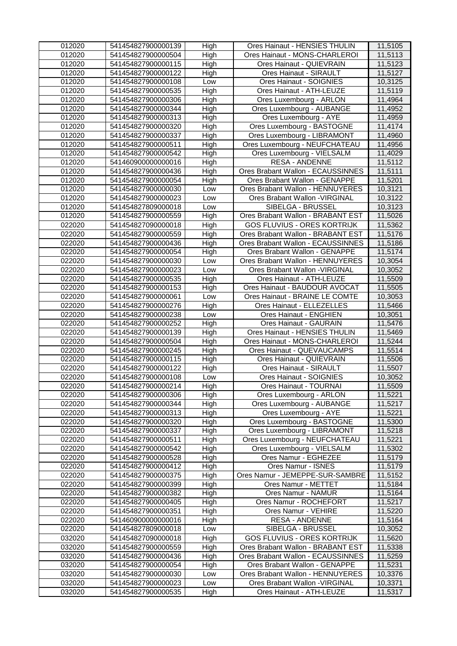| 012020 | 541454827900000139 | High | Ores Hainaut - HENSIES THULIN      | 11,5105 |
|--------|--------------------|------|------------------------------------|---------|
| 012020 | 541454827900000504 | High | Ores Hainaut - MONS-CHARLEROI      | 11,5113 |
| 012020 | 541454827900000115 | High | Ores Hainaut - QUIEVRAIN           | 11,5123 |
| 012020 | 541454827900000122 | High | Ores Hainaut - SIRAULT             | 11,5127 |
| 012020 | 541454827900000108 | Low  | Ores Hainaut - SOIGNIES            | 10,3125 |
| 012020 | 541454827900000535 | High | Ores Hainaut - ATH-LEUZE           | 11,5119 |
| 012020 | 541454827900000306 | High | Ores Luxembourg - ARLON            | 11,4964 |
| 012020 | 541454827900000344 | High | Ores Luxembourg - AUBANGE          | 11,4952 |
| 012020 | 541454827900000313 | High | Ores Luxembourg - AYE              | 11,4959 |
| 012020 | 541454827900000320 | High | Ores Luxembourg - BASTOGNE         | 11,4174 |
| 012020 | 541454827900000337 | High | Ores Luxembourg - LIBRAMONT        | 11,4960 |
| 012020 | 541454827900000511 | High | Ores Luxembourg - NEUFCHATEAU      | 11,4956 |
| 012020 | 541454827900000542 | High | Ores Luxembourg - VIELSALM         | 11,4029 |
| 012020 | 541460900000000016 | High | <b>RESA - ANDENNE</b>              | 11,5112 |
| 012020 | 541454827900000436 | High | Ores Brabant Wallon - ECAUSSINNES  | 11,5111 |
| 012020 | 541454827900000054 | High | Ores Brabant Wallon - GENAPPE      | 11,5201 |
| 012020 | 541454827900000030 | Low  | Ores Brabant Wallon - HENNUYERES   | 10,3121 |
| 012020 | 541454827900000023 | Low  | Ores Brabant Wallon - VIRGINAL     | 10,3122 |
| 012020 | 541454827809000018 | Low  | SIBELGA - BRUSSEL                  | 10,3123 |
| 012020 | 541454827900000559 | High | Ores Brabant Wallon - BRABANT EST  | 11,5026 |
| 022020 | 541454827090000018 | High | <b>GOS FLUVIUS - ORES KORTRIJK</b> | 11,5362 |
| 022020 | 541454827900000559 | High | Ores Brabant Wallon - BRABANT EST  | 11,5176 |
| 022020 | 541454827900000436 | High | Ores Brabant Wallon - ECAUSSINNES  | 11,5186 |
| 022020 | 541454827900000054 | High | Ores Brabant Wallon - GENAPPE      | 11,5174 |
| 022020 | 541454827900000030 | Low  | Ores Brabant Wallon - HENNUYERES   | 10,3054 |
| 022020 | 541454827900000023 | Low  | Ores Brabant Wallon - VIRGINAL     | 10,3052 |
| 022020 | 541454827900000535 | High | Ores Hainaut - ATH-LEUZE           | 11,5509 |
| 022020 | 541454827900000153 | High | Ores Hainaut - BAUDOUR AVOCAT      | 11,5505 |
| 022020 | 541454827900000061 | Low  | Ores Hainaut - BRAINE LE COMTE     | 10,3053 |
| 022020 | 541454827900000276 | High | Ores Hainaut - ELLEZELLES          | 11,5466 |
| 022020 | 541454827900000238 | Low  | Ores Hainaut - ENGHIEN             | 10,3051 |
| 022020 | 541454827900000252 | High | Ores Hainaut - GAURAIN             | 11,5476 |
| 022020 | 541454827900000139 | High | Ores Hainaut - HENSIES THULIN      | 11,5469 |
| 022020 | 541454827900000504 | High | Ores Hainaut - MONS-CHARLEROI      | 11,5244 |
| 022020 | 541454827900000245 | High | Ores Hainaut - QUEVAUCAMPS         | 11,5514 |
| 022020 | 541454827900000115 | High | Ores Hainaut - QUIEVRAIN           | 11,5506 |
| 022020 | 541454827900000122 | High | Ores Hainaut - SIRAULT             | 11,5507 |
| 022020 | 541454827900000108 | Low  | Ores Hainaut - SOIGNIES            | 10,3052 |
| 022020 | 541454827900000214 | High | Ores Hainaut - TOURNAI             | 11,5509 |
| 022020 | 541454827900000306 | High | Ores Luxembourg - ARLON            | 11,5221 |
| 022020 | 541454827900000344 | High | Ores Luxembourg - AUBANGE          | 11,5217 |
| 022020 | 541454827900000313 | High | Ores Luxembourg - AYE              | 11,5221 |
| 022020 | 541454827900000320 | High | Ores Luxembourg - BASTOGNE         | 11,5300 |
| 022020 | 541454827900000337 | High | Ores Luxembourg - LIBRAMONT        | 11,5218 |
| 022020 | 541454827900000511 | High | Ores Luxembourg - NEUFCHATEAU      | 11,5221 |
| 022020 | 541454827900000542 | High | Ores Luxembourg - VIELSALM         | 11,5302 |
| 022020 | 541454827900000528 | High | Ores Namur - EGHEZEE               | 11,5179 |
| 022020 | 541454827900000412 | High | Ores Namur - ISNES                 | 11,5179 |
| 022020 | 541454827900000375 | High | Ores Namur - JEMEPPE-SUR-SAMBRE    | 11,5152 |
| 022020 | 541454827900000399 | High | Ores Namur - METTET                | 11,5184 |
| 022020 | 541454827900000382 | High | Ores Namur - NAMUR                 | 11,5164 |
| 022020 | 541454827900000405 | High | Ores Namur - ROCHEFORT             | 11,5217 |
| 022020 | 541454827900000351 | High | Ores Namur - VEHIRE                | 11,5220 |
| 022020 | 541460900000000016 | High | <b>RESA - ANDENNE</b>              | 11,5164 |
| 022020 | 541454827809000018 | Low  | SIBELGA - BRUSSEL                  | 10,3052 |
| 032020 | 541454827090000018 | High | <b>GOS FLUVIUS - ORES KORTRIJK</b> | 11,5620 |
| 032020 | 541454827900000559 | High | Ores Brabant Wallon - BRABANT EST  | 11,5338 |
| 032020 | 541454827900000436 | High | Ores Brabant Wallon - ECAUSSINNES  | 11,5259 |
| 032020 | 541454827900000054 | High | Ores Brabant Wallon - GENAPPE      | 11,5231 |
| 032020 | 541454827900000030 | Low  | Ores Brabant Wallon - HENNUYERES   | 10,3376 |
| 032020 | 541454827900000023 | Low  | Ores Brabant Wallon - VIRGINAL     | 10,3371 |
| 032020 | 541454827900000535 | High | Ores Hainaut - ATH-LEUZE           | 11,5317 |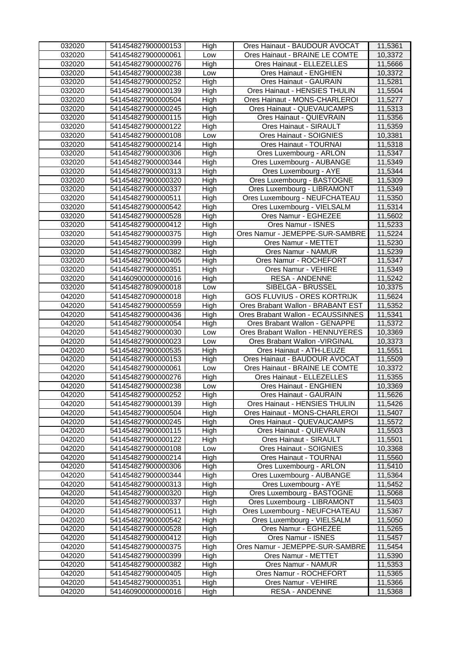| 032020 | 541454827900000153 | High | Ores Hainaut - BAUDOUR AVOCAT      | 11,5361 |
|--------|--------------------|------|------------------------------------|---------|
| 032020 | 541454827900000061 | Low  | Ores Hainaut - BRAINE LE COMTE     | 10,3372 |
| 032020 | 541454827900000276 | High | Ores Hainaut - ELLEZELLES          | 11,5666 |
| 032020 | 541454827900000238 | Low  | Ores Hainaut - ENGHIEN             | 10,3372 |
| 032020 | 541454827900000252 | High | Ores Hainaut - GAURAIN             | 11,5281 |
| 032020 | 541454827900000139 | High | Ores Hainaut - HENSIES THULIN      | 11,5504 |
| 032020 | 541454827900000504 | High | Ores Hainaut - MONS-CHARLEROI      | 11,5277 |
| 032020 | 541454827900000245 | High | Ores Hainaut - QUEVAUCAMPS         | 11,5313 |
| 032020 | 541454827900000115 | High | Ores Hainaut - QUIEVRAIN           | 11,5356 |
| 032020 | 541454827900000122 | High | Ores Hainaut - SIRAULT             | 11,5359 |
| 032020 | 541454827900000108 | Low  | Ores Hainaut - SOIGNIES            | 10,3381 |
| 032020 | 541454827900000214 | High | Ores Hainaut - TOURNAI             | 11,5318 |
| 032020 | 541454827900000306 | High | Ores Luxembourg - ARLON            | 11,5347 |
| 032020 | 541454827900000344 | High | Ores Luxembourg - AUBANGE          | 11,5349 |
| 032020 | 541454827900000313 | High | Ores Luxembourg - AYE              | 11,5344 |
| 032020 | 541454827900000320 | High | Ores Luxembourg - BASTOGNE         | 11,5309 |
| 032020 | 541454827900000337 | High | Ores Luxembourg - LIBRAMONT        | 11,5349 |
| 032020 | 541454827900000511 | High | Ores Luxembourg - NEUFCHATEAU      | 11,5350 |
| 032020 | 541454827900000542 | High | Ores Luxembourg - VIELSALM         | 11,5314 |
| 032020 | 541454827900000528 | High | Ores Namur - EGHEZEE               | 11,5602 |
| 032020 | 541454827900000412 | High | Ores Namur - ISNES                 | 11,5233 |
| 032020 | 541454827900000375 | High | Ores Namur - JEMEPPE-SUR-SAMBRE    | 11,5224 |
| 032020 | 541454827900000399 | High | Ores Namur - METTET                | 11,5230 |
| 032020 | 541454827900000382 | High | Ores Namur - NAMUR                 | 11,5239 |
| 032020 | 541454827900000405 | High | Ores Namur - ROCHEFORT             | 11,5347 |
| 032020 | 541454827900000351 | High | Ores Namur - VEHIRE                | 11,5349 |
| 032020 | 541460900000000016 | High | <b>RESA - ANDENNE</b>              | 11,5242 |
| 032020 | 541454827809000018 | Low  | SIBELGA - BRUSSEL                  | 10,3375 |
| 042020 | 541454827090000018 | High | <b>GOS FLUVIUS - ORES KORTRIJK</b> | 11,5624 |
| 042020 | 541454827900000559 | High | Ores Brabant Wallon - BRABANT EST  | 11,5352 |
| 042020 | 541454827900000436 | High | Ores Brabant Wallon - ECAUSSINNES  | 11,5341 |
| 042020 | 541454827900000054 | High | Ores Brabant Wallon - GENAPPE      | 11,5372 |
| 042020 | 541454827900000030 | Low  | Ores Brabant Wallon - HENNUYERES   | 10,3369 |
| 042020 | 541454827900000023 | Low  | Ores Brabant Wallon - VIRGINAL     | 10,3373 |
| 042020 | 541454827900000535 | High | Ores Hainaut - ATH-LEUZE           | 11,5551 |
| 042020 | 541454827900000153 | High | Ores Hainaut - BAUDOUR AVOCAT      | 11,5509 |
| 042020 | 541454827900000061 | Low  | Ores Hainaut - BRAINE LE COMTE     | 10,3372 |
| 042020 | 541454827900000276 | High | Ores Hainaut - ELLEZELLES          | 11,5355 |
| 042020 | 541454827900000238 | Low  | Ores Hainaut - ENGHIEN             | 10,3369 |
| 042020 | 541454827900000252 | High | Ores Hainaut - GAURAIN             | 11,5626 |
| 042020 | 541454827900000139 | High | Ores Hainaut - HENSIES THULIN      | 11,5426 |
| 042020 | 541454827900000504 | High | Ores Hainaut - MONS-CHARLEROI      | 11,5407 |
| 042020 | 541454827900000245 | High | Ores Hainaut - QUEVAUCAMPS         | 11,5572 |
| 042020 | 541454827900000115 | High | Ores Hainaut - QUIEVRAIN           | 11,5503 |
| 042020 | 541454827900000122 | High | Ores Hainaut - SIRAULT             | 11,5501 |
| 042020 | 541454827900000108 | Low  | Ores Hainaut - SOIGNIES            | 10,3368 |
| 042020 | 541454827900000214 | High | Ores Hainaut - TOURNAI             | 11,5560 |
| 042020 | 541454827900000306 | High | Ores Luxembourg - ARLON            | 11,5410 |
| 042020 | 541454827900000344 | High | Ores Luxembourg - AUBANGE          | 11,5364 |
| 042020 | 541454827900000313 | High | Ores Luxembourg - AYE              | 11,5452 |
| 042020 | 541454827900000320 | High | Ores Luxembourg - BASTOGNE         | 11,5068 |
| 042020 | 541454827900000337 | High | Ores Luxembourg - LIBRAMONT        | 11,5403 |
| 042020 | 541454827900000511 | High | Ores Luxembourg - NEUFCHATEAU      | 11,5367 |
| 042020 | 541454827900000542 | High | Ores Luxembourg - VIELSALM         | 11,5050 |
| 042020 | 541454827900000528 | High | Ores Namur - EGHEZEE               | 11,5265 |
| 042020 | 541454827900000412 | High | Ores Namur - ISNES                 | 11,5457 |
| 042020 | 541454827900000375 | High | Ores Namur - JEMEPPE-SUR-SAMBRE    | 11,5454 |
| 042020 | 541454827900000399 | High | Ores Namur - METTET                | 11,5390 |
| 042020 | 541454827900000382 | High | Ores Namur - NAMUR                 | 11,5353 |
| 042020 | 541454827900000405 | High | Ores Namur - ROCHEFORT             | 11,5365 |
| 042020 | 541454827900000351 | High | Ores Namur - VEHIRE                | 11,5366 |
| 042020 | 541460900000000016 | High | <b>RESA - ANDENNE</b>              | 11,5368 |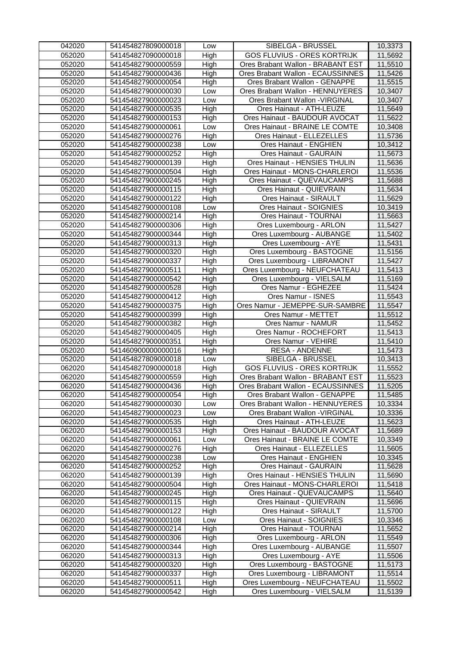| 042020           | 541454827809000018 | Low  | SIBELGA - BRUSSEL                  | 10,3373 |
|------------------|--------------------|------|------------------------------------|---------|
| 052020           | 541454827090000018 | High | <b>GOS FLUVIUS - ORES KORTRIJK</b> | 11,5692 |
| 052020           | 541454827900000559 | High | Ores Brabant Wallon - BRABANT EST  | 11,5510 |
| 052020           | 541454827900000436 | High | Ores Brabant Wallon - ECAUSSINNES  | 11,5426 |
| 052020           | 541454827900000054 | High | Ores Brabant Wallon - GENAPPE      | 11,5515 |
| 052020           | 541454827900000030 | Low  | Ores Brabant Wallon - HENNUYERES   | 10,3407 |
| 052020           | 541454827900000023 | Low  | Ores Brabant Wallon - VIRGINAL     | 10,3407 |
| 052020           | 541454827900000535 | High | Ores Hainaut - ATH-LEUZE           | 11,5649 |
| 052020           | 541454827900000153 | High | Ores Hainaut - BAUDOUR AVOCAT      | 11,5622 |
| 052020           | 541454827900000061 | Low  | Ores Hainaut - BRAINE LE COMTE     | 10,3408 |
| 052020           | 541454827900000276 | High | Ores Hainaut - ELLEZELLES          | 11,5736 |
| 052020           | 541454827900000238 |      | Ores Hainaut - ENGHIEN             | 10,3412 |
| 052020           | 541454827900000252 | Low  |                                    | 11,5673 |
|                  |                    | High | Ores Hainaut - GAURAIN             |         |
| 052020           | 541454827900000139 | High | Ores Hainaut - HENSIES THULIN      | 11,5636 |
| 052020           | 541454827900000504 | High | Ores Hainaut - MONS-CHARLEROI      | 11,5536 |
| 052020           | 541454827900000245 | High | Ores Hainaut - QUEVAUCAMPS         | 11,5688 |
| 052020           | 541454827900000115 | High | Ores Hainaut - QUIEVRAIN           | 11,5634 |
| 052020           | 541454827900000122 | High | Ores Hainaut - SIRAULT             | 11,5629 |
| 052020           | 541454827900000108 | Low  | Ores Hainaut - SOIGNIES            | 10,3419 |
| 052020           | 541454827900000214 | High | Ores Hainaut - TOURNAI             | 11,5663 |
| 052020           | 541454827900000306 | High | Ores Luxembourg - ARLON            | 11,5427 |
| 052020           | 541454827900000344 | High | Ores Luxembourg - AUBANGE          | 11,5402 |
| 052020           | 541454827900000313 | High | Ores Luxembourg - AYE              | 11,5431 |
| 052020           | 541454827900000320 | High | Ores Luxembourg - BASTOGNE         | 11,5156 |
| 052020           | 541454827900000337 | High | Ores Luxembourg - LIBRAMONT        | 11,5427 |
| 052020           | 541454827900000511 | High | Ores Luxembourg - NEUFCHATEAU      | 11,5413 |
| 052020           | 541454827900000542 | High | Ores Luxembourg - VIELSALM         | 11,5169 |
| 052020           | 541454827900000528 | High | Ores Namur - EGHEZEE               | 11,5424 |
| 052020           | 541454827900000412 | High | Ores Namur - ISNES                 | 11,5543 |
| 052020           | 541454827900000375 | High | Ores Namur - JEMEPPE-SUR-SAMBRE    | 11,5547 |
| 052020           | 541454827900000399 | High | Ores Namur - METTET                | 11,5512 |
| 052020           | 541454827900000382 | High | Ores Namur - NAMUR                 | 11,5452 |
| 052020           | 541454827900000405 | High | Ores Namur - ROCHEFORT             | 11,5413 |
| 052020           | 541454827900000351 | High | Ores Namur - VEHIRE                | 11,5410 |
| 052020           | 541460900000000016 | High | <b>RESA - ANDENNE</b>              | 11,5473 |
| 052020           | 541454827809000018 | Low  | SIBELGA - BRUSSEL                  | 10,3413 |
| 062020           | 541454827090000018 | High | GOS FLUVIUS - ORES KORTRIJK        | 11,5552 |
| 062020           | 541454827900000559 | High | Ores Brabant Wallon - BRABANT EST  | 11,5523 |
| 062020           | 541454827900000436 | High | Ores Brabant Wallon - ECAUSSINNES  | 11,5205 |
| 062020           | 541454827900000054 | High | Ores Brabant Wallon - GENAPPE      | 11,5485 |
| 062020           | 541454827900000030 | Low  | Ores Brabant Wallon - HENNUYERES   | 10,3334 |
| 062020           | 541454827900000023 | Low  | Ores Brabant Wallon - VIRGINAL     | 10,3336 |
| 062020           | 541454827900000535 | High | Ores Hainaut - ATH-LEUZE           | 11,5623 |
| 062020           | 541454827900000153 | High | Ores Hainaut - BAUDOUR AVOCAT      | 11,5689 |
| 062020           | 541454827900000061 | Low  | Ores Hainaut - BRAINE LE COMTE     | 10,3349 |
| 062020           | 541454827900000276 | High | Ores Hainaut - ELLEZELLES          | 11,5605 |
| 062020           | 541454827900000238 | Low  | Ores Hainaut - ENGHIEN             | 10,3345 |
| 062020           | 541454827900000252 | High | Ores Hainaut - GAURAIN             | 11,5628 |
| 062020           | 541454827900000139 | High | Ores Hainaut - HENSIES THULIN      | 11,5690 |
| 062020           | 541454827900000504 | High | Ores Hainaut - MONS-CHARLEROI      | 11,5418 |
| 062020           | 541454827900000245 | High | Ores Hainaut - QUEVAUCAMPS         | 11,5640 |
| 062020           | 541454827900000115 | High | Ores Hainaut - QUIEVRAIN           | 11,5696 |
| 062020           | 541454827900000122 | High | Ores Hainaut - SIRAULT             | 11,5700 |
| 062020           | 541454827900000108 | Low  | Ores Hainaut - SOIGNIES            | 10,3346 |
| 062020           | 541454827900000214 | High | Ores Hainaut - TOURNAI             | 11,5652 |
| 062020           | 541454827900000306 | High | Ores Luxembourg - ARLON            | 11,5549 |
| 062020           | 541454827900000344 | High | Ores Luxembourg - AUBANGE          | 11,5507 |
| 062020           | 541454827900000313 | High | Ores Luxembourg - AYE              | 11,5506 |
| 062020           | 541454827900000320 | High | Ores Luxembourg - BASTOGNE         | 11,5173 |
|                  |                    |      |                                    |         |
| 062020           | 541454827900000337 | High | Ores Luxembourg - LIBRAMONT        | 11,5514 |
| 062020<br>062020 | 541454827900000511 | High | Ores Luxembourg - NEUFCHATEAU      | 11,5502 |
|                  | 541454827900000542 | High | Ores Luxembourg - VIELSALM         | 11,5139 |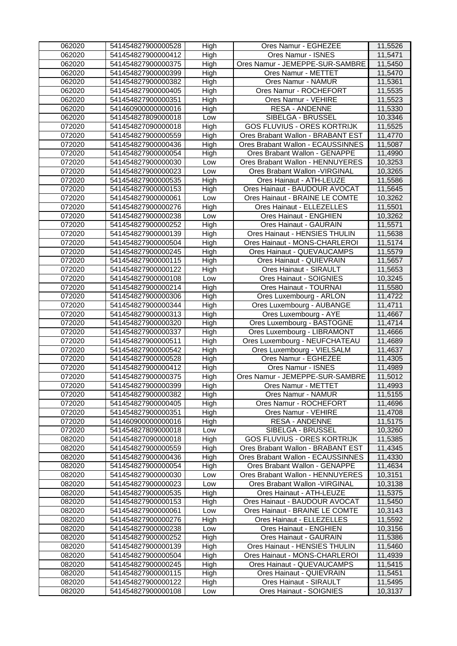| 062020 | 541454827900000528 | High | Ores Namur - EGHEZEE               | 11,5526 |
|--------|--------------------|------|------------------------------------|---------|
| 062020 | 541454827900000412 | High | Ores Namur - ISNES                 | 11,5471 |
| 062020 | 541454827900000375 | High | Ores Namur - JEMEPPE-SUR-SAMBRE    | 11,5450 |
| 062020 | 541454827900000399 | High | Ores Namur - METTET                | 11,5470 |
| 062020 | 541454827900000382 | High | Ores Namur - NAMUR                 | 11,5361 |
| 062020 | 541454827900000405 | High | Ores Namur - ROCHEFORT             | 11,5535 |
| 062020 | 541454827900000351 | High | Ores Namur - VEHIRE                | 11,5523 |
| 062020 | 541460900000000016 | High | <b>RESA - ANDENNE</b>              | 11,5330 |
| 062020 | 541454827809000018 | Low  | SIBELGA - BRUSSEL                  | 10,3346 |
| 072020 | 541454827090000018 | High | <b>GOS FLUVIUS - ORES KORTRIJK</b> | 11,5525 |
| 072020 | 541454827900000559 | High | Ores Brabant Wallon - BRABANT EST  | 11,4770 |
| 072020 | 541454827900000436 | High | Ores Brabant Wallon - ECAUSSINNES  | 11,5087 |
| 072020 | 541454827900000054 | High | Ores Brabant Wallon - GENAPPE      | 11,4990 |
| 072020 | 541454827900000030 | Low  | Ores Brabant Wallon - HENNUYERES   | 10,3253 |
| 072020 | 541454827900000023 | Low  | Ores Brabant Wallon - VIRGINAL     | 10,3265 |
| 072020 | 541454827900000535 | High | Ores Hainaut - ATH-LEUZE           | 11,5586 |
| 072020 | 541454827900000153 | High | Ores Hainaut - BAUDOUR AVOCAT      | 11,5645 |
| 072020 | 541454827900000061 | Low  | Ores Hainaut - BRAINE LE COMTE     | 10,3262 |
| 072020 | 541454827900000276 | High | Ores Hainaut - ELLEZELLES          | 11,5501 |
| 072020 | 541454827900000238 | Low  | Ores Hainaut - ENGHIEN             | 10,3262 |
| 072020 | 541454827900000252 | High | Ores Hainaut - GAURAIN             | 11,5571 |
| 072020 | 541454827900000139 | High | Ores Hainaut - HENSIES THULIN      | 11,5638 |
| 072020 | 541454827900000504 | High | Ores Hainaut - MONS-CHARLEROI      | 11,5174 |
| 072020 | 541454827900000245 | High | Ores Hainaut - QUEVAUCAMPS         | 11,5579 |
| 072020 | 541454827900000115 | High | Ores Hainaut - QUIEVRAIN           | 11,5657 |
| 072020 | 541454827900000122 | High | Ores Hainaut - SIRAULT             | 11,5653 |
| 072020 | 541454827900000108 | Low  | Ores Hainaut - SOIGNIES            | 10,3245 |
| 072020 | 541454827900000214 | High | Ores Hainaut - TOURNAI             | 11,5580 |
| 072020 | 541454827900000306 | High | Ores Luxembourg - ARLON            | 11,4722 |
| 072020 | 541454827900000344 | High | Ores Luxembourg - AUBANGE          | 11,4711 |
| 072020 | 541454827900000313 | High | Ores Luxembourg - AYE              | 11,4667 |
| 072020 | 541454827900000320 | High | Ores Luxembourg - BASTOGNE         | 11,4714 |
| 072020 | 541454827900000337 | High | Ores Luxembourg - LIBRAMONT        | 11,4666 |
| 072020 | 541454827900000511 | High | Ores Luxembourg - NEUFCHATEAU      | 11,4689 |
| 072020 | 541454827900000542 | High | Ores Luxembourg - VIELSALM         | 11,4637 |
| 072020 | 541454827900000528 | High | Ores Namur - EGHEZEE               | 11,4305 |
| 072020 | 541454827900000412 | High | Ores Namur - ISNES                 | 11,4989 |
| 072020 | 541454827900000375 | High | Ores Namur - JEMEPPE-SUR-SAMBRE    | 11,5012 |
| 072020 | 541454827900000399 | High | Ores Namur - METTET                | 11,4993 |
| 072020 | 541454827900000382 | High | Ores Namur - NAMUR                 | 11,5155 |
| 072020 | 541454827900000405 | High | Ores Namur - ROCHEFORT             | 11,4696 |
| 072020 | 541454827900000351 | High | Ores Namur - VEHIRE                | 11,4708 |
| 072020 | 541460900000000016 | High | <b>RESA - ANDENNE</b>              | 11,5175 |
| 072020 | 541454827809000018 | Low  | SIBELGA - BRUSSEL                  | 10,3260 |
| 082020 | 541454827090000018 | High | <b>GOS FLUVIUS - ORES KORTRIJK</b> | 11,5385 |
| 082020 | 541454827900000559 | High | Ores Brabant Wallon - BRABANT EST  | 11,4345 |
| 082020 | 541454827900000436 | High | Ores Brabant Wallon - ECAUSSINNES  | 11,4330 |
| 082020 | 541454827900000054 | High | Ores Brabant Wallon - GENAPPE      | 11,4634 |
| 082020 | 541454827900000030 | Low  | Ores Brabant Wallon - HENNUYERES   | 10,3151 |
| 082020 | 541454827900000023 | Low  | Ores Brabant Wallon - VIRGINAL     | 10,3138 |
| 082020 | 541454827900000535 | High | Ores Hainaut - ATH-LEUZE           | 11,5375 |
| 082020 | 541454827900000153 | High | Ores Hainaut - BAUDOUR AVOCAT      | 11,5450 |
| 082020 | 541454827900000061 | Low  | Ores Hainaut - BRAINE LE COMTE     | 10,3143 |
| 082020 | 541454827900000276 | High | Ores Hainaut - ELLEZELLES          | 11,5592 |
| 082020 | 541454827900000238 | Low  | Ores Hainaut - ENGHIEN             | 10,3156 |
| 082020 | 541454827900000252 | High | Ores Hainaut - GAURAIN             | 11,5386 |
| 082020 | 541454827900000139 | High | Ores Hainaut - HENSIES THULIN      | 11,5460 |
| 082020 | 541454827900000504 | High | Ores Hainaut - MONS-CHARLEROI      | 11,4939 |
| 082020 | 541454827900000245 | High | Ores Hainaut - QUEVAUCAMPS         | 11,5415 |
| 082020 | 541454827900000115 | High | Ores Hainaut - QUIEVRAIN           | 11,5451 |
| 082020 | 541454827900000122 | High | Ores Hainaut - SIRAULT             | 11,5495 |
| 082020 | 541454827900000108 | Low  | Ores Hainaut - SOIGNIES            | 10,3137 |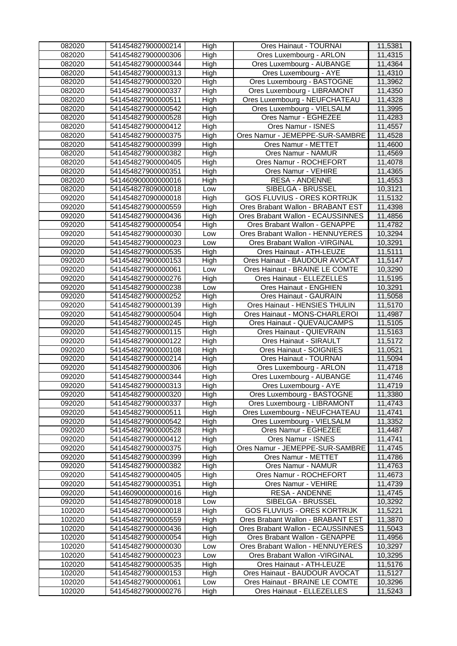| 082020           | 541454827900000214                       | High        | Ores Hainaut - TOURNAI                                             | 11,5381            |
|------------------|------------------------------------------|-------------|--------------------------------------------------------------------|--------------------|
| 082020           | 541454827900000306                       | High        | Ores Luxembourg - ARLON                                            | 11,4315            |
| 082020           | 541454827900000344                       | High        | Ores Luxembourg - AUBANGE                                          | 11,4364            |
| 082020           | 541454827900000313                       | High        | Ores Luxembourg - AYE                                              | 11,4310            |
| 082020           | 541454827900000320                       | High        | Ores Luxembourg - BASTOGNE                                         | 11,3962            |
| 082020           | 541454827900000337                       | High        | Ores Luxembourg - LIBRAMONT                                        | 11,4350            |
| 082020           | 541454827900000511                       | High        | Ores Luxembourg - NEUFCHATEAU                                      | 11,4328            |
| 082020           | 541454827900000542                       | High        | Ores Luxembourg - VIELSALM                                         | 11,3995            |
| 082020           | 541454827900000528                       | High        | Ores Namur - EGHEZEE                                               | 11,4283            |
| 082020           | 541454827900000412                       | High        | Ores Namur - ISNES                                                 | 11,4557            |
| 082020           | 541454827900000375                       | High        | Ores Namur - JEMEPPE-SUR-SAMBRE                                    | 11,4528            |
| 082020           | 541454827900000399                       | High        | Ores Namur - METTET                                                | 11,4600            |
| 082020           | 541454827900000382                       | High        | Ores Namur - NAMUR                                                 | 11,4569            |
| 082020           | 541454827900000405                       | High        | Ores Namur - ROCHEFORT                                             | 11,4078            |
| 082020           | 541454827900000351                       | High        | Ores Namur - VEHIRE                                                | 11,4365            |
| 082020           | 541460900000000016                       | High        | <b>RESA - ANDENNE</b>                                              | 11,4553            |
| 082020           | 541454827809000018                       | Low         | SIBELGA - BRUSSEL                                                  | 10,3121            |
| 092020           | 541454827090000018                       | High        | <b>GOS FLUVIUS - ORES KORTRIJK</b>                                 | 11,5132            |
| 092020           | 541454827900000559                       | High        | Ores Brabant Wallon - BRABANT EST                                  | 11,4398            |
| 092020           | 541454827900000436                       | High        | Ores Brabant Wallon - ECAUSSINNES                                  | 11,4856            |
| 092020           | 541454827900000054                       | High        | Ores Brabant Wallon - GENAPPE                                      | 11,4782            |
| 092020           | 541454827900000030                       | Low         | Ores Brabant Wallon - HENNUYERES                                   | 10,3294            |
| 092020           | 541454827900000023                       | Low         | Ores Brabant Wallon - VIRGINAL                                     | 10,3291            |
| 092020           | 541454827900000535                       | High        | Ores Hainaut - ATH-LEUZE                                           | 11,5111            |
| 092020           | 541454827900000153                       | High        | Ores Hainaut - BAUDOUR AVOCAT                                      | 11,5147            |
| 092020           | 541454827900000061                       | Low         | Ores Hainaut - BRAINE LE COMTE                                     | 10,3290            |
| 092020           | 541454827900000276                       | High        | Ores Hainaut - ELLEZELLES                                          | 11,5195            |
| 092020           | 541454827900000238                       | Low         | Ores Hainaut - ENGHIEN                                             | 10,3291            |
| 092020           | 541454827900000252                       | High        | <b>Ores Hainaut - GAURAIN</b>                                      | 11,5058            |
| 092020           | 541454827900000139                       | High        | Ores Hainaut - HENSIES THULIN                                      | 11,5170            |
| 092020           | 541454827900000504                       | High        | Ores Hainaut - MONS-CHARLEROI                                      | 11,4987            |
| 092020           | 541454827900000245                       | High        | Ores Hainaut - QUEVAUCAMPS                                         | 11,5105            |
| 092020           | 541454827900000115                       | High        | Ores Hainaut - QUIEVRAIN                                           | 11,5163            |
| 092020           | 541454827900000122                       | High        | Ores Hainaut - SIRAULT                                             | 11,5172            |
| 092020           | 541454827900000108                       | High        | Ores Hainaut - SOIGNIES                                            | 11,0521            |
| 092020           | 541454827900000214                       | High        | Ores Hainaut - TOURNAI                                             | 11,5094            |
| 092020           | 541454827900000306                       | High        | Ores Luxembourg - ARLON                                            | 11,4718            |
| 092020           | 541454827900000344                       | High        | Ores Luxembourg - AUBANGE                                          | 11,4746            |
| 092020           | 541454827900000313                       | High        | Ores Luxembourg - AYE                                              | 11,4719            |
| 092020           | 541454827900000320                       | High        | Ores Luxembourg - BASTOGNE                                         | 11,3380            |
| 092020           | 541454827900000337                       | High        | Ores Luxembourg - LIBRAMONT                                        | 11,4743            |
| 092020           | 541454827900000511                       | High        | Ores Luxembourg - NEUFCHATEAU                                      | 11,4741            |
| 092020           | 541454827900000542                       | High        | Ores Luxembourg - VIELSALM                                         | 11,3352            |
| 092020           | 541454827900000528                       | High        | Ores Namur - EGHEZEE                                               | 11,4487            |
| 092020           | 541454827900000412                       | High        | Ores Namur - ISNES                                                 | 11,4741            |
| 092020           | 541454827900000375                       | High        | Ores Namur - JEMEPPE-SUR-SAMBRE                                    | 11,4745            |
| 092020           | 541454827900000399                       | High        | Ores Namur - METTET                                                | 11,4786            |
| 092020           | 541454827900000382                       | High        | Ores Namur - NAMUR                                                 | 11,4763            |
| 092020           | 541454827900000405                       | High        | Ores Namur - ROCHEFORT                                             | 11,4673            |
| 092020           | 541454827900000351                       | High        | Ores Namur - VEHIRE                                                | 11,4739            |
| 092020           | 541460900000000016                       | High        | <b>RESA - ANDENNE</b>                                              | 11,4745            |
| 092020           | 541454827809000018                       | Low         | SIBELGA - BRUSSEL                                                  | 10,3292            |
| 102020           | 541454827090000018                       | High        | <b>GOS FLUVIUS - ORES KORTRIJK</b>                                 | 11,5221            |
| 102020           | 541454827900000559                       | High        | Ores Brabant Wallon - BRABANT EST                                  | 11,3870            |
| 102020           | 541454827900000436                       | High        | Ores Brabant Wallon - ECAUSSINNES<br>Ores Brabant Wallon - GENAPPE | 11,5043            |
| 102020           | 541454827900000054                       | High        | Ores Brabant Wallon - HENNUYERES                                   | 11,4956            |
| 102020<br>102020 | 541454827900000030                       | Low         | Ores Brabant Wallon - VIRGINAL                                     | 10,3297            |
| 102020           | 541454827900000023                       | Low<br>High | Ores Hainaut - ATH-LEUZE                                           | 10,3295            |
| 102020           | 541454827900000535<br>541454827900000153 |             | Ores Hainaut - BAUDOUR AVOCAT                                      | 11,5176<br>11,5127 |
| 102020           | 541454827900000061                       | High        | Ores Hainaut - BRAINE LE COMTE                                     | 10,3296            |
| 102020           | 541454827900000276                       | Low         | Ores Hainaut - ELLEZELLES                                          | 11,5243            |
|                  |                                          | High        |                                                                    |                    |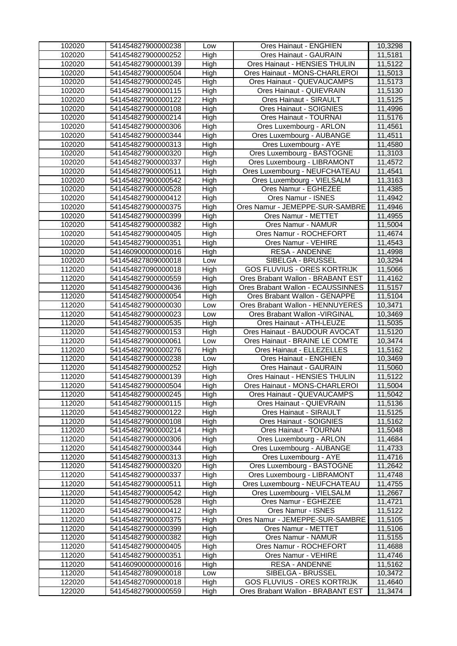| 102020 | 541454827900000238 | Low  | Ores Hainaut - ENGHIEN             | 10,3298 |
|--------|--------------------|------|------------------------------------|---------|
| 102020 | 541454827900000252 | High | <b>Ores Hainaut - GAURAIN</b>      | 11,5181 |
| 102020 | 541454827900000139 | High | Ores Hainaut - HENSIES THULIN      | 11,5122 |
| 102020 | 541454827900000504 | High | Ores Hainaut - MONS-CHARLEROI      | 11,5013 |
| 102020 | 541454827900000245 | High | Ores Hainaut - QUEVAUCAMPS         | 11,5173 |
| 102020 | 541454827900000115 | High | Ores Hainaut - QUIEVRAIN           | 11,5130 |
| 102020 | 541454827900000122 | High | Ores Hainaut - SIRAULT             | 11,5125 |
| 102020 | 541454827900000108 | High | Ores Hainaut - SOIGNIES            | 11,4996 |
| 102020 | 541454827900000214 | High | Ores Hainaut - TOURNAI             | 11,5176 |
| 102020 | 541454827900000306 | High | Ores Luxembourg - ARLON            | 11,4561 |
| 102020 | 541454827900000344 | High | Ores Luxembourg - AUBANGE          | 11,4511 |
| 102020 | 541454827900000313 | High | Ores Luxembourg - AYE              | 11,4580 |
| 102020 | 541454827900000320 | High | Ores Luxembourg - BASTOGNE         | 11,3103 |
| 102020 | 541454827900000337 | High | Ores Luxembourg - LIBRAMONT        | 11,4572 |
| 102020 | 541454827900000511 | High | Ores Luxembourg - NEUFCHATEAU      | 11,4541 |
| 102020 | 541454827900000542 | High | Ores Luxembourg - VIELSALM         | 11,3163 |
| 102020 | 541454827900000528 | High | Ores Namur - EGHEZEE               | 11,4385 |
| 102020 | 541454827900000412 | High | Ores Namur - ISNES                 | 11,4942 |
| 102020 | 541454827900000375 | High | Ores Namur - JEMEPPE-SUR-SAMBRE    | 11,4946 |
| 102020 | 541454827900000399 | High | Ores Namur - METTET                | 11,4955 |
| 102020 | 541454827900000382 | High | Ores Namur - NAMUR                 | 11,5004 |
| 102020 | 541454827900000405 | High | Ores Namur - ROCHEFORT             | 11,4674 |
| 102020 | 541454827900000351 | High | Ores Namur - VEHIRE                | 11,4543 |
| 102020 | 541460900000000016 | High | RESA - ANDENNE                     | 11,4998 |
| 102020 | 541454827809000018 | Low  | SIBELGA - BRUSSEL                  | 10,3294 |
| 112020 | 541454827090000018 | High | <b>GOS FLUVIUS - ORES KORTRIJK</b> | 11,5066 |
| 112020 | 541454827900000559 | High | Ores Brabant Wallon - BRABANT EST  | 11,4162 |
| 112020 | 541454827900000436 | High | Ores Brabant Wallon - ECAUSSINNES  | 11,5157 |
| 112020 | 541454827900000054 | High | Ores Brabant Wallon - GENAPPE      | 11,5104 |
| 112020 | 541454827900000030 | Low  | Ores Brabant Wallon - HENNUYERES   | 10,3471 |
| 112020 | 541454827900000023 | Low  | Ores Brabant Wallon - VIRGINAL     | 10,3469 |
| 112020 | 541454827900000535 | High | Ores Hainaut - ATH-LEUZE           | 11,5035 |
| 112020 | 541454827900000153 | High | Ores Hainaut - BAUDOUR AVOCAT      | 11,5120 |
| 112020 | 541454827900000061 | Low  | Ores Hainaut - BRAINE LE COMTE     | 10,3474 |
| 112020 | 541454827900000276 | High | Ores Hainaut - ELLEZELLES          | 11,5162 |
| 112020 | 541454827900000238 | Low  | Ores Hainaut - ENGHIEN             | 10,3469 |
| 112020 | 541454827900000252 | High | Ores Hainaut - GAURAIN             | 11,5060 |
| 112020 | 541454827900000139 | High | Ores Hainaut - HENSIES THULIN      | 11,5122 |
| 112020 | 541454827900000504 | High | Ores Hainaut - MONS-CHARLEROI      | 11,5004 |
| 112020 | 541454827900000245 | High | Ores Hainaut - QUEVAUCAMPS         | 11,5042 |
| 112020 | 541454827900000115 | High | Ores Hainaut - QUIEVRAIN           | 11,5136 |
| 112020 | 541454827900000122 | High | Ores Hainaut - SIRAULT             | 11,5125 |
| 112020 | 541454827900000108 | High | Ores Hainaut - SOIGNIES            | 11,5162 |
| 112020 | 541454827900000214 | High | Ores Hainaut - TOURNAI             | 11,5048 |
| 112020 | 541454827900000306 | High | Ores Luxembourg - ARLON            | 11,4684 |
| 112020 | 541454827900000344 | High | Ores Luxembourg - AUBANGE          | 11,4733 |
| 112020 | 541454827900000313 | High | Ores Luxembourg - AYE              | 11,4716 |
| 112020 | 541454827900000320 | High | Ores Luxembourg - BASTOGNE         | 11,2642 |
| 112020 | 541454827900000337 | High | Ores Luxembourg - LIBRAMONT        | 11,4748 |
| 112020 | 541454827900000511 | High | Ores Luxembourg - NEUFCHATEAU      | 11,4755 |
| 112020 | 541454827900000542 | High | Ores Luxembourg - VIELSALM         | 11,2667 |
| 112020 | 541454827900000528 | High | Ores Namur - EGHEZEE               | 11,4721 |
| 112020 | 541454827900000412 | High | Ores Namur - ISNES                 | 11,5122 |
| 112020 | 541454827900000375 | High | Ores Namur - JEMEPPE-SUR-SAMBRE    | 11,5105 |
| 112020 | 541454827900000399 | High | Ores Namur - METTET                | 11,5106 |
| 112020 | 541454827900000382 | High | Ores Namur - NAMUR                 | 11,5155 |
| 112020 | 541454827900000405 | High | Ores Namur - ROCHEFORT             | 11,4688 |
| 112020 | 541454827900000351 | High | Ores Namur - VEHIRE                | 11,4746 |
| 112020 | 541460900000000016 | High | <b>RESA - ANDENNE</b>              | 11,5162 |
| 112020 | 541454827809000018 | Low  | SIBELGA - BRUSSEL                  | 10,3472 |
| 122020 | 541454827090000018 | High | <b>GOS FLUVIUS - ORES KORTRIJK</b> | 11,4640 |
| 122020 | 541454827900000559 | High | Ores Brabant Wallon - BRABANT EST  | 11,3474 |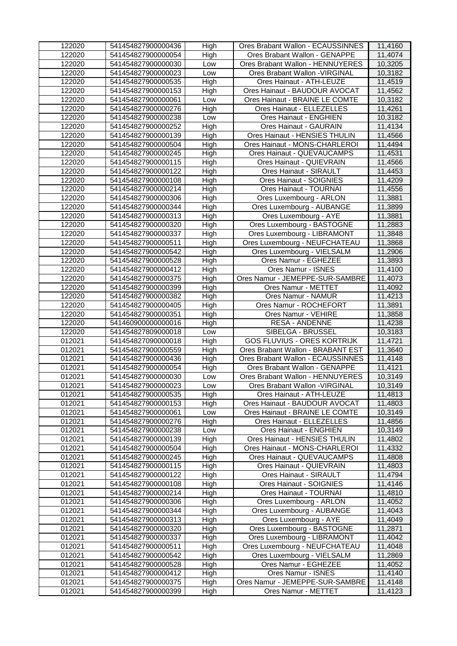| 122020 | 541454827900000436 | High | Ores Brabant Wallon - ECAUSSINNES  | 11,4160 |
|--------|--------------------|------|------------------------------------|---------|
| 122020 | 541454827900000054 | High | Ores Brabant Wallon - GENAPPE      | 11,4074 |
| 122020 | 541454827900000030 | Low  | Ores Brabant Wallon - HENNUYERES   | 10,3205 |
| 122020 | 541454827900000023 | Low  | Ores Brabant Wallon - VIRGINAL     | 10,3182 |
| 122020 | 541454827900000535 | High | Ores Hainaut - ATH-LEUZE           | 11,4519 |
| 122020 | 541454827900000153 | High | Ores Hainaut - BAUDOUR AVOCAT      | 11,4562 |
| 122020 | 541454827900000061 | Low  | Ores Hainaut - BRAINE LE COMTE     | 10,3182 |
| 122020 | 541454827900000276 | High | Ores Hainaut - ELLEZELLES          | 11,4261 |
| 122020 | 541454827900000238 | Low  | Ores Hainaut - ENGHIEN             | 10,3182 |
| 122020 | 541454827900000252 | High | Ores Hainaut - GAURAIN             | 11,4134 |
| 122020 | 541454827900000139 | High | Ores Hainaut - HENSIES THULIN      | 11,4566 |
| 122020 | 541454827900000504 | High | Ores Hainaut - MONS-CHARLEROI      | 11,4494 |
| 122020 | 541454827900000245 | High | Ores Hainaut - QUEVAUCAMPS         | 11,4531 |
| 122020 | 541454827900000115 | High | Ores Hainaut - QUIEVRAIN           | 11,4566 |
| 122020 | 541454827900000122 | High | Ores Hainaut - SIRAULT             | 11,4453 |
| 122020 | 541454827900000108 | High | Ores Hainaut - SOIGNIES            | 11,4209 |
| 122020 | 541454827900000214 | High | Ores Hainaut - TOURNAI             | 11,4556 |
| 122020 | 541454827900000306 | High | Ores Luxembourg - ARLON            | 11,3881 |
| 122020 | 541454827900000344 | High | Ores Luxembourg - AUBANGE          | 11,3899 |
| 122020 | 541454827900000313 | High | Ores Luxembourg - AYE              | 11,3881 |
| 122020 | 541454827900000320 | High | Ores Luxembourg - BASTOGNE         | 11,2883 |
| 122020 | 541454827900000337 | High | Ores Luxembourg - LIBRAMONT        | 11,3848 |
| 122020 | 541454827900000511 | High | Ores Luxembourg - NEUFCHATEAU      | 11,3868 |
| 122020 | 541454827900000542 | High | Ores Luxembourg - VIELSALM         | 11,2906 |
| 122020 | 541454827900000528 | High | Ores Namur - EGHEZEE               | 11,3893 |
| 122020 | 541454827900000412 | High | Ores Namur - ISNES                 | 11,4100 |
| 122020 | 541454827900000375 | High | Ores Namur - JEMEPPE-SUR-SAMBRE    | 11,4073 |
| 122020 | 541454827900000399 | High | Ores Namur - METTET                | 11,4092 |
| 122020 | 541454827900000382 | High | Ores Namur - NAMUR                 | 11,4213 |
| 122020 | 541454827900000405 | High | Ores Namur - ROCHEFORT             | 11,3891 |
| 122020 | 541454827900000351 | High | Ores Namur - VEHIRE                | 11,3858 |
| 122020 | 541460900000000016 | High | <b>RESA - ANDENNE</b>              | 11,4238 |
| 122020 | 541454827809000018 | Low  | SIBELGA - BRUSSEL                  | 10,3183 |
| 012021 | 541454827090000018 | High | <b>GOS FLUVIUS - ORES KORTRIJK</b> | 11,4721 |
| 012021 | 541454827900000559 | High | Ores Brabant Wallon - BRABANT EST  | 11,3640 |
| 012021 | 541454827900000436 | High | Ores Brabant Wallon - ECAUSSINNES  | 11,4148 |
| 012021 | 541454827900000054 | High | Ores Brabant Wallon - GENAPPE      | 11,4121 |
| 012021 | 541454827900000030 | Low  | Ores Brabant Wallon - HENNUYERES   | 10,3149 |
| 012021 | 541454827900000023 | Low  | Ores Brabant Wallon - VIRGINAL     | 10,3149 |
| 012021 | 541454827900000535 | High | Ores Hainaut - ATH-LEUZE           | 11,4813 |
| 012021 | 541454827900000153 | High | Ores Hainaut - BAUDOUR AVOCAT      | 11,4803 |
| 012021 | 541454827900000061 | Low  | Ores Hainaut - BRAINE LE COMTE     | 10,3149 |
| 012021 | 541454827900000276 | High | Ores Hainaut - ELLEZELLES          | 11,4856 |
| 012021 | 541454827900000238 | Low  | Ores Hainaut - ENGHIEN             | 10,3149 |
| 012021 | 541454827900000139 | High | Ores Hainaut - HENSIES THULIN      | 11,4802 |
| 012021 | 541454827900000504 | High | Ores Hainaut - MONS-CHARLEROI      | 11,4332 |
| 012021 | 541454827900000245 | High | Ores Hainaut - QUEVAUCAMPS         | 11,4808 |
| 012021 | 541454827900000115 | High | Ores Hainaut - QUIEVRAIN           | 11,4803 |
| 012021 | 541454827900000122 | High | Ores Hainaut - SIRAULT             | 11,4794 |
| 012021 | 541454827900000108 | High | Ores Hainaut - SOIGNIES            | 11,4146 |
| 012021 | 541454827900000214 | High | Ores Hainaut - TOURNAI             | 11,4810 |
| 012021 | 541454827900000306 | High | Ores Luxembourg - ARLON            | 11,4052 |
| 012021 | 541454827900000344 | High | Ores Luxembourg - AUBANGE          | 11,4043 |
| 012021 | 541454827900000313 | High | Ores Luxembourg - AYE              | 11,4049 |
| 012021 | 541454827900000320 | High | Ores Luxembourg - BASTOGNE         | 11,2871 |
| 012021 | 541454827900000337 | High | Ores Luxembourg - LIBRAMONT        | 11,4042 |
| 012021 | 541454827900000511 | High | Ores Luxembourg - NEUFCHATEAU      | 11,4048 |
| 012021 | 541454827900000542 | High | Ores Luxembourg - VIELSALM         | 11,2869 |
| 012021 | 541454827900000528 | High | Ores Namur - EGHEZEE               | 11,4052 |
| 012021 | 541454827900000412 | High | Ores Namur - ISNES                 | 11,4140 |
| 012021 | 541454827900000375 | High | Ores Namur - JEMEPPE-SUR-SAMBRE    | 11,4148 |
| 012021 | 541454827900000399 | High | Ores Namur - METTET                | 11,4123 |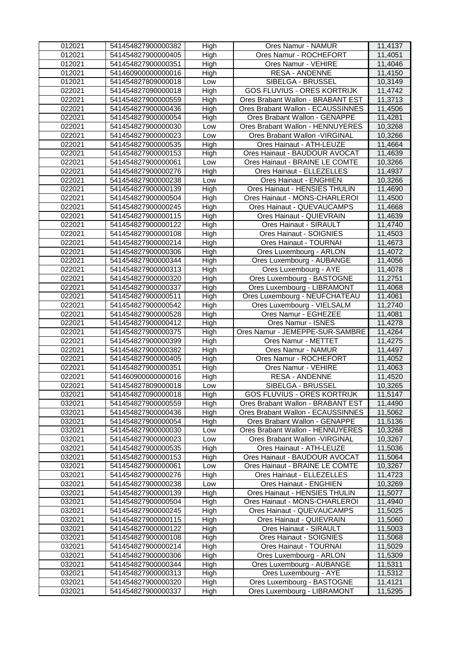| 012021           | 541454827900000382                       | High         | Ores Namur - NAMUR                                        | 11,4137            |
|------------------|------------------------------------------|--------------|-----------------------------------------------------------|--------------------|
| 012021           | 541454827900000405                       | High         | Ores Namur - ROCHEFORT                                    | 11,4051            |
| 012021           | 541454827900000351                       | High         | Ores Namur - VEHIRE                                       | 11,4046            |
| 012021           | 541460900000000016                       | High         | <b>RESA - ANDENNE</b>                                     | 11,4150            |
| 012021           | 541454827809000018                       | Low          | SIBELGA - BRUSSEL                                         | 10,3149            |
| 022021           | 541454827090000018                       | High         | <b>GOS FLUVIUS - ORES KORTRIJK</b>                        | 11,4742            |
| 022021           | 541454827900000559                       | High         | Ores Brabant Wallon - BRABANT EST                         | 11,3713            |
| 022021           | 541454827900000436                       | High         | Ores Brabant Wallon - ECAUSSINNES                         | 11,4506            |
| 022021           | 541454827900000054                       | High         | Ores Brabant Wallon - GENAPPE                             | 11,4281            |
| 022021           | 541454827900000030                       | Low          | Ores Brabant Wallon - HENNUYERES                          | 10,3268            |
| 022021           | 541454827900000023                       | Low          | Ores Brabant Wallon - VIRGINAL                            | 10,3266            |
| 022021           | 541454827900000535                       | High         | Ores Hainaut - ATH-LEUZE                                  | 11,4664            |
| 022021           | 541454827900000153                       | High         | Ores Hainaut - BAUDOUR AVOCAT                             | 11,4639            |
| 022021           | 541454827900000061                       | Low          | Ores Hainaut - BRAINE LE COMTE                            | 10,3266            |
| 022021           | 541454827900000276                       | High         | Ores Hainaut - ELLEZELLES                                 | 11,4937            |
| 022021           | 541454827900000238                       | Low          | Ores Hainaut - ENGHIEN                                    | 10,3266            |
| 022021           | 541454827900000139                       | High         | Ores Hainaut - HENSIES THULIN                             | 11,4690            |
| 022021           | 541454827900000504                       | High         | Ores Hainaut - MONS-CHARLEROI                             | 11,4500            |
| 022021           | 541454827900000245                       | High         | Ores Hainaut - QUEVAUCAMPS                                | 11,4668            |
| 022021           | 541454827900000115                       | High         | Ores Hainaut - QUIEVRAIN                                  | 11,4639            |
| 022021           | 541454827900000122                       | High         | Ores Hainaut - SIRAULT                                    | 11,4740            |
| 022021           | 541454827900000108                       | High         | Ores Hainaut - SOIGNIES                                   | 11,4503            |
| 022021           | 541454827900000214                       | High         | Ores Hainaut - TOURNAI                                    | 11,4673            |
| 022021           | 541454827900000306                       | High         | Ores Luxembourg - ARLON                                   | 11,4072            |
| 022021           | 541454827900000344                       | High         | Ores Luxembourg - AUBANGE                                 | 11,4056            |
| 022021           | 541454827900000313                       | High         | Ores Luxembourg - AYE                                     | 11,4078            |
| 022021           | 541454827900000320                       | High         | Ores Luxembourg - BASTOGNE                                | 11,2751            |
| 022021           | 541454827900000337                       | High         | Ores Luxembourg - LIBRAMONT                               | 11,4068            |
| 022021           | 541454827900000511                       | High         | Ores Luxembourg - NEUFCHATEAU                             | 11,4061            |
| 022021           | 541454827900000542                       | High         | Ores Luxembourg - VIELSALM                                | 11,2740            |
| 022021           | 541454827900000528                       | High         | Ores Namur - EGHEZEE                                      | 11,4081            |
|                  |                                          |              |                                                           |                    |
| 022021           | 541454827900000412                       | High         | Ores Namur - ISNES                                        | 11,4278            |
| 022021           | 541454827900000375                       | High         | Ores Namur - JEMEPPE-SUR-SAMBRE                           | 11,4264            |
| 022021           | 541454827900000399                       | High         | Ores Namur - METTET                                       | 11,4275            |
| 022021           | 541454827900000382                       | High         | Ores Namur - NAMUR                                        | 11,4497            |
| 022021           | 541454827900000405                       | High         | Ores Namur - ROCHEFORT                                    | 11,4052            |
| 022021           | 541454827900000351                       | High         | Ores Namur - VEHIRE                                       | 11,4063            |
| 022021           | 541460900000000016                       | High         | <b>RESA - ANDENNE</b>                                     | 11,4520            |
| 022021           | 541454827809000018                       | Low          | SIBELGA - BRUSSEL                                         | 10,3265            |
| 032021           | 541454827090000018                       | High         | <b>GOS FLUVIUS - ORES KORTRIJK</b>                        | 11,5147            |
| 032021           | 541454827900000559                       | High         | Ores Brabant Wallon - BRABANT EST                         | 11,4490            |
| 032021           | 541454827900000436                       | High         | Ores Brabant Wallon - ECAUSSINNES                         | 11,5062            |
| 032021           | 541454827900000054                       | High         | Ores Brabant Wallon - GENAPPE                             | 11,5136            |
| 032021           | 541454827900000030                       | Low          | Ores Brabant Wallon - HENNUYERES                          | 10,3268            |
| 032021           | 541454827900000023                       | Low          | Ores Brabant Wallon - VIRGINAL                            | 10,3267            |
| 032021           | 541454827900000535                       | High         | Ores Hainaut - ATH-LEUZE                                  | 11,5036            |
| 032021           | 541454827900000153                       | High         | Ores Hainaut - BAUDOUR AVOCAT                             | 11,5064            |
| 032021           | 541454827900000061                       | Low          | Ores Hainaut - BRAINE LE COMTE                            | 10,3267            |
| 032021           | 541454827900000276                       | High         | Ores Hainaut - ELLEZELLES                                 | 11,4723            |
| 032021           | 541454827900000238                       | Low          | Ores Hainaut - ENGHIEN                                    | 10,3269            |
| 032021           | 541454827900000139                       | High         | Ores Hainaut - HENSIES THULIN                             | 11,5077            |
| 032021           | 541454827900000504                       | High         | Ores Hainaut - MONS-CHARLEROI                             | 11,4940            |
| 032021           | 541454827900000245                       | High         | Ores Hainaut - QUEVAUCAMPS                                | 11,5025            |
| 032021           | 541454827900000115                       | High         | Ores Hainaut - QUIEVRAIN                                  | 11,5060            |
| 032021           | 541454827900000122                       | High         | Ores Hainaut - SIRAULT                                    | 11,5003            |
| 032021           | 541454827900000108                       | High         | Ores Hainaut - SOIGNIES                                   | 11,5068            |
| 032021           | 541454827900000214                       | High         | Ores Hainaut - TOURNAI                                    | 11,5029            |
| 032021           | 541454827900000306                       | High         | Ores Luxembourg - ARLON                                   | 11,5309            |
| 032021           | 541454827900000344                       | High         | Ores Luxembourg - AUBANGE                                 | 11,5311            |
| 032021           | 541454827900000313                       | High         | Ores Luxembourg - AYE                                     | 11,5312            |
| 032021<br>032021 | 541454827900000320<br>541454827900000337 | High<br>High | Ores Luxembourg - BASTOGNE<br>Ores Luxembourg - LIBRAMONT | 11,4121<br>11,5295 |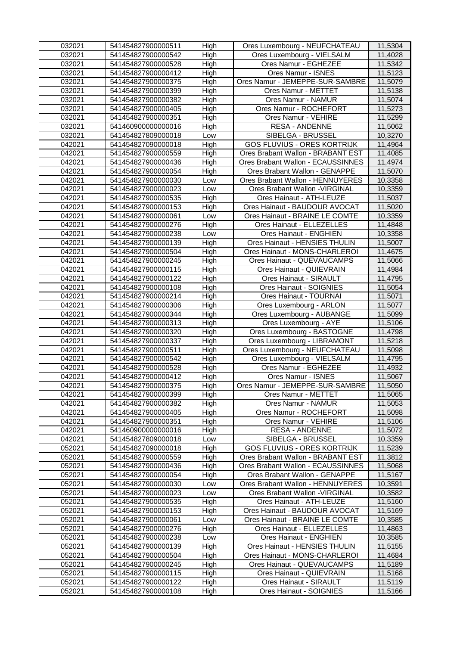| 032021 | 541454827900000511 | High | Ores Luxembourg - NEUFCHATEAU      | 11,5304 |
|--------|--------------------|------|------------------------------------|---------|
| 032021 | 541454827900000542 | High | Ores Luxembourg - VIELSALM         | 11,4028 |
| 032021 | 541454827900000528 | High | Ores Namur - EGHEZEE               | 11,5342 |
| 032021 | 541454827900000412 | High | Ores Namur - ISNES                 | 11,5123 |
| 032021 | 541454827900000375 | High | Ores Namur - JEMEPPE-SUR-SAMBRE    | 11,5079 |
| 032021 | 541454827900000399 | High | Ores Namur - METTET                | 11,5138 |
| 032021 | 541454827900000382 | High | Ores Namur - NAMUR                 | 11,5074 |
| 032021 | 541454827900000405 | High | Ores Namur - ROCHEFORT             | 11,5273 |
| 032021 | 541454827900000351 | High | Ores Namur - VEHIRE                | 11,5299 |
| 032021 | 541460900000000016 | High | <b>RESA - ANDENNE</b>              | 11,5062 |
| 032021 | 541454827809000018 | Low  | SIBELGA - BRUSSEL                  | 10,3270 |
| 042021 | 541454827090000018 | High | <b>GOS FLUVIUS - ORES KORTRIJK</b> | 11,4964 |
| 042021 | 541454827900000559 | High | Ores Brabant Wallon - BRABANT EST  | 11,4085 |
| 042021 | 541454827900000436 | High | Ores Brabant Wallon - ECAUSSINNES  | 11,4974 |
| 042021 | 541454827900000054 | High | Ores Brabant Wallon - GENAPPE      | 11,5070 |
| 042021 | 541454827900000030 | Low  | Ores Brabant Wallon - HENNUYERES   | 10,3358 |
| 042021 | 541454827900000023 | Low  | Ores Brabant Wallon - VIRGINAL     | 10,3359 |
| 042021 | 541454827900000535 | High | Ores Hainaut - ATH-LEUZE           | 11,5037 |
| 042021 | 541454827900000153 | High | Ores Hainaut - BAUDOUR AVOCAT      | 11,5020 |
| 042021 | 541454827900000061 | Low  | Ores Hainaut - BRAINE LE COMTE     | 10,3359 |
| 042021 | 541454827900000276 | High | Ores Hainaut - ELLEZELLES          | 11,4848 |
| 042021 | 541454827900000238 | Low  | Ores Hainaut - ENGHIEN             | 10,3358 |
| 042021 | 541454827900000139 | High | Ores Hainaut - HENSIES THULIN      | 11,5007 |
| 042021 | 541454827900000504 | High | Ores Hainaut - MONS-CHARLEROI      | 11,4675 |
| 042021 | 541454827900000245 | High | Ores Hainaut - QUEVAUCAMPS         | 11,5066 |
| 042021 | 541454827900000115 | High | Ores Hainaut - QUIEVRAIN           | 11,4984 |
| 042021 | 541454827900000122 | High | Ores Hainaut - SIRAULT             | 11,4795 |
| 042021 | 541454827900000108 | High | Ores Hainaut - SOIGNIES            | 11,5054 |
| 042021 | 541454827900000214 | High | Ores Hainaut - TOURNAI             | 11,5071 |
| 042021 | 541454827900000306 | High | Ores Luxembourg - ARLON            | 11,5077 |
| 042021 | 541454827900000344 | High | Ores Luxembourg - AUBANGE          | 11,5099 |
| 042021 | 541454827900000313 | High | Ores Luxembourg - AYE              | 11,5106 |
| 042021 | 541454827900000320 | High | Ores Luxembourg - BASTOGNE         | 11,4798 |
| 042021 | 541454827900000337 | High | Ores Luxembourg - LIBRAMONT        | 11,5218 |
| 042021 | 541454827900000511 | High | Ores Luxembourg - NEUFCHATEAU      | 11,5098 |
| 042021 | 541454827900000542 | High | Ores Luxembourg - VIELSALM         | 11,4795 |
| 042021 | 541454827900000528 | High | Ores Namur - EGHEZEE               | 11,4932 |
| 042021 | 541454827900000412 | High | Ores Namur - ISNES                 | 11,5067 |
| 042021 | 541454827900000375 | High | Ores Namur - JEMEPPE-SUR-SAMBRE    | 11,5050 |
| 042021 | 541454827900000399 | High | Ores Namur - METTET                | 11,5065 |
| 042021 | 541454827900000382 | High | <b>Ores Namur - NAMUR</b>          | 11,5053 |
| 042021 | 541454827900000405 | High | Ores Namur - ROCHEFORT             | 11,5098 |
| 042021 | 541454827900000351 | High | Ores Namur - VEHIRE                | 11,5106 |
| 042021 | 541460900000000016 | High | <b>RESA - ANDENNE</b>              | 11,5072 |
| 042021 | 541454827809000018 | Low  | SIBELGA - BRUSSEL                  | 10,3359 |
| 052021 | 541454827090000018 | High | <b>GOS FLUVIUS - ORES KORTRIJK</b> | 11,5239 |
| 052021 | 541454827900000559 | High | Ores Brabant Wallon - BRABANT EST  | 11,3812 |
| 052021 | 541454827900000436 | High | Ores Brabant Wallon - ECAUSSINNES  | 11,5068 |
| 052021 | 541454827900000054 | High | Ores Brabant Wallon - GENAPPE      | 11,5167 |
| 052021 | 541454827900000030 | Low  | Ores Brabant Wallon - HENNUYERES   | 10,3591 |
| 052021 | 541454827900000023 | Low  | Ores Brabant Wallon - VIRGINAL     | 10,3582 |
| 052021 | 541454827900000535 | High | Ores Hainaut - ATH-LEUZE           | 11,5160 |
| 052021 | 541454827900000153 | High | Ores Hainaut - BAUDOUR AVOCAT      | 11,5169 |
| 052021 | 541454827900000061 | Low  | Ores Hainaut - BRAINE LE COMTE     | 10,3585 |
| 052021 | 541454827900000276 | High | Ores Hainaut - ELLEZELLES          | 11,4863 |
| 052021 | 541454827900000238 | Low  | Ores Hainaut - ENGHIEN             | 10,3585 |
| 052021 | 541454827900000139 | High | Ores Hainaut - HENSIES THULIN      | 11,5155 |
| 052021 | 541454827900000504 | High | Ores Hainaut - MONS-CHARLEROI      | 11,4684 |
| 052021 | 541454827900000245 | High | Ores Hainaut - QUEVAUCAMPS         | 11,5189 |
| 052021 | 541454827900000115 | High | Ores Hainaut - QUIEVRAIN           | 11,5168 |
| 052021 | 541454827900000122 | High | Ores Hainaut - SIRAULT             | 11,5119 |
| 052021 | 541454827900000108 | High | Ores Hainaut - SOIGNIES            | 11,5166 |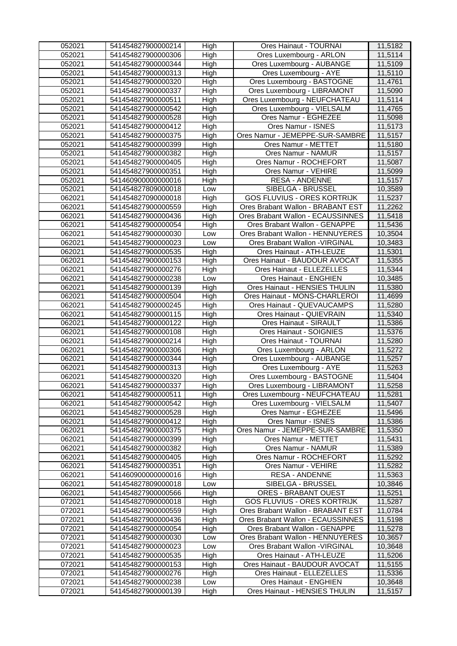| 052021 | 541454827900000214 | High | Ores Hainaut - TOURNAI             | 11,5182 |
|--------|--------------------|------|------------------------------------|---------|
| 052021 | 541454827900000306 | High | Ores Luxembourg - ARLON            | 11,5114 |
| 052021 | 541454827900000344 | High | Ores Luxembourg - AUBANGE          | 11,5109 |
| 052021 | 541454827900000313 | High | Ores Luxembourg - AYE              | 11,5110 |
| 052021 | 541454827900000320 | High | Ores Luxembourg - BASTOGNE         | 11,4761 |
| 052021 | 541454827900000337 | High | Ores Luxembourg - LIBRAMONT        | 11,5090 |
| 052021 | 541454827900000511 | High | Ores Luxembourg - NEUFCHATEAU      | 11,5114 |
| 052021 | 541454827900000542 | High | Ores Luxembourg - VIELSALM         | 11,4765 |
| 052021 | 541454827900000528 | High | Ores Namur - EGHEZEE               | 11,5098 |
| 052021 | 541454827900000412 | High | Ores Namur - ISNES                 | 11,5173 |
| 052021 | 541454827900000375 | High | Ores Namur - JEMEPPE-SUR-SAMBRE    | 11,5157 |
| 052021 | 541454827900000399 | High | Ores Namur - METTET                | 11,5180 |
| 052021 | 541454827900000382 | High | Ores Namur - NAMUR                 | 11,5157 |
| 052021 | 541454827900000405 | High | Ores Namur - ROCHEFORT             | 11,5087 |
| 052021 | 541454827900000351 | High | Ores Namur - VEHIRE                | 11,5099 |
| 052021 | 541460900000000016 | High | <b>RESA - ANDENNE</b>              | 11,5157 |
| 052021 | 541454827809000018 | Low  | SIBELGA - BRUSSEL                  | 10,3589 |
| 062021 | 541454827090000018 | High | <b>GOS FLUVIUS - ORES KORTRIJK</b> | 11,5237 |
| 062021 | 541454827900000559 | High | Ores Brabant Wallon - BRABANT EST  | 11,2262 |
| 062021 | 541454827900000436 | High | Ores Brabant Wallon - ECAUSSINNES  | 11,5418 |
| 062021 | 541454827900000054 | High | Ores Brabant Wallon - GENAPPE      | 11,5436 |
| 062021 | 541454827900000030 | Low  | Ores Brabant Wallon - HENNUYERES   | 10,3504 |
| 062021 | 541454827900000023 | Low  | Ores Brabant Wallon - VIRGINAL     | 10,3483 |
| 062021 | 541454827900000535 | High | Ores Hainaut - ATH-LEUZE           | 11,5301 |
| 062021 | 541454827900000153 | High | Ores Hainaut - BAUDOUR AVOCAT      | 11,5355 |
| 062021 | 541454827900000276 | High | Ores Hainaut - ELLEZELLES          | 11,5344 |
| 062021 | 541454827900000238 | Low  | Ores Hainaut - ENGHIEN             | 10,3485 |
| 062021 | 541454827900000139 | High | Ores Hainaut - HENSIES THULIN      | 11,5380 |
| 062021 | 541454827900000504 | High | Ores Hainaut - MONS-CHARLEROI      | 11,4699 |
| 062021 | 541454827900000245 | High | Ores Hainaut - QUEVAUCAMPS         | 11,5280 |
| 062021 | 541454827900000115 | High | Ores Hainaut - QUIEVRAIN           | 11,5340 |
| 062021 | 541454827900000122 | High | Ores Hainaut - SIRAULT             | 11,5386 |
| 062021 | 541454827900000108 | High | Ores Hainaut - SOIGNIES            | 11,5376 |
| 062021 | 541454827900000214 | High | Ores Hainaut - TOURNAI             | 11,5280 |
| 062021 | 541454827900000306 | High | Ores Luxembourg - ARLON            | 11,5272 |
| 062021 | 541454827900000344 | High | Ores Luxembourg - AUBANGE          | 11,5257 |
| 062021 | 541454827900000313 | High | Ores Luxembourg - AYE              | 11,5263 |
| 062021 | 541454827900000320 | High | Ores Luxembourg - BASTOGNE         | 11,5404 |
| 062021 | 541454827900000337 | High | Ores Luxembourg - LIBRAMONT        | 11,5258 |
| 062021 | 541454827900000511 | High | Ores Luxembourg - NEUFCHATEAU      | 11,5281 |
| 062021 | 541454827900000542 | High | Ores Luxembourg - VIELSALM         | 11,5407 |
| 062021 | 541454827900000528 | High | Ores Namur - EGHEZEE               | 11,5496 |
| 062021 | 541454827900000412 | High | Ores Namur - ISNES                 | 11,5386 |
| 062021 | 541454827900000375 | High | Ores Namur - JEMEPPE-SUR-SAMBRE    | 11,5350 |
| 062021 | 541454827900000399 | High | Ores Namur - METTET                | 11,5431 |
| 062021 | 541454827900000382 | High | Ores Namur - NAMUR                 | 11,5389 |
| 062021 | 541454827900000405 | High | Ores Namur - ROCHEFORT             | 11,5292 |
| 062021 | 541454827900000351 | High | Ores Namur - VEHIRE                | 11,5282 |
| 062021 | 541460900000000016 | High | <b>RESA - ANDENNE</b>              | 11,5363 |
| 062021 | 541454827809000018 | Low  | SIBELGA - BRUSSEL                  | 10,3846 |
| 062021 | 541454827900000566 | High | <b>ORES - BRABANT OUEST</b>        | 11,5251 |
| 072021 | 541454827090000018 | High | <b>GOS FLUVIUS - ORES KORTRIJK</b> | 11,5287 |
| 072021 | 541454827900000559 | High | Ores Brabant Wallon - BRABANT EST  | 11,0784 |
| 072021 | 541454827900000436 | High | Ores Brabant Wallon - ECAUSSINNES  | 11,5198 |
| 072021 | 541454827900000054 | High | Ores Brabant Wallon - GENAPPE      | 11,5278 |
| 072021 | 541454827900000030 | Low  | Ores Brabant Wallon - HENNUYERES   | 10,3657 |
| 072021 | 541454827900000023 | Low  | Ores Brabant Wallon - VIRGINAL     | 10,3648 |
| 072021 | 541454827900000535 | High | Ores Hainaut - ATH-LEUZE           | 11,5206 |
| 072021 | 541454827900000153 | High | Ores Hainaut - BAUDOUR AVOCAT      | 11,5155 |
| 072021 | 541454827900000276 | High | Ores Hainaut - ELLEZELLES          | 11,5336 |
| 072021 | 541454827900000238 | Low  | Ores Hainaut - ENGHIEN             | 10,3648 |
| 072021 | 541454827900000139 | High | Ores Hainaut - HENSIES THULIN      | 11,5157 |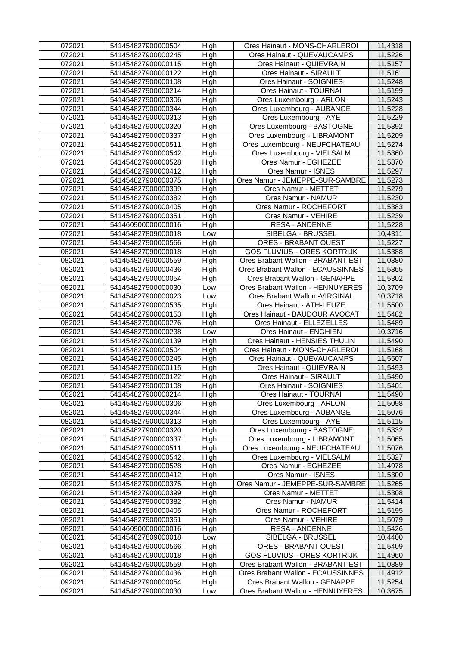| 072021 | 541454827900000504 | High | Ores Hainaut - MONS-CHARLEROI      | 11,4318 |
|--------|--------------------|------|------------------------------------|---------|
| 072021 | 541454827900000245 | High | Ores Hainaut - QUEVAUCAMPS         | 11,5226 |
| 072021 | 541454827900000115 | High | Ores Hainaut - QUIEVRAIN           | 11,5157 |
| 072021 | 541454827900000122 | High | Ores Hainaut - SIRAULT             | 11,5161 |
| 072021 | 541454827900000108 | High | Ores Hainaut - SOIGNIES            | 11,5248 |
| 072021 | 541454827900000214 | High | Ores Hainaut - TOURNAI             | 11,5199 |
| 072021 | 541454827900000306 | High | Ores Luxembourg - ARLON            | 11,5243 |
| 072021 | 541454827900000344 | High | Ores Luxembourg - AUBANGE          | 11,5228 |
| 072021 | 541454827900000313 | High | Ores Luxembourg - AYE              | 11,5229 |
| 072021 | 541454827900000320 | High | Ores Luxembourg - BASTOGNE         | 11,5392 |
| 072021 | 541454827900000337 | High | Ores Luxembourg - LIBRAMONT        | 11,5209 |
| 072021 | 541454827900000511 | High | Ores Luxembourg - NEUFCHATEAU      | 11,5274 |
| 072021 | 541454827900000542 | High | Ores Luxembourg - VIELSALM         | 11,5360 |
| 072021 | 541454827900000528 | High | Ores Namur - EGHEZEE               | 11,5370 |
| 072021 | 541454827900000412 | High | Ores Namur - ISNES                 | 11,5297 |
| 072021 | 541454827900000375 | High | Ores Namur - JEMEPPE-SUR-SAMBRE    | 11,5273 |
| 072021 | 541454827900000399 | High | Ores Namur - METTET                | 11,5279 |
| 072021 | 541454827900000382 | High | Ores Namur - NAMUR                 | 11,5230 |
| 072021 | 541454827900000405 | High | Ores Namur - ROCHEFORT             | 11,5383 |
| 072021 | 541454827900000351 | High | Ores Namur - VEHIRE                | 11,5239 |
| 072021 | 541460900000000016 | High | <b>RESA - ANDENNE</b>              | 11,5228 |
| 072021 | 541454827809000018 | Low  | SIBELGA - BRUSSEL                  | 10,4311 |
| 072021 | 541454827900000566 | High | <b>ORES - BRABANT OUEST</b>        | 11,5227 |
| 082021 | 541454827090000018 | High | <b>GOS FLUVIUS - ORES KORTRIJK</b> | 11,5388 |
| 082021 | 541454827900000559 | High | Ores Brabant Wallon - BRABANT EST  | 11,0380 |
| 082021 | 541454827900000436 | High | Ores Brabant Wallon - ECAUSSINNES  | 11,5365 |
| 082021 | 541454827900000054 | High | Ores Brabant Wallon - GENAPPE      | 11,5302 |
| 082021 | 541454827900000030 | Low  | Ores Brabant Wallon - HENNUYERES   | 10,3709 |
| 082021 | 541454827900000023 | Low  | Ores Brabant Wallon - VIRGINAL     | 10,3718 |
| 082021 | 541454827900000535 | High | Ores Hainaut - ATH-LEUZE           | 11,5500 |
| 082021 | 541454827900000153 | High | Ores Hainaut - BAUDOUR AVOCAT      | 11,5482 |
| 082021 | 541454827900000276 | High | Ores Hainaut - ELLEZELLES          | 11,5489 |
| 082021 | 541454827900000238 | Low  | Ores Hainaut - ENGHIEN             | 10,3716 |
| 082021 | 541454827900000139 | High | Ores Hainaut - HENSIES THULIN      | 11,5490 |
| 082021 | 541454827900000504 | High | Ores Hainaut - MONS-CHARLEROI      | 11,5168 |
| 082021 | 541454827900000245 | High | Ores Hainaut - QUEVAUCAMPS         | 11,5507 |
| 082021 | 541454827900000115 | High | Ores Hainaut - QUIEVRAIN           | 11,5493 |
| 082021 | 541454827900000122 | High | Ores Hainaut - SIRAULT             | 11,5490 |
| 082021 | 541454827900000108 | High | Ores Hainaut - SOIGNIES            | 11,5401 |
| 082021 | 541454827900000214 | High | Ores Hainaut - TOURNAI             | 11,5490 |
| 082021 | 541454827900000306 | High | Ores Luxembourg - ARLON            | 11,5098 |
| 082021 | 541454827900000344 | High | Ores Luxembourg - AUBANGE          | 11,5076 |
| 082021 | 541454827900000313 | High | Ores Luxembourg - AYE              | 11,5115 |
| 082021 | 541454827900000320 | High | Ores Luxembourg - BASTOGNE         | 11,5332 |
| 082021 | 541454827900000337 | High | Ores Luxembourg - LIBRAMONT        | 11,5065 |
| 082021 | 541454827900000511 | High | Ores Luxembourg - NEUFCHATEAU      | 11,5076 |
| 082021 | 541454827900000542 | High | Ores Luxembourg - VIELSALM         | 11,5327 |
| 082021 | 541454827900000528 | High | Ores Namur - EGHEZEE               | 11,4978 |
| 082021 | 541454827900000412 | High | Ores Namur - ISNES                 | 11,5300 |
| 082021 | 541454827900000375 | High | Ores Namur - JEMEPPE-SUR-SAMBRE    | 11,5265 |
| 082021 | 541454827900000399 | High | Ores Namur - METTET                | 11,5308 |
| 082021 | 541454827900000382 | High | Ores Namur - NAMUR                 | 11,5414 |
| 082021 | 541454827900000405 | High | Ores Namur - ROCHEFORT             | 11,5195 |
| 082021 | 541454827900000351 | High | Ores Namur - VEHIRE                | 11,5079 |
| 082021 | 541460900000000016 | High | <b>RESA - ANDENNE</b>              | 11,5426 |
| 082021 | 541454827809000018 | Low  | SIBELGA - BRUSSEL                  | 10,4400 |
| 082021 | 541454827900000566 | High | <b>ORES - BRABANT OUEST</b>        | 11,5409 |
| 092021 | 541454827090000018 | High | <b>GOS FLUVIUS - ORES KORTRIJK</b> | 11,4960 |
| 092021 | 541454827900000559 | High | Ores Brabant Wallon - BRABANT EST  | 11,0889 |
| 092021 | 541454827900000436 | High | Ores Brabant Wallon - ECAUSSINNES  | 11,4912 |
| 092021 | 541454827900000054 | High | Ores Brabant Wallon - GENAPPE      | 11,5254 |
| 092021 | 541454827900000030 | Low  | Ores Brabant Wallon - HENNUYERES   | 10,3675 |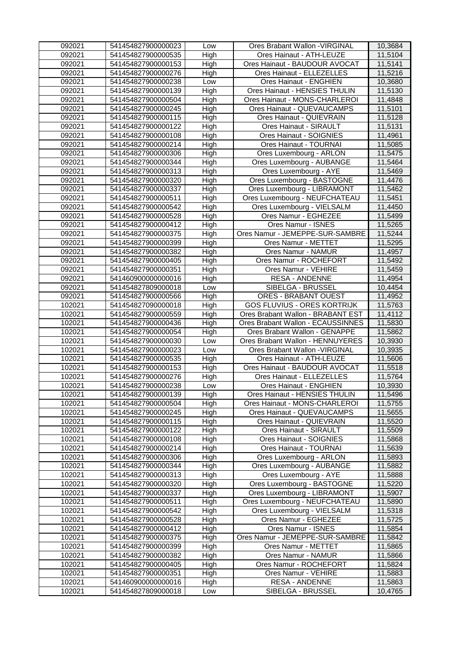| 092021 | 541454827900000023 | Low  | Ores Brabant Wallon - VIRGINAL     | 10,3684 |
|--------|--------------------|------|------------------------------------|---------|
| 092021 | 541454827900000535 | High | Ores Hainaut - ATH-LEUZE           | 11,5104 |
| 092021 | 541454827900000153 | High | Ores Hainaut - BAUDOUR AVOCAT      | 11,5141 |
| 092021 | 541454827900000276 | High | Ores Hainaut - ELLEZELLES          | 11,5216 |
| 092021 | 541454827900000238 | Low  | Ores Hainaut - ENGHIEN             | 10,3680 |
| 092021 | 541454827900000139 | High | Ores Hainaut - HENSIES THULIN      | 11,5130 |
| 092021 | 541454827900000504 | High | Ores Hainaut - MONS-CHARLEROI      | 11,4848 |
| 092021 | 541454827900000245 | High | Ores Hainaut - QUEVAUCAMPS         | 11,5101 |
| 092021 | 541454827900000115 | High | Ores Hainaut - QUIEVRAIN           | 11,5128 |
| 092021 | 541454827900000122 | High | Ores Hainaut - SIRAULT             | 11,5131 |
| 092021 | 541454827900000108 | High | Ores Hainaut - SOIGNIES            | 11,4961 |
| 092021 | 541454827900000214 | High | Ores Hainaut - TOURNAI             | 11,5085 |
| 092021 | 541454827900000306 | High | Ores Luxembourg - ARLON            | 11,5475 |
| 092021 | 541454827900000344 | High | Ores Luxembourg - AUBANGE          | 11,5464 |
| 092021 | 541454827900000313 | High | Ores Luxembourg - AYE              | 11,5469 |
| 092021 | 541454827900000320 | High | Ores Luxembourg - BASTOGNE         | 11,4476 |
| 092021 | 541454827900000337 | High | Ores Luxembourg - LIBRAMONT        | 11,5462 |
| 092021 | 541454827900000511 | High | Ores Luxembourg - NEUFCHATEAU      | 11,5451 |
| 092021 | 541454827900000542 | High | Ores Luxembourg - VIELSALM         | 11,4450 |
| 092021 | 541454827900000528 | High | Ores Namur - EGHEZEE               | 11,5499 |
| 092021 | 541454827900000412 | High | Ores Namur - ISNES                 | 11,5265 |
| 092021 | 541454827900000375 | High | Ores Namur - JEMEPPE-SUR-SAMBRE    | 11,5244 |
| 092021 | 541454827900000399 | High | Ores Namur - METTET                | 11,5295 |
| 092021 | 541454827900000382 | High | <b>Ores Namur - NAMUR</b>          | 11,4957 |
| 092021 | 541454827900000405 | High | Ores Namur - ROCHEFORT             | 11,5492 |
| 092021 | 541454827900000351 | High | Ores Namur - VEHIRE                | 11,5459 |
| 092021 | 541460900000000016 | High | <b>RESA - ANDENNE</b>              | 11,4954 |
| 092021 | 541454827809000018 | Low  | SIBELGA - BRUSSEL                  | 10,4454 |
| 092021 | 541454827900000566 | High | <b>ORES - BRABANT OUEST</b>        | 11,4952 |
| 102021 | 541454827090000018 | High | <b>GOS FLUVIUS - ORES KORTRIJK</b> | 11,5763 |
| 102021 | 541454827900000559 | High | Ores Brabant Wallon - BRABANT EST  | 11,4112 |
| 102021 | 541454827900000436 | High | Ores Brabant Wallon - ECAUSSINNES  | 11,5830 |
| 102021 | 541454827900000054 | High | Ores Brabant Wallon - GENAPPE      | 11,5862 |
| 102021 | 541454827900000030 | Low  | Ores Brabant Wallon - HENNUYERES   | 10,3930 |
| 102021 | 541454827900000023 | Low  | Ores Brabant Wallon - VIRGINAL     | 10,3935 |
| 102021 | 541454827900000535 | High | Ores Hainaut - ATH-LEUZE           | 11,5606 |
| 102021 | 541454827900000153 | High | Ores Hainaut - BAUDOUR AVOCAT      | 11,5518 |
| 102021 | 541454827900000276 | High | Ores Hainaut - ELLEZELLES          | 11,5764 |
| 102021 | 541454827900000238 | Low  | Ores Hainaut - ENGHIEN             | 10,3930 |
| 102021 | 541454827900000139 | High | Ores Hainaut - HENSIES THULIN      | 11,5496 |
| 102021 | 541454827900000504 | High | Ores Hainaut - MONS-CHARLEROI      | 11,5755 |
| 102021 | 541454827900000245 | High | Ores Hainaut - QUEVAUCAMPS         | 11,5655 |
| 102021 | 541454827900000115 | High | Ores Hainaut - QUIEVRAIN           | 11,5520 |
| 102021 | 541454827900000122 | High | Ores Hainaut - SIRAULT             | 11,5509 |
| 102021 | 541454827900000108 | High | Ores Hainaut - SOIGNIES            | 11,5868 |
| 102021 | 541454827900000214 | High | Ores Hainaut - TOURNAI             | 11,5639 |
| 102021 | 541454827900000306 | High | Ores Luxembourg - ARLON            | 11,5893 |
| 102021 | 541454827900000344 | High | Ores Luxembourg - AUBANGE          | 11,5882 |
| 102021 | 541454827900000313 | High | Ores Luxembourg - AYE              | 11,5888 |
| 102021 | 541454827900000320 | High | Ores Luxembourg - BASTOGNE         | 11,5220 |
| 102021 | 541454827900000337 | High | Ores Luxembourg - LIBRAMONT        | 11,5907 |
| 102021 | 541454827900000511 | High | Ores Luxembourg - NEUFCHATEAU      | 11,5890 |
| 102021 | 541454827900000542 | High | Ores Luxembourg - VIELSALM         | 11,5318 |
| 102021 | 541454827900000528 | High | Ores Namur - EGHEZEE               | 11,5725 |
| 102021 | 541454827900000412 | High | Ores Namur - ISNES                 | 11,5854 |
| 102021 | 541454827900000375 | High | Ores Namur - JEMEPPE-SUR-SAMBRE    | 11,5842 |
| 102021 | 541454827900000399 | High | Ores Namur - METTET                | 11,5865 |
| 102021 | 541454827900000382 | High | Ores Namur - NAMUR                 | 11,5866 |
| 102021 | 541454827900000405 | High | Ores Namur - ROCHEFORT             | 11,5824 |
| 102021 | 541454827900000351 | High | Ores Namur - VEHIRE                | 11,5883 |
| 102021 | 541460900000000016 | High | <b>RESA - ANDENNE</b>              | 11,5863 |
| 102021 | 541454827809000018 | Low  | SIBELGA - BRUSSEL                  | 10,4765 |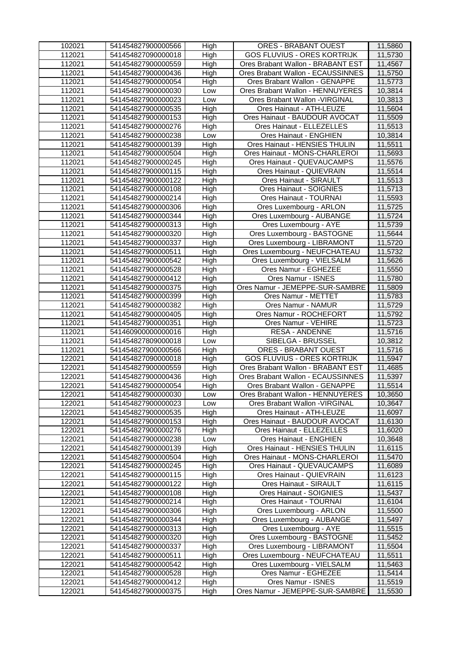| 102021 | 541454827900000566 | High        | <b>ORES - BRABANT OUEST</b>        | 11,5860 |
|--------|--------------------|-------------|------------------------------------|---------|
| 112021 | 541454827090000018 | High        | <b>GOS FLUVIUS - ORES KORTRIJK</b> | 11,5730 |
| 112021 | 541454827900000559 | High        | Ores Brabant Wallon - BRABANT EST  | 11,4567 |
| 112021 | 541454827900000436 | High        | Ores Brabant Wallon - ECAUSSINNES  | 11,5750 |
| 112021 | 541454827900000054 | High        | Ores Brabant Wallon - GENAPPE      | 11,5773 |
| 112021 | 541454827900000030 | Low         | Ores Brabant Wallon - HENNUYERES   | 10,3814 |
| 112021 | 541454827900000023 | Low         | Ores Brabant Wallon - VIRGINAL     | 10,3813 |
| 112021 | 541454827900000535 | High        | Ores Hainaut - ATH-LEUZE           | 11,5604 |
| 112021 | 541454827900000153 | High        | Ores Hainaut - BAUDOUR AVOCAT      | 11,5509 |
| 112021 | 541454827900000276 | High        | Ores Hainaut - ELLEZELLES          | 11,5513 |
| 112021 | 541454827900000238 | Low         | Ores Hainaut - ENGHIEN             | 10,3814 |
| 112021 | 541454827900000139 | High        | Ores Hainaut - HENSIES THULIN      | 11,5511 |
| 112021 | 541454827900000504 | High        | Ores Hainaut - MONS-CHARLEROI      | 11,5693 |
| 112021 | 541454827900000245 | High        | Ores Hainaut - QUEVAUCAMPS         | 11,5576 |
| 112021 | 541454827900000115 | High        | Ores Hainaut - QUIEVRAIN           | 11,5514 |
| 112021 | 541454827900000122 | <b>High</b> | Ores Hainaut - SIRAULT             | 11,5513 |
| 112021 | 541454827900000108 | High        | Ores Hainaut - SOIGNIES            | 11,5713 |
| 112021 | 541454827900000214 | High        | Ores Hainaut - TOURNAI             | 11,5593 |
| 112021 | 541454827900000306 | High        | Ores Luxembourg - ARLON            | 11,5725 |
| 112021 | 541454827900000344 | High        | Ores Luxembourg - AUBANGE          | 11,5724 |
| 112021 | 541454827900000313 | High        | Ores Luxembourg - AYE              | 11,5739 |
| 112021 | 541454827900000320 | High        | Ores Luxembourg - BASTOGNE         | 11,5644 |
| 112021 | 541454827900000337 | High        | Ores Luxembourg - LIBRAMONT        | 11,5720 |
| 112021 | 541454827900000511 | High        | Ores Luxembourg - NEUFCHATEAU      | 11,5732 |
| 112021 | 541454827900000542 | High        | Ores Luxembourg - VIELSALM         | 11,5626 |
| 112021 | 541454827900000528 | High        | Ores Namur - EGHEZEE               | 11,5550 |
| 112021 | 541454827900000412 | High        | Ores Namur - ISNES                 | 11,5780 |
| 112021 | 541454827900000375 | High        | Ores Namur - JEMEPPE-SUR-SAMBRE    | 11,5809 |
| 112021 | 541454827900000399 | High        | Ores Namur - METTET                | 11,5783 |
| 112021 | 541454827900000382 | High        | Ores Namur - NAMUR                 | 11,5729 |
| 112021 | 541454827900000405 | High        | Ores Namur - ROCHEFORT             | 11,5792 |
| 112021 | 541454827900000351 | High        | Ores Namur - VEHIRE                | 11,5723 |
| 112021 | 541460900000000016 | High        | <b>RESA - ANDENNE</b>              | 11,5716 |
| 112021 | 541454827809000018 | Low         | SIBELGA - BRUSSEL                  | 10,3812 |
| 112021 | 541454827900000566 | High        | <b>ORES - BRABANT OUEST</b>        | 11,5716 |
| 122021 | 541454827090000018 | High        | <b>GOS FLUVIUS - ORES KORTRIJK</b> | 11,5947 |
| 122021 | 541454827900000559 | High        | Ores Brabant Wallon - BRABANT EST  | 11,4685 |
| 122021 | 541454827900000436 | High        | Ores Brabant Wallon - ECAUSSINNES  | 11,5397 |
| 122021 | 541454827900000054 | High        | Ores Brabant Wallon - GENAPPE      | 11,5514 |
| 122021 | 541454827900000030 | Low         | Ores Brabant Wallon - HENNUYERES   | 10,3650 |
| 122021 | 541454827900000023 | Low         | Ores Brabant Wallon - VIRGINAL     | 10,3647 |
| 122021 | 541454827900000535 | High        | Ores Hainaut - ATH-LEUZE           | 11,6097 |
| 122021 | 541454827900000153 | High        | Ores Hainaut - BAUDOUR AVOCAT      | 11,6130 |
| 122021 | 541454827900000276 | High        | Ores Hainaut - ELLEZELLES          | 11,6020 |
| 122021 | 541454827900000238 | Low         | Ores Hainaut - ENGHIEN             | 10,3648 |
| 122021 | 541454827900000139 | High        | Ores Hainaut - HENSIES THULIN      | 11,6115 |
| 122021 | 541454827900000504 | High        | Ores Hainaut - MONS-CHARLEROI      | 11,5470 |
| 122021 | 541454827900000245 | High        | Ores Hainaut - QUEVAUCAMPS         | 11,6089 |
| 122021 | 541454827900000115 | High        | Ores Hainaut - QUIEVRAIN           | 11,6123 |
| 122021 | 541454827900000122 | High        | Ores Hainaut - SIRAULT             | 11,6115 |
| 122021 | 541454827900000108 | High        | Ores Hainaut - SOIGNIES            | 11,5437 |
| 122021 | 541454827900000214 | High        | Ores Hainaut - TOURNAI             | 11,6104 |
| 122021 | 541454827900000306 | High        | Ores Luxembourg - ARLON            | 11,5500 |
| 122021 | 541454827900000344 | High        | Ores Luxembourg - AUBANGE          | 11,5497 |
| 122021 | 541454827900000313 | High        | Ores Luxembourg - AYE              | 11,5515 |
| 122021 | 541454827900000320 | High        | Ores Luxembourg - BASTOGNE         | 11,5452 |
| 122021 | 541454827900000337 | High        | Ores Luxembourg - LIBRAMONT        | 11,5504 |
| 122021 | 541454827900000511 | High        | Ores Luxembourg - NEUFCHATEAU      | 11,5511 |
| 122021 | 541454827900000542 | High        | Ores Luxembourg - VIELSALM         | 11,5463 |
| 122021 | 541454827900000528 | High        | Ores Namur - EGHEZEE               | 11,5414 |
| 122021 | 541454827900000412 | High        | Ores Namur - ISNES                 | 11,5519 |
| 122021 | 541454827900000375 | High        | Ores Namur - JEMEPPE-SUR-SAMBRE    | 11,5530 |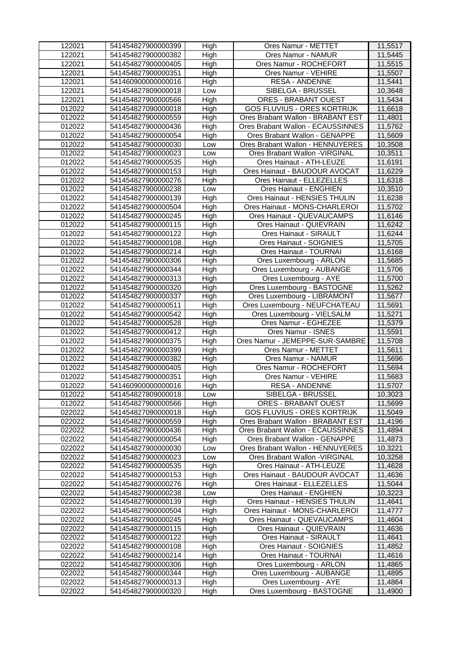| 122021           | 541454827900000399                       | High         | Ores Namur - METTET                                 | 11,5517            |
|------------------|------------------------------------------|--------------|-----------------------------------------------------|--------------------|
| 122021           | 541454827900000382                       | High         | Ores Namur - NAMUR                                  | 11,5445            |
| 122021           | 541454827900000405                       | High         | Ores Namur - ROCHEFORT                              | 11,5515            |
| 122021           | 541454827900000351                       | High         | Ores Namur - VEHIRE                                 | 11,5507            |
| 122021           | 541460900000000016                       | High         | <b>RESA - ANDENNE</b>                               | 11,5441            |
| 122021           | 541454827809000018                       | Low          | SIBELGA - BRUSSEL                                   | 10,3648            |
| 122021           | 541454827900000566                       | High         | <b>ORES - BRABANT OUEST</b>                         | 11,5434            |
| 012022           | 541454827090000018                       | High         | <b>GOS FLUVIUS - ORES KORTRIJK</b>                  | 11,6618            |
| 012022           | 541454827900000559                       | High         | Ores Brabant Wallon - BRABANT EST                   | 11,4801            |
| 012022           | 541454827900000436                       | High         | Ores Brabant Wallon - ECAUSSINNES                   | 11,5762            |
| 012022           | 541454827900000054                       | High         | Ores Brabant Wallon - GENAPPE                       | 11,5609            |
| 012022           | 541454827900000030                       | Low          | Ores Brabant Wallon - HENNUYERES                    | 10,3508            |
| 012022           | 541454827900000023                       | Low          | Ores Brabant Wallon - VIRGINAL                      | 10,3511            |
| 012022           | 541454827900000535                       | High         | Ores Hainaut - ATH-LEUZE                            | 11,6191            |
| 012022           | 541454827900000153                       | High         | Ores Hainaut - BAUDOUR AVOCAT                       | 11,6229            |
| 012022           | 541454827900000276                       | High         | Ores Hainaut - ELLEZELLES                           | 11,6318            |
| 012022           | 541454827900000238                       | Low          | Ores Hainaut - ENGHIEN                              | 10,3510            |
| 012022           | 541454827900000139                       | High         | Ores Hainaut - HENSIES THULIN                       | 11,6238            |
| 012022           | 541454827900000504                       | High         | Ores Hainaut - MONS-CHARLEROI                       | 11,5702            |
| 012022           | 541454827900000245                       | High         | Ores Hainaut - QUEVAUCAMPS                          | 11,6146            |
| 012022           | 541454827900000115                       | High         | Ores Hainaut - QUIEVRAIN                            | 11,6242            |
| 012022           | 541454827900000122                       | High         | Ores Hainaut - SIRAULT                              | 11,6244            |
| 012022           | 541454827900000108                       | High         | Ores Hainaut - SOIGNIES                             | 11,5705            |
| 012022           | 541454827900000214                       | High         | Ores Hainaut - TOURNAI                              | 11,6168            |
| 012022           | 541454827900000306                       | High         | Ores Luxembourg - ARLON                             | 11,5685            |
| 012022           | 541454827900000344                       | High         | Ores Luxembourg - AUBANGE                           | 11,5706            |
| 012022           | 541454827900000313                       | High         | Ores Luxembourg - AYE                               | 11,5700            |
| 012022           | 541454827900000320                       | High         | Ores Luxembourg - BASTOGNE                          | 11,5262            |
| 012022           | 541454827900000337                       | High         | Ores Luxembourg - LIBRAMONT                         | 11,5677            |
| 012022           | 541454827900000511                       | High         | Ores Luxembourg - NEUFCHATEAU                       | 11,5691            |
| 012022           | 541454827900000542                       | High         | Ores Luxembourg - VIELSALM                          | 11,5271            |
| 012022           | 541454827900000528                       | High         | Ores Namur - EGHEZEE                                | 11,5379            |
| 012022           | 541454827900000412                       | High         | Ores Namur - ISNES                                  | 11,5591            |
| 012022           | 541454827900000375                       | High         | Ores Namur - JEMEPPE-SUR-SAMBRE                     | 11,5708            |
| 012022           | 541454827900000399                       | High         | Ores Namur - METTET                                 | 11,5611            |
| 012022           | 541454827900000382                       | High         | Ores Namur - NAMUR                                  | 11,5696            |
| 012022           | 541454827900000405                       | High         | Ores Namur - ROCHEFORT                              | 11,5694            |
| 012022           | 541454827900000351                       | High         | Ores Namur - VEHIRE                                 | 11,5683            |
| 012022           | 541460900000000016                       | High         | <b>RESA - ANDENNE</b>                               | 11,5707            |
| 012022           | 541454827809000018                       | Low          | SIBELGA - BRUSSEL                                   | 10,3023            |
| 012022           | 541454827900000566                       | High         | <b>ORES - BRABANT OUEST</b>                         | 11,5699            |
| 022022           | 541454827090000018                       | High         | <b>GOS FLUVIUS - ORES KORTRIJK</b>                  | 11,5049            |
| 022022           | 541454827900000559                       | High         | Ores Brabant Wallon - BRABANT EST                   |                    |
| 022022           |                                          |              |                                                     | 11,4196            |
|                  | 541454827900000436                       | High         | Ores Brabant Wallon - ECAUSSINNES                   | 11,4894            |
| 022022           | 541454827900000054                       | High         | Ores Brabant Wallon - GENAPPE                       | 11,4873            |
| 022022           | 541454827900000030                       | Low          | Ores Brabant Wallon - HENNUYERES                    | 10,3221            |
| 022022           | 541454827900000023                       | Low          | Ores Brabant Wallon - VIRGINAL                      | 10,3258            |
| 022022           | 541454827900000535                       | High         | Ores Hainaut - ATH-LEUZE                            | 11,4628            |
| 022022           | 541454827900000153                       | High         | Ores Hainaut - BAUDOUR AVOCAT                       | 11,4636            |
| 022022           | 541454827900000276                       | High         | Ores Hainaut - ELLEZELLES                           | 11,5044            |
| 022022           | 541454827900000238                       | Low          | Ores Hainaut - ENGHIEN                              | 10,3223            |
| 022022           | 541454827900000139                       | High         | Ores Hainaut - HENSIES THULIN                       | 11,4641            |
| 022022           | 541454827900000504                       | High         | Ores Hainaut - MONS-CHARLEROI                       | 11,4777            |
| 022022           | 541454827900000245                       | High         | Ores Hainaut - QUEVAUCAMPS                          | 11,4604            |
| 022022           | 541454827900000115                       | High         | Ores Hainaut - QUIEVRAIN                            | 11,4636            |
| 022022           | 541454827900000122                       | High         | Ores Hainaut - SIRAULT                              | 11,4641            |
| 022022           | 541454827900000108                       | High         | Ores Hainaut - SOIGNIES                             | 11,4852            |
| 022022           | 541454827900000214                       | High         | Ores Hainaut - TOURNAI                              | 11,4616            |
| 022022           | 541454827900000306                       | High         | Ores Luxembourg - ARLON                             | 11,4865            |
| 022022           | 541454827900000344                       | High         | Ores Luxembourg - AUBANGE                           | 11,4895            |
| 022022<br>022022 | 541454827900000313<br>541454827900000320 | High<br>High | Ores Luxembourg - AYE<br>Ores Luxembourg - BASTOGNE | 11,4864<br>11,4900 |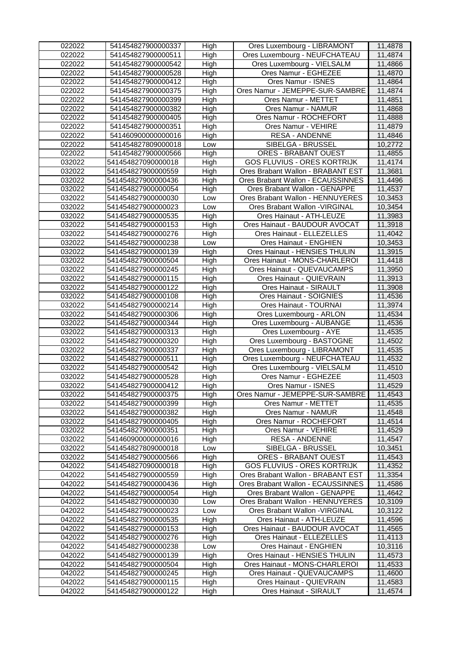| 022022 | 541454827900000337 | High | Ores Luxembourg - LIBRAMONT        | 11,4878 |
|--------|--------------------|------|------------------------------------|---------|
| 022022 | 541454827900000511 | High | Ores Luxembourg - NEUFCHATEAU      | 11,4874 |
| 022022 | 541454827900000542 | High | Ores Luxembourg - VIELSALM         | 11,4866 |
| 022022 | 541454827900000528 | High | Ores Namur - EGHEZEE               | 11,4870 |
| 022022 | 541454827900000412 | High | Ores Namur - ISNES                 | 11,4864 |
| 022022 | 541454827900000375 | High | Ores Namur - JEMEPPE-SUR-SAMBRE    | 11,4874 |
| 022022 | 541454827900000399 | High | Ores Namur - METTET                | 11,4851 |
| 022022 | 541454827900000382 | High | Ores Namur - NAMUR                 | 11,4868 |
| 022022 | 541454827900000405 | High | Ores Namur - ROCHEFORT             | 11,4888 |
| 022022 | 541454827900000351 | High | Ores Namur - VEHIRE                | 11,4879 |
| 022022 | 541460900000000016 | High | <b>RESA - ANDENNE</b>              | 11,4846 |
| 022022 | 541454827809000018 | Low  | SIBELGA - BRUSSEL                  | 10,2772 |
| 022022 | 541454827900000566 | High | <b>ORES - BRABANT OUEST</b>        | 11,4855 |
| 032022 | 541454827090000018 | High | <b>GOS FLUVIUS - ORES KORTRIJK</b> | 11,4174 |
| 032022 | 541454827900000559 | High | Ores Brabant Wallon - BRABANT EST  | 11,3681 |
| 032022 | 541454827900000436 | High | Ores Brabant Wallon - ECAUSSINNES  | 11,4496 |
| 032022 | 541454827900000054 | High | Ores Brabant Wallon - GENAPPE      | 11,4537 |
| 032022 | 541454827900000030 | Low  | Ores Brabant Wallon - HENNUYERES   | 10,3453 |
| 032022 | 541454827900000023 | Low  | Ores Brabant Wallon - VIRGINAL     | 10,3454 |
| 032022 | 541454827900000535 | High | Ores Hainaut - ATH-LEUZE           | 11,3983 |
| 032022 | 541454827900000153 | High | Ores Hainaut - BAUDOUR AVOCAT      | 11,3918 |
| 032022 | 541454827900000276 | High | Ores Hainaut - ELLEZELLES          | 11,4042 |
| 032022 | 541454827900000238 | Low  | Ores Hainaut - ENGHIEN             | 10,3453 |
| 032022 | 541454827900000139 | High | Ores Hainaut - HENSIES THULIN      | 11,3915 |
| 032022 | 541454827900000504 | High | Ores Hainaut - MONS-CHARLEROI      | 11,4418 |
| 032022 | 541454827900000245 | High | Ores Hainaut - QUEVAUCAMPS         | 11,3950 |
| 032022 | 541454827900000115 | High | Ores Hainaut - QUIEVRAIN           | 11,3913 |
| 032022 | 541454827900000122 | High | Ores Hainaut - SIRAULT             | 11,3908 |
| 032022 | 541454827900000108 | High | Ores Hainaut - SOIGNIES            | 11,4536 |
| 032022 | 541454827900000214 | High | Ores Hainaut - TOURNAI             | 11,3974 |
| 032022 | 541454827900000306 | High | Ores Luxembourg - ARLON            | 11,4534 |
| 032022 | 541454827900000344 | High | Ores Luxembourg - AUBANGE          | 11,4536 |
| 032022 | 541454827900000313 | High | Ores Luxembourg - AYE              | 11,4535 |
| 032022 | 541454827900000320 | High | Ores Luxembourg - BASTOGNE         | 11,4502 |
| 032022 | 541454827900000337 | High | Ores Luxembourg - LIBRAMONT        | 11,4535 |
| 032022 | 541454827900000511 | High | Ores Luxembourg - NEUFCHATEAU      | 11,4532 |
| 032022 | 541454827900000542 | High | Ores Luxembourg - VIELSALM         | 11,4510 |
| 032022 | 541454827900000528 | High | Ores Namur - EGHEZEE               | 11,4503 |
| 032022 | 541454827900000412 | High | Ores Namur - ISNES                 | 11,4529 |
| 032022 | 541454827900000375 | High | Ores Namur - JEMEPPE-SUR-SAMBRE    | 11,4543 |
| 032022 | 541454827900000399 | High | Ores Namur - METTET                | 11,4535 |
| 032022 | 541454827900000382 | High | Ores Namur - NAMUR                 | 11,4548 |
| 032022 | 541454827900000405 | High | Ores Namur - ROCHEFORT             | 11,4514 |
| 032022 | 541454827900000351 | High | Ores Namur - VEHIRE                | 11,4529 |
| 032022 | 541460900000000016 | High | <b>RESA - ANDENNE</b>              | 11,4547 |
| 032022 | 541454827809000018 | Low  | SIBELGA - BRUSSEL                  | 10,3451 |
| 032022 | 541454827900000566 | High | <b>ORES - BRABANT OUEST</b>        | 11,4543 |
| 042022 | 541454827090000018 | High | <b>GOS FLUVIUS - ORES KORTRIJK</b> | 11,4352 |
| 042022 | 541454827900000559 | High | Ores Brabant Wallon - BRABANT EST  | 11,3354 |
| 042022 | 541454827900000436 | High | Ores Brabant Wallon - ECAUSSINNES  | 11,4586 |
| 042022 | 541454827900000054 | High | Ores Brabant Wallon - GENAPPE      | 11,4642 |
| 042022 | 541454827900000030 | Low  | Ores Brabant Wallon - HENNUYERES   | 10,3109 |
| 042022 | 541454827900000023 | Low  | Ores Brabant Wallon - VIRGINAL     | 10,3122 |
| 042022 | 541454827900000535 | High | Ores Hainaut - ATH-LEUZE           | 11,4596 |
| 042022 | 541454827900000153 | High | Ores Hainaut - BAUDOUR AVOCAT      | 11,4565 |
| 042022 | 541454827900000276 | High | Ores Hainaut - ELLEZELLES          | 11,4113 |
| 042022 | 541454827900000238 | Low  | Ores Hainaut - ENGHIEN             | 10,3116 |
| 042022 | 541454827900000139 | High | Ores Hainaut - HENSIES THULIN      | 11,4573 |
| 042022 | 541454827900000504 | High | Ores Hainaut - MONS-CHARLEROI      | 11,4533 |
| 042022 | 541454827900000245 | High | Ores Hainaut - QUEVAUCAMPS         | 11,4600 |
| 042022 | 541454827900000115 | High | Ores Hainaut - QUIEVRAIN           | 11,4583 |
| 042022 | 541454827900000122 | High | Ores Hainaut - SIRAULT             | 11,4574 |